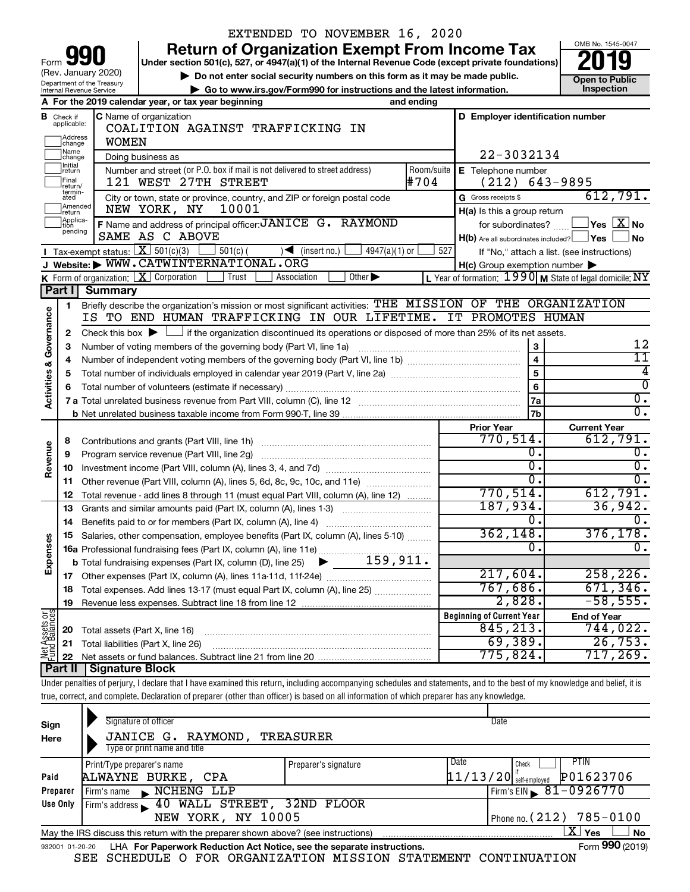| 90<br>Form                                             |
|--------------------------------------------------------|
| (Rev. January 2020)                                    |
| Department of the Treasury<br>Internal Revenue Service |

## EXTENDED TO NOVEMBER 16, 2020

**your Beart of Organization Exempt From Income Tax Properties and Solution Solutions Properties and Solutions Properties and Solutions Properties and Solutions Properties and Solutions Properties and Solutions** 

▶ Do not enter social security numbers on this form as it may be made public. <br>
inspection and the latest information. **Dependent in the latest information** and the latest information. **| Go to www.irs.gov/Form990 for instructions and the latest information. Inspection**



|                                |                                    | A For the 2019 calendar year, or tax year beginning                                                                                         | and ending                             |                                                     |                                                                   |  |  |  |  |  |  |
|--------------------------------|------------------------------------|---------------------------------------------------------------------------------------------------------------------------------------------|----------------------------------------|-----------------------------------------------------|-------------------------------------------------------------------|--|--|--|--|--|--|
| в                              | Check if<br>applicable:<br>Address | <b>C</b> Name of organization<br>COALITION AGAINST TRAFFICKING IN                                                                           |                                        | D Employer identification number                    |                                                                   |  |  |  |  |  |  |
|                                | change<br>Name                     | <b>WOMEN</b>                                                                                                                                | 22-3032134                             |                                                     |                                                                   |  |  |  |  |  |  |
|                                | change<br>Initial                  | Doing business as<br>Room/suite                                                                                                             |                                        |                                                     |                                                                   |  |  |  |  |  |  |
|                                | return<br>Final                    | Number and street (or P.O. box if mail is not delivered to street address)<br>121 WEST 27TH STREET                                          | E Telephone number<br>$(212)$ 643-9895 |                                                     |                                                                   |  |  |  |  |  |  |
|                                | return/<br>termin-<br>ated         | City or town, state or province, country, and ZIP or foreign postal code                                                                    | #704                                   | G Gross receipts \$                                 | 612,791.                                                          |  |  |  |  |  |  |
|                                | Amended<br>return                  | 10001<br>NEW YORK, NY                                                                                                                       |                                        | H(a) Is this a group return                         |                                                                   |  |  |  |  |  |  |
|                                | Applica-                           | F Name and address of principal officer: JANICE G. RAYMOND                                                                                  |                                        | for subordinates?                                   | $\Box$ Yes $[\overline{\mathrm{X}}]$ No                           |  |  |  |  |  |  |
|                                | pending                            | SAME AS C ABOVE                                                                                                                             |                                        | $H(b)$ Are all subordinates included? $\Box$ Yes    | <b>No</b>                                                         |  |  |  |  |  |  |
|                                |                                    | Tax-exempt status: $X \over 301(c)(3)$<br>$\sqrt{\frac{1}{1}}$ (insert no.)<br>$501(c)$ (<br>$4947(a)(1)$ or                                | 527                                    |                                                     | If "No," attach a list. (see instructions)                        |  |  |  |  |  |  |
|                                |                                    | J Website: WWW.CATWINTERNATIONAL.ORG                                                                                                        |                                        | $H(c)$ Group exemption number $\blacktriangleright$ |                                                                   |  |  |  |  |  |  |
|                                |                                    | K Form of organization: $X$ Corporation<br>Trust<br>Other $\blacktriangleright$<br>Association                                              |                                        |                                                     | L Year of formation: $1990 \text{ m}$ State of legal domicile: NY |  |  |  |  |  |  |
|                                | Part II                            | <b>Summary</b>                                                                                                                              |                                        |                                                     |                                                                   |  |  |  |  |  |  |
|                                | $\mathbf{1}$                       | Briefly describe the organization's mission or most significant activities: THE MISSION OF THE ORGANIZATION                                 |                                        |                                                     |                                                                   |  |  |  |  |  |  |
| Activities & Governance        |                                    | IS TO END HUMAN TRAFFICKING IN OUR LIFETIME. IT PROMOTES HUMAN                                                                              |                                        |                                                     |                                                                   |  |  |  |  |  |  |
|                                | $\mathbf{2}$                       | Check this box $\blacktriangleright$ $\Box$ if the organization discontinued its operations or disposed of more than 25% of its net assets. |                                        |                                                     |                                                                   |  |  |  |  |  |  |
|                                | 3                                  | Number of voting members of the governing body (Part VI, line 1a)                                                                           |                                        | 3                                                   | 12                                                                |  |  |  |  |  |  |
|                                | 4                                  |                                                                                                                                             |                                        | $\overline{\mathbf{4}}$<br>$\overline{5}$           | $11\,$<br>$\overline{4}$                                          |  |  |  |  |  |  |
|                                | 5                                  |                                                                                                                                             |                                        |                                                     |                                                                   |  |  |  |  |  |  |
|                                | 6                                  |                                                                                                                                             |                                        | 6                                                   | $\overline{0}$                                                    |  |  |  |  |  |  |
|                                |                                    |                                                                                                                                             |                                        | 7a                                                  | $\overline{0}$ .<br>$\overline{0}$ .                              |  |  |  |  |  |  |
|                                |                                    |                                                                                                                                             |                                        | 7 <sub>b</sub>                                      |                                                                   |  |  |  |  |  |  |
|                                |                                    |                                                                                                                                             |                                        | <b>Prior Year</b><br>770,514.                       | <b>Current Year</b><br>612,791.                                   |  |  |  |  |  |  |
|                                | 8<br>9                             | Contributions and grants (Part VIII, line 1h)                                                                                               |                                        | О.                                                  | 0.                                                                |  |  |  |  |  |  |
| Revenue                        | 10                                 | Program service revenue (Part VIII, line 2g)                                                                                                |                                        | σ.                                                  | σ.                                                                |  |  |  |  |  |  |
|                                | 11                                 | Other revenue (Part VIII, column (A), lines 5, 6d, 8c, 9c, 10c, and 11e)                                                                    |                                        | $\overline{0}$ .                                    | $\overline{0}$ .                                                  |  |  |  |  |  |  |
|                                | 12                                 | Total revenue - add lines 8 through 11 (must equal Part VIII, column (A), line 12)                                                          |                                        | 770,514.                                            | 612,791.                                                          |  |  |  |  |  |  |
|                                | 13                                 | Grants and similar amounts paid (Part IX, column (A), lines 1-3)                                                                            |                                        | 187,934.                                            | 36,942.                                                           |  |  |  |  |  |  |
|                                | 14                                 |                                                                                                                                             |                                        | 0.                                                  | 0.                                                                |  |  |  |  |  |  |
|                                | 15                                 | Salaries, other compensation, employee benefits (Part IX, column (A), lines 5-10)                                                           |                                        | 362, 148.                                           | 376, 178.                                                         |  |  |  |  |  |  |
| Expenses                       |                                    | 16a Professional fundraising fees (Part IX, column (A), line 11e)                                                                           |                                        | 0.                                                  | 0.                                                                |  |  |  |  |  |  |
|                                |                                    | 159,911.<br><b>b</b> Total fundraising expenses (Part IX, column (D), line 25)<br>▶                                                         |                                        |                                                     |                                                                   |  |  |  |  |  |  |
|                                |                                    |                                                                                                                                             |                                        | 217,604.                                            | 258, 226.                                                         |  |  |  |  |  |  |
|                                | 18                                 | Total expenses. Add lines 13-17 (must equal Part IX, column (A), line 25)                                                                   |                                        | 767,686.                                            | 671, 346.                                                         |  |  |  |  |  |  |
|                                | 19                                 |                                                                                                                                             |                                        | 2,828.                                              | $-58,555.$                                                        |  |  |  |  |  |  |
|                                |                                    |                                                                                                                                             |                                        | <b>Beginning of Current Year</b>                    | <b>End of Year</b>                                                |  |  |  |  |  |  |
| Net Assets or<br>Fund Balances | 20                                 | Total assets (Part X, line 16)                                                                                                              |                                        | 845, 213.                                           | 744,022.                                                          |  |  |  |  |  |  |
|                                | 21                                 | Total liabilities (Part X, line 26)                                                                                                         |                                        | 69,389.                                             | 26,753.                                                           |  |  |  |  |  |  |
|                                | 22                                 |                                                                                                                                             |                                        | 775,824.                                            | 717,269.                                                          |  |  |  |  |  |  |
|                                |                                    | <b>Part II   Signature Block</b>                                                                                                            |                                        |                                                     |                                                                   |  |  |  |  |  |  |

Under penalties of perjury, I declare that I have examined this return, including accompanying schedules and statements, and to the best of my knowledge and belief, it is true, correct, and complete. Declaration of preparer (other than officer) is based on all information of which preparer has any knowledge.

| Sign<br>Here    | Signature of officer<br>JANICE G. RAYMOND,<br>TREASURER<br>Type or print name and title |                      | Date |                          |                              |
|-----------------|-----------------------------------------------------------------------------------------|----------------------|------|--------------------------|------------------------------|
|                 |                                                                                         |                      |      |                          |                              |
|                 | Print/Type preparer's name                                                              | Preparer's signature | Date | Check                    | PHN                          |
| Paid            | ALWAYNE BURKE, CPA                                                                      |                      |      | $11/13/20$ self-employed | P01623706                    |
| Preparer        | NCHENG LLP<br>Firm's name<br>$\mathbf{E}$                                               |                      |      |                          | $Firm's EIN \ 81 - 0926770$  |
| Use Only        | Firm's address 10 WALL STREET, 32ND FLOOR                                               |                      |      |                          |                              |
|                 | NEW YORK, NY 10005                                                                      |                      |      |                          | Phone no. $(212)$ 785-0100   |
|                 | May the IRS discuss this return with the preparer shown above? (see instructions)       |                      |      |                          | $X \mid$<br><b>No</b><br>Yes |
| 932001 01-20-20 | LHA For Paperwork Reduction Act Notice, see the separate instructions.                  |                      |      |                          | Form 990 (2019)              |
|                 | ~——                                                                                     |                      |      |                          |                              |

SEE SCHEDULE O FOR ORGANIZATION MISSION STATEMENT CONTINUATION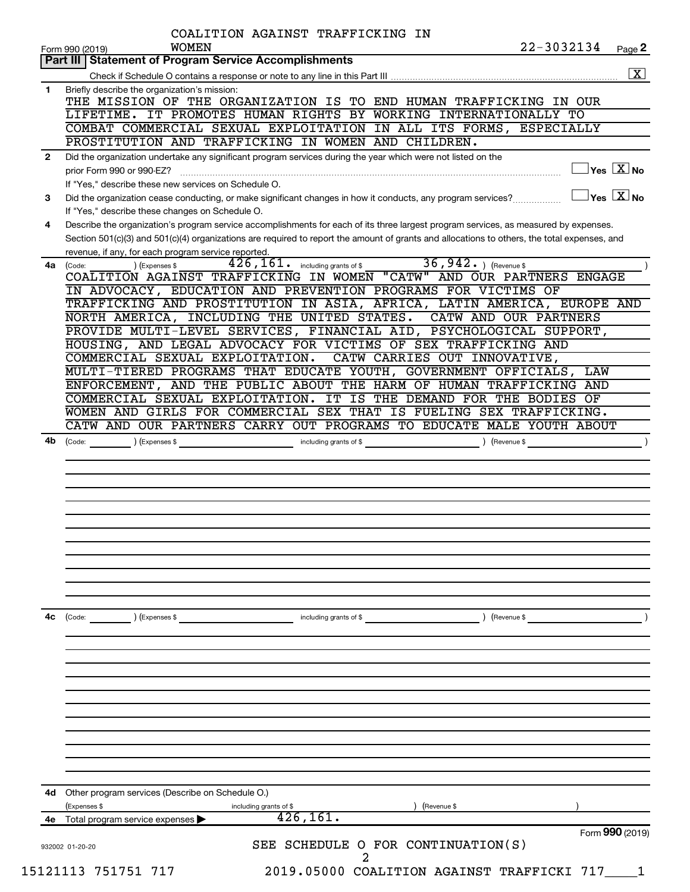|              | COALITION AGAINST TRAFFICKING IN<br>22-3032134<br><b>WOMEN</b>                                                                                                                                                                                             |
|--------------|------------------------------------------------------------------------------------------------------------------------------------------------------------------------------------------------------------------------------------------------------------|
|              | Page 2<br>Form 990 (2019)<br><b>Statement of Program Service Accomplishments</b><br>Part III                                                                                                                                                               |
|              | $\boxed{\textbf{X}}$                                                                                                                                                                                                                                       |
| $\mathbf{1}$ | Briefly describe the organization's mission:                                                                                                                                                                                                               |
|              | THE MISSION OF THE ORGANIZATION IS TO END HUMAN TRAFFICKING IN OUR                                                                                                                                                                                         |
|              | LIFETIME. IT PROMOTES HUMAN RIGHTS BY WORKING INTERNATIONALLY TO<br>COMBAT COMMERCIAL SEXUAL EXPLOITATION IN ALL ITS FORMS, ESPECIALLY                                                                                                                     |
|              | PROSTITUTION AND TRAFFICKING IN WOMEN AND CHILDREN.                                                                                                                                                                                                        |
| $\mathbf{2}$ | Did the organization undertake any significant program services during the year which were not listed on the                                                                                                                                               |
|              | $\exists$ Yes $\boxed{\text{X}}$ No<br>prior Form 990 or 990-EZ?                                                                                                                                                                                           |
|              | If "Yes," describe these new services on Schedule O.                                                                                                                                                                                                       |
| 3            | $\exists$ Yes $\boxed{\text{X}}$ No<br>Did the organization cease conducting, or make significant changes in how it conducts, any program services?                                                                                                        |
| 4            | If "Yes," describe these changes on Schedule O.<br>Describe the organization's program service accomplishments for each of its three largest program services, as measured by expenses.                                                                    |
|              | Section 501(c)(3) and 501(c)(4) organizations are required to report the amount of grants and allocations to others, the total expenses, and                                                                                                               |
|              | revenue, if any, for each program service reported.                                                                                                                                                                                                        |
| 4a           | 36, 942. $ $ (Revenue \$<br>$426$ , $161$ . including grants of \$<br>(Expenses \$<br>(Code:                                                                                                                                                               |
|              | COALITION AGAINST TRAFFICKING IN WOMEN "CATW" AND OUR PARTNERS ENGAGE                                                                                                                                                                                      |
|              | IN ADVOCACY, EDUCATION AND PREVENTION PROGRAMS FOR VICTIMS OF<br>TRAFFICKING AND PROSTITUTION IN ASIA, AFRICA, LATIN AMERICA, EUROPE AND                                                                                                                   |
|              | NORTH AMERICA, INCLUDING THE UNITED STATES.<br>CATW AND OUR PARTNERS                                                                                                                                                                                       |
|              | PROVIDE MULTI-LEVEL SERVICES, FINANCIAL AID, PSYCHOLOGICAL SUPPORT,                                                                                                                                                                                        |
|              | HOUSING, AND LEGAL ADVOCACY FOR VICTIMS OF SEX TRAFFICKING AND                                                                                                                                                                                             |
|              | COMMERCIAL SEXUAL EXPLOITATION.<br>CATW CARRIES OUT INNOVATIVE,                                                                                                                                                                                            |
|              | MULTI-TIERED PROGRAMS THAT EDUCATE YOUTH, GOVERNMENT OFFICIALS,<br>LAW                                                                                                                                                                                     |
|              | ENFORCEMENT, AND THE PUBLIC ABOUT THE HARM OF HUMAN TRAFFICKING AND<br>COMMERCIAL SEXUAL EXPLOITATION. IT IS THE DEMAND FOR THE BODIES OF                                                                                                                  |
|              | WOMEN AND GIRLS FOR COMMERCIAL SEX THAT IS FUELING SEX TRAFFICKING.                                                                                                                                                                                        |
|              | CATW AND OUR PARTNERS CARRY OUT PROGRAMS TO EDUCATE MALE YOUTH ABOUT                                                                                                                                                                                       |
| 4b           | (Code: \end{\beta \end{\beta \end{\beta \end{\beta \end{\beta \end{\beta \end{\beta \end{\beta \end{\beta \end{\beta \end{\beta \end{\beta \end{\beta \end{\beta \end{\beta \end{\beta \end{\beta \end{\beta \end{\beta \end{\<br>$\overline{\phantom{a}}$ |
|              |                                                                                                                                                                                                                                                            |
| 4с           | (Code: ) (Expenses \$<br>including grants of \$<br>) (Revenue \$                                                                                                                                                                                           |
|              |                                                                                                                                                                                                                                                            |
|              |                                                                                                                                                                                                                                                            |
|              |                                                                                                                                                                                                                                                            |
|              |                                                                                                                                                                                                                                                            |
|              | 4d Other program services (Describe on Schedule O.)                                                                                                                                                                                                        |
|              | (Expenses \$<br>(Revenue \$<br>including grants of \$                                                                                                                                                                                                      |
|              | 426, 161.<br>4e Total program service expenses<br>Form 990 (2019)<br>SEE SCHEDULE O FOR CONTINUATION(S)<br>932002 01-20-20                                                                                                                                 |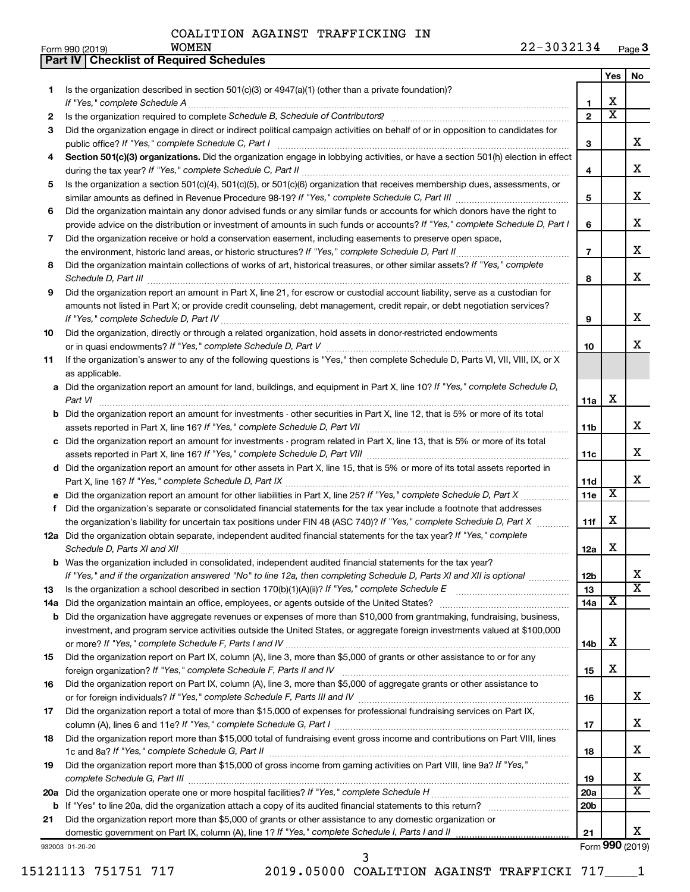**Part IV Checklist of Required Schedules**

|    |                                                                                                                                                                                                                                                           |                 | Yes                     | No                      |
|----|-----------------------------------------------------------------------------------------------------------------------------------------------------------------------------------------------------------------------------------------------------------|-----------------|-------------------------|-------------------------|
| 1  | Is the organization described in section $501(c)(3)$ or $4947(a)(1)$ (other than a private foundation)?                                                                                                                                                   |                 |                         |                         |
|    | If "Yes," complete Schedule A                                                                                                                                                                                                                             | 1               | х                       |                         |
| 2  | Is the organization required to complete Schedule B, Schedule of Contributors? [11] the organization required to complete Schedule B, Schedule of Contributors?                                                                                           | $\overline{2}$  | $\overline{\textbf{x}}$ |                         |
| 3  | Did the organization engage in direct or indirect political campaign activities on behalf of or in opposition to candidates for                                                                                                                           |                 |                         |                         |
|    | public office? If "Yes," complete Schedule C, Part I                                                                                                                                                                                                      | 3               |                         | x                       |
| 4  | Section 501(c)(3) organizations. Did the organization engage in lobbying activities, or have a section 501(h) election in effect                                                                                                                          | 4               |                         | x                       |
| 5  | Is the organization a section 501(c)(4), 501(c)(5), or 501(c)(6) organization that receives membership dues, assessments, or                                                                                                                              |                 |                         |                         |
|    |                                                                                                                                                                                                                                                           | 5               |                         | х                       |
| 6  | Did the organization maintain any donor advised funds or any similar funds or accounts for which donors have the right to<br>provide advice on the distribution or investment of amounts in such funds or accounts? If "Yes," complete Schedule D, Part I | 6               |                         | x                       |
| 7  | Did the organization receive or hold a conservation easement, including easements to preserve open space,                                                                                                                                                 |                 |                         |                         |
|    | the environment, historic land areas, or historic structures? If "Yes," complete Schedule D, Part II                                                                                                                                                      | $\overline{7}$  |                         | x                       |
| 8  | Did the organization maintain collections of works of art, historical treasures, or other similar assets? If "Yes," complete                                                                                                                              |                 |                         |                         |
|    |                                                                                                                                                                                                                                                           | 8               |                         | x                       |
| 9  | Did the organization report an amount in Part X, line 21, for escrow or custodial account liability, serve as a custodian for                                                                                                                             |                 |                         |                         |
|    | amounts not listed in Part X; or provide credit counseling, debt management, credit repair, or debt negotiation services?                                                                                                                                 | 9               |                         | х                       |
| 10 | Did the organization, directly or through a related organization, hold assets in donor-restricted endowments                                                                                                                                              |                 |                         |                         |
|    |                                                                                                                                                                                                                                                           | 10              |                         | x                       |
| 11 | If the organization's answer to any of the following questions is "Yes," then complete Schedule D, Parts VI, VII, VIII, IX, or X<br>as applicable.                                                                                                        |                 |                         |                         |
|    | a Did the organization report an amount for land, buildings, and equipment in Part X, line 10? If "Yes," complete Schedule D,                                                                                                                             |                 |                         |                         |
|    | Part VI                                                                                                                                                                                                                                                   | 11a             | х                       |                         |
|    | <b>b</b> Did the organization report an amount for investments - other securities in Part X, line 12, that is 5% or more of its total                                                                                                                     |                 |                         |                         |
|    |                                                                                                                                                                                                                                                           | 11b             |                         | x                       |
|    | c Did the organization report an amount for investments - program related in Part X, line 13, that is 5% or more of its total                                                                                                                             |                 |                         |                         |
|    |                                                                                                                                                                                                                                                           | 11c             |                         | x                       |
|    | d Did the organization report an amount for other assets in Part X, line 15, that is 5% or more of its total assets reported in                                                                                                                           |                 |                         |                         |
|    |                                                                                                                                                                                                                                                           | 11d             |                         | x                       |
|    |                                                                                                                                                                                                                                                           | 11e             | х                       |                         |
| f  | Did the organization's separate or consolidated financial statements for the tax year include a footnote that addresses                                                                                                                                   |                 |                         |                         |
|    | the organization's liability for uncertain tax positions under FIN 48 (ASC 740)? If "Yes," complete Schedule D, Part X                                                                                                                                    | 11f             | x                       |                         |
|    | 12a Did the organization obtain separate, independent audited financial statements for the tax year? If "Yes," complete<br>Schedule D, Parts XI and XII                                                                                                   | 12a             | x                       |                         |
|    | <b>b</b> Was the organization included in consolidated, independent audited financial statements for the tax year?                                                                                                                                        |                 |                         |                         |
|    | If "Yes," and if the organization answered "No" to line 12a, then completing Schedule D, Parts XI and XII is optional www.                                                                                                                                | 12 <sub>b</sub> |                         | ∡⊾                      |
| 13 |                                                                                                                                                                                                                                                           | 13              |                         | $\overline{\textbf{x}}$ |
|    |                                                                                                                                                                                                                                                           | 14a             | X                       |                         |
|    | <b>b</b> Did the organization have aggregate revenues or expenses of more than \$10,000 from grantmaking, fundraising, business,                                                                                                                          |                 |                         |                         |
|    | investment, and program service activities outside the United States, or aggregate foreign investments valued at \$100,000                                                                                                                                |                 |                         |                         |
|    |                                                                                                                                                                                                                                                           | 14b             | х                       |                         |
| 15 | Did the organization report on Part IX, column (A), line 3, more than \$5,000 of grants or other assistance to or for any                                                                                                                                 |                 | х                       |                         |
|    |                                                                                                                                                                                                                                                           | 15              |                         |                         |
| 16 | Did the organization report on Part IX, column (A), line 3, more than \$5,000 of aggregate grants or other assistance to                                                                                                                                  | 16              |                         | X.                      |
| 17 | Did the organization report a total of more than \$15,000 of expenses for professional fundraising services on Part IX,                                                                                                                                   |                 |                         |                         |
|    |                                                                                                                                                                                                                                                           | 17              |                         | x                       |
| 18 | Did the organization report more than \$15,000 total of fundraising event gross income and contributions on Part VIII, lines                                                                                                                              |                 |                         |                         |
|    |                                                                                                                                                                                                                                                           | 18              |                         | x                       |
| 19 | Did the organization report more than \$15,000 of gross income from gaming activities on Part VIII, line 9a? If "Yes,"                                                                                                                                    |                 |                         |                         |
|    |                                                                                                                                                                                                                                                           | 19              |                         | х                       |
|    |                                                                                                                                                                                                                                                           | 20a             |                         | x                       |
|    |                                                                                                                                                                                                                                                           | 20 <sub>b</sub> |                         |                         |
| 21 | Did the organization report more than \$5,000 of grants or other assistance to any domestic organization or                                                                                                                                               |                 |                         | x                       |
|    | domestic government on Part IX, column (A), line 1? If "Yes," complete Schedule I, Parts I and II                                                                                                                                                         | 21              |                         | Form 990 (2019)         |
|    | 932003 01-20-20                                                                                                                                                                                                                                           |                 |                         |                         |

3

15121113 751751 717 2019.05000 COALITION AGAINST TRAFFICKI 717\_\_\_\_1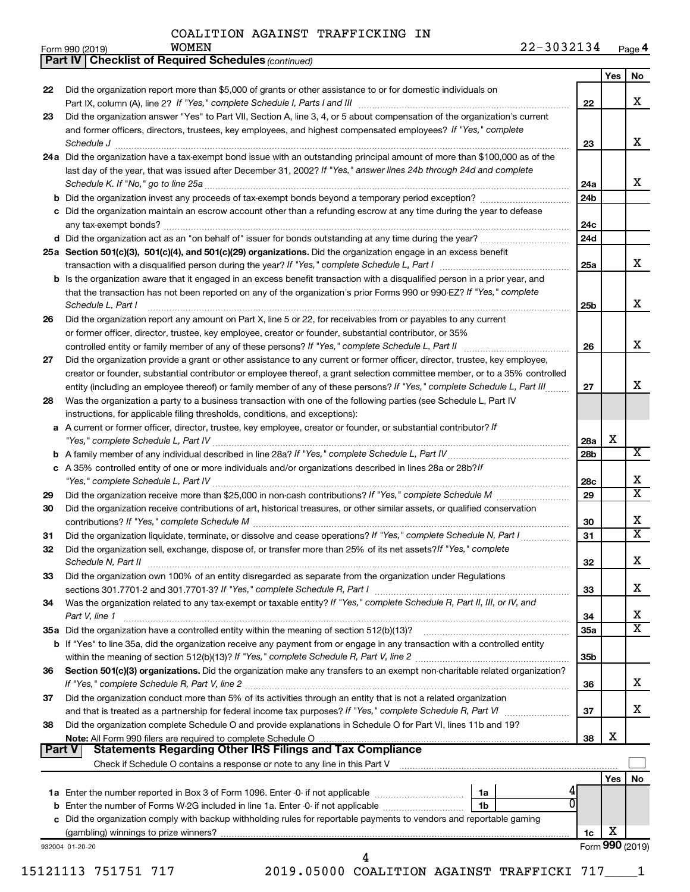|               | <b>Part IV   Checklist of Required Schedules (continued)</b>                                                                                                                                         |                 |     |                         |
|---------------|------------------------------------------------------------------------------------------------------------------------------------------------------------------------------------------------------|-----------------|-----|-------------------------|
|               |                                                                                                                                                                                                      |                 | Yes | No                      |
| 22            | Did the organization report more than \$5,000 of grants or other assistance to or for domestic individuals on                                                                                        |                 |     |                         |
|               |                                                                                                                                                                                                      | 22              |     | X                       |
| 23            | Did the organization answer "Yes" to Part VII, Section A, line 3, 4, or 5 about compensation of the organization's current                                                                           |                 |     |                         |
|               | and former officers, directors, trustees, key employees, and highest compensated employees? If "Yes," complete                                                                                       |                 |     |                         |
|               | Schedule J <b>Example 2 Contract 2 Contract 2 Contract 2 Contract 2 Contract 2 Contract 2 Contract 2 Contract 2 Contract 2 Contract 2 Contract 2 Contract 2 Contract 2 Contract 2 Contract 2 Con</b> | 23              |     | x                       |
|               | 24a Did the organization have a tax-exempt bond issue with an outstanding principal amount of more than \$100,000 as of the                                                                          |                 |     |                         |
|               | last day of the year, that was issued after December 31, 2002? If "Yes," answer lines 24b through 24d and complete                                                                                   |                 |     |                         |
|               |                                                                                                                                                                                                      | 24a             |     | x                       |
|               |                                                                                                                                                                                                      | 24 <sub>b</sub> |     |                         |
|               | c Did the organization maintain an escrow account other than a refunding escrow at any time during the year to defease                                                                               |                 |     |                         |
|               |                                                                                                                                                                                                      | 24c             |     |                         |
|               |                                                                                                                                                                                                      | 24d             |     |                         |
|               |                                                                                                                                                                                                      |                 |     |                         |
|               | 25a Section 501(c)(3), 501(c)(4), and 501(c)(29) organizations. Did the organization engage in an excess benefit                                                                                     | 25a             |     | x                       |
|               |                                                                                                                                                                                                      |                 |     |                         |
|               | <b>b</b> Is the organization aware that it engaged in an excess benefit transaction with a disqualified person in a prior year, and                                                                  |                 |     |                         |
|               | that the transaction has not been reported on any of the organization's prior Forms 990 or 990-EZ? If "Yes," complete                                                                                |                 |     | х                       |
|               | Schedule L, Part I                                                                                                                                                                                   | 25b             |     |                         |
| 26            | Did the organization report any amount on Part X, line 5 or 22, for receivables from or payables to any current                                                                                      |                 |     |                         |
|               | or former officer, director, trustee, key employee, creator or founder, substantial contributor, or 35%                                                                                              |                 |     | х                       |
|               | controlled entity or family member of any of these persons? If "Yes," complete Schedule L, Part II                                                                                                   | 26              |     |                         |
| 27            | Did the organization provide a grant or other assistance to any current or former officer, director, trustee, key employee,                                                                          |                 |     |                         |
|               | creator or founder, substantial contributor or employee thereof, a grant selection committee member, or to a 35% controlled                                                                          |                 |     | x                       |
|               | entity (including an employee thereof) or family member of any of these persons? If "Yes," complete Schedule L, Part III                                                                             | 27              |     |                         |
| 28            | Was the organization a party to a business transaction with one of the following parties (see Schedule L, Part IV                                                                                    |                 |     |                         |
|               | instructions, for applicable filing thresholds, conditions, and exceptions):                                                                                                                         |                 |     |                         |
| а             | A current or former officer, director, trustee, key employee, creator or founder, or substantial contributor? If                                                                                     |                 |     |                         |
|               |                                                                                                                                                                                                      | 28a             | х   |                         |
| b             |                                                                                                                                                                                                      | 28b             |     | х                       |
|               | c A 35% controlled entity of one or more individuals and/or organizations described in lines 28a or 28b?/f                                                                                           |                 |     |                         |
|               |                                                                                                                                                                                                      | 28c             |     | х                       |
| 29            |                                                                                                                                                                                                      | 29              |     | X                       |
| 30            | Did the organization receive contributions of art, historical treasures, or other similar assets, or qualified conservation                                                                          |                 |     |                         |
|               |                                                                                                                                                                                                      | 30              |     | X                       |
| 31            | Did the organization liquidate, terminate, or dissolve and cease operations? If "Yes," complete Schedule N, Part I                                                                                   | 31              |     | $\overline{\textbf{X}}$ |
| 32            | Did the organization sell, exchange, dispose of, or transfer more than 25% of its net assets? If "Yes," complete                                                                                     |                 |     |                         |
|               |                                                                                                                                                                                                      | 32              |     | Χ                       |
| 33            | Did the organization own 100% of an entity disregarded as separate from the organization under Regulations                                                                                           |                 |     |                         |
|               |                                                                                                                                                                                                      | 33              |     | x.                      |
| 34            | Was the organization related to any tax-exempt or taxable entity? If "Yes," complete Schedule R, Part II, III, or IV, and                                                                            |                 |     |                         |
|               | Part V, line 1                                                                                                                                                                                       | 34              |     | х                       |
|               | 35a Did the organization have a controlled entity within the meaning of section 512(b)(13)?                                                                                                          | 35a             |     | х                       |
|               | b If "Yes" to line 35a, did the organization receive any payment from or engage in any transaction with a controlled entity                                                                          |                 |     |                         |
|               |                                                                                                                                                                                                      | 35b             |     |                         |
| 36            | Section 501(c)(3) organizations. Did the organization make any transfers to an exempt non-charitable related organization?                                                                           |                 |     |                         |
|               |                                                                                                                                                                                                      | 36              |     | x.                      |
| 37            | Did the organization conduct more than 5% of its activities through an entity that is not a related organization                                                                                     |                 |     |                         |
|               |                                                                                                                                                                                                      | 37              |     | x                       |
| 38            | Did the organization complete Schedule O and provide explanations in Schedule O for Part VI, lines 11b and 19?                                                                                       |                 |     |                         |
|               |                                                                                                                                                                                                      | 38              | X   |                         |
| <b>Part V</b> |                                                                                                                                                                                                      |                 |     |                         |
|               | Check if Schedule O contains a response or note to any line in this Part V [11] [12] Check if Schedule O contains a response or note to any line in this Part V                                      |                 |     |                         |
|               |                                                                                                                                                                                                      |                 | Yes | No                      |
|               | 1a                                                                                                                                                                                                   |                 |     |                         |
| b             | Enter the number of Forms W-2G included in line 1a. Enter -0- if not applicable<br>1b                                                                                                                |                 |     |                         |
|               | c Did the organization comply with backup withholding rules for reportable payments to vendors and reportable gaming                                                                                 |                 |     |                         |
|               |                                                                                                                                                                                                      | 1c              | х   |                         |
|               | 932004 01-20-20<br>4                                                                                                                                                                                 |                 |     | Form 990 (2019)         |
|               |                                                                                                                                                                                                      |                 |     |                         |

15121113 751751 717 2019.05000 COALITION AGAINST TRAFFICKI 717\_\_\_\_1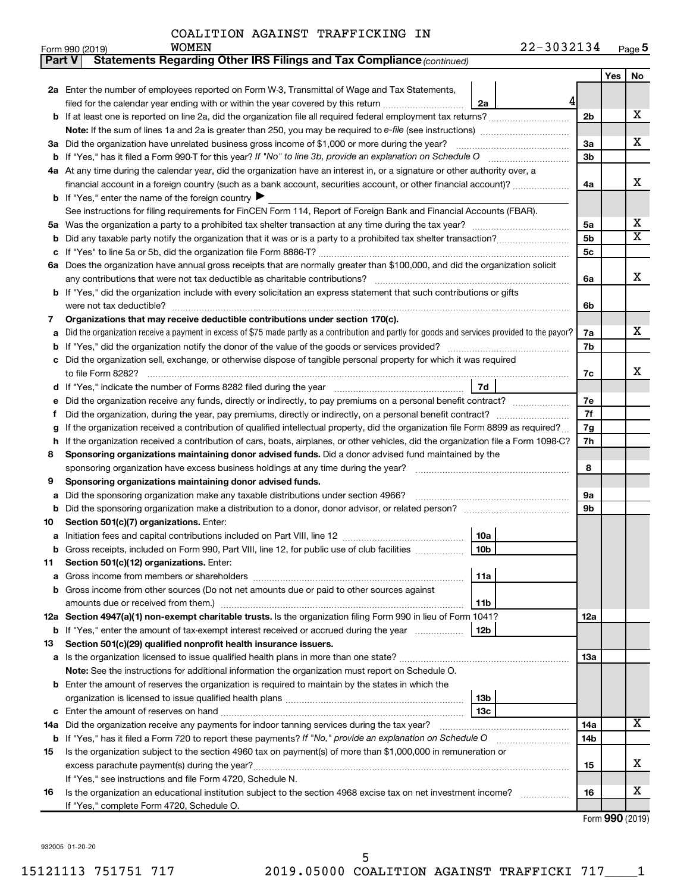| COALITION AGAINST TRAFFICKING IN |  |  |  |
|----------------------------------|--|--|--|
|----------------------------------|--|--|--|

| ∣ Part V | <b>Statements Regarding Other IRS Filings and Tax Compliance (continued)</b>                                                                     |                |     |                       |  |  |  |  |  |  |  |
|----------|--------------------------------------------------------------------------------------------------------------------------------------------------|----------------|-----|-----------------------|--|--|--|--|--|--|--|
|          |                                                                                                                                                  |                | Yes | No                    |  |  |  |  |  |  |  |
|          | 2a Enter the number of employees reported on Form W-3, Transmittal of Wage and Tax Statements,                                                   |                |     |                       |  |  |  |  |  |  |  |
|          | $\frac{4}{3}$<br>filed for the calendar year ending with or within the year covered by this return<br>2a                                         |                |     |                       |  |  |  |  |  |  |  |
| b        |                                                                                                                                                  | 2 <sub>b</sub> |     | х                     |  |  |  |  |  |  |  |
|          |                                                                                                                                                  |                |     |                       |  |  |  |  |  |  |  |
|          | 3a Did the organization have unrelated business gross income of \$1,000 or more during the year?                                                 | 3a             |     | x                     |  |  |  |  |  |  |  |
|          |                                                                                                                                                  |                |     |                       |  |  |  |  |  |  |  |
|          | 4a At any time during the calendar year, did the organization have an interest in, or a signature or other authority over, a                     |                |     |                       |  |  |  |  |  |  |  |
|          | financial account in a foreign country (such as a bank account, securities account, or other financial account)?                                 |                |     |                       |  |  |  |  |  |  |  |
|          | <b>b</b> If "Yes," enter the name of the foreign country $\blacktriangleright$                                                                   |                |     |                       |  |  |  |  |  |  |  |
|          | See instructions for filing requirements for FinCEN Form 114, Report of Foreign Bank and Financial Accounts (FBAR).                              |                |     |                       |  |  |  |  |  |  |  |
| 5a       |                                                                                                                                                  | 5a             |     | х                     |  |  |  |  |  |  |  |
| b        |                                                                                                                                                  | 5 <sub>b</sub> |     | $\overline{\text{X}}$ |  |  |  |  |  |  |  |
| c        |                                                                                                                                                  | 5c             |     |                       |  |  |  |  |  |  |  |
|          | 6a Does the organization have annual gross receipts that are normally greater than \$100,000, and did the organization solicit                   |                |     |                       |  |  |  |  |  |  |  |
|          |                                                                                                                                                  | 6a             |     | x                     |  |  |  |  |  |  |  |
|          | <b>b</b> If "Yes," did the organization include with every solicitation an express statement that such contributions or gifts                    |                |     |                       |  |  |  |  |  |  |  |
|          |                                                                                                                                                  | 6b             |     |                       |  |  |  |  |  |  |  |
| 7        | Organizations that may receive deductible contributions under section 170(c).                                                                    |                |     |                       |  |  |  |  |  |  |  |
| a        | Did the organization receive a payment in excess of \$75 made partly as a contribution and partly for goods and services provided to the payor?  | 7a             |     | x                     |  |  |  |  |  |  |  |
| b        |                                                                                                                                                  | 7b             |     |                       |  |  |  |  |  |  |  |
|          | Did the organization sell, exchange, or otherwise dispose of tangible personal property for which it was required                                |                |     |                       |  |  |  |  |  |  |  |
|          |                                                                                                                                                  | 7c             |     | х                     |  |  |  |  |  |  |  |
| d        | 7d<br>If "Yes," indicate the number of Forms 8282 filed during the year [111] [11] Wes," indicate the number of Forms 8282 filed during the year |                |     |                       |  |  |  |  |  |  |  |
| е        | Did the organization receive any funds, directly or indirectly, to pay premiums on a personal benefit contract?                                  | 7е             |     |                       |  |  |  |  |  |  |  |
| f.       |                                                                                                                                                  | 7f             |     |                       |  |  |  |  |  |  |  |
| g        | If the organization received a contribution of qualified intellectual property, did the organization file Form 8899 as required?                 | 7g             |     |                       |  |  |  |  |  |  |  |
| h        | If the organization received a contribution of cars, boats, airplanes, or other vehicles, did the organization file a Form 1098-C?               |                |     |                       |  |  |  |  |  |  |  |
| 8        | Sponsoring organizations maintaining donor advised funds. Did a donor advised fund maintained by the                                             |                |     |                       |  |  |  |  |  |  |  |
|          |                                                                                                                                                  |                |     |                       |  |  |  |  |  |  |  |
| 9        | Sponsoring organizations maintaining donor advised funds.                                                                                        |                |     |                       |  |  |  |  |  |  |  |
| а        | Did the sponsoring organization make any taxable distributions under section 4966?                                                               | <b>9a</b>      |     |                       |  |  |  |  |  |  |  |
| b        |                                                                                                                                                  | 9b             |     |                       |  |  |  |  |  |  |  |
| 10       | Section 501(c)(7) organizations. Enter:                                                                                                          |                |     |                       |  |  |  |  |  |  |  |
|          | 10a                                                                                                                                              |                |     |                       |  |  |  |  |  |  |  |
|          | 10 <sub>b</sub><br>Gross receipts, included on Form 990, Part VIII, line 12, for public use of club facilities                                   |                |     |                       |  |  |  |  |  |  |  |
| 11       | Section 501(c)(12) organizations. Enter:                                                                                                         |                |     |                       |  |  |  |  |  |  |  |
|          | 11a                                                                                                                                              |                |     |                       |  |  |  |  |  |  |  |
|          | Gross income from other sources (Do not net amounts due or paid to other sources against                                                         |                |     |                       |  |  |  |  |  |  |  |
|          | amounts due or received from them.)<br>11b                                                                                                       |                |     |                       |  |  |  |  |  |  |  |
|          | 12a Section 4947(a)(1) non-exempt charitable trusts. Is the organization filing Form 990 in lieu of Form 1041?                                   | 12a            |     |                       |  |  |  |  |  |  |  |
|          | 12 <sub>b</sub><br><b>b</b> If "Yes," enter the amount of tax-exempt interest received or accrued during the year                                |                |     |                       |  |  |  |  |  |  |  |
| 13       | Section 501(c)(29) qualified nonprofit health insurance issuers.                                                                                 |                |     |                       |  |  |  |  |  |  |  |
| а        | Is the organization licensed to issue qualified health plans in more than one state?                                                             | <b>13a</b>     |     |                       |  |  |  |  |  |  |  |
|          | Note: See the instructions for additional information the organization must report on Schedule O.                                                |                |     |                       |  |  |  |  |  |  |  |
| b        | Enter the amount of reserves the organization is required to maintain by the states in which the                                                 |                |     |                       |  |  |  |  |  |  |  |
|          | 13b                                                                                                                                              |                |     |                       |  |  |  |  |  |  |  |
| c        | 13 <sub>c</sub>                                                                                                                                  |                |     |                       |  |  |  |  |  |  |  |
| 14a      | Did the organization receive any payments for indoor tanning services during the tax year?                                                       | 14a            |     | х                     |  |  |  |  |  |  |  |
|          | <b>b</b> If "Yes," has it filed a Form 720 to report these payments? If "No," provide an explanation on Schedule O                               | 14b            |     |                       |  |  |  |  |  |  |  |
| 15       | Is the organization subject to the section 4960 tax on payment(s) of more than \$1,000,000 in remuneration or                                    |                |     |                       |  |  |  |  |  |  |  |
|          |                                                                                                                                                  | 15             |     | x                     |  |  |  |  |  |  |  |
|          | If "Yes," see instructions and file Form 4720, Schedule N.                                                                                       |                |     |                       |  |  |  |  |  |  |  |
| 16       | Is the organization an educational institution subject to the section 4968 excise tax on net investment income?                                  | 16             |     | x                     |  |  |  |  |  |  |  |
|          | If "Yes," complete Form 4720, Schedule O.                                                                                                        |                |     |                       |  |  |  |  |  |  |  |

Form (2019) **990**

932005 01-20-20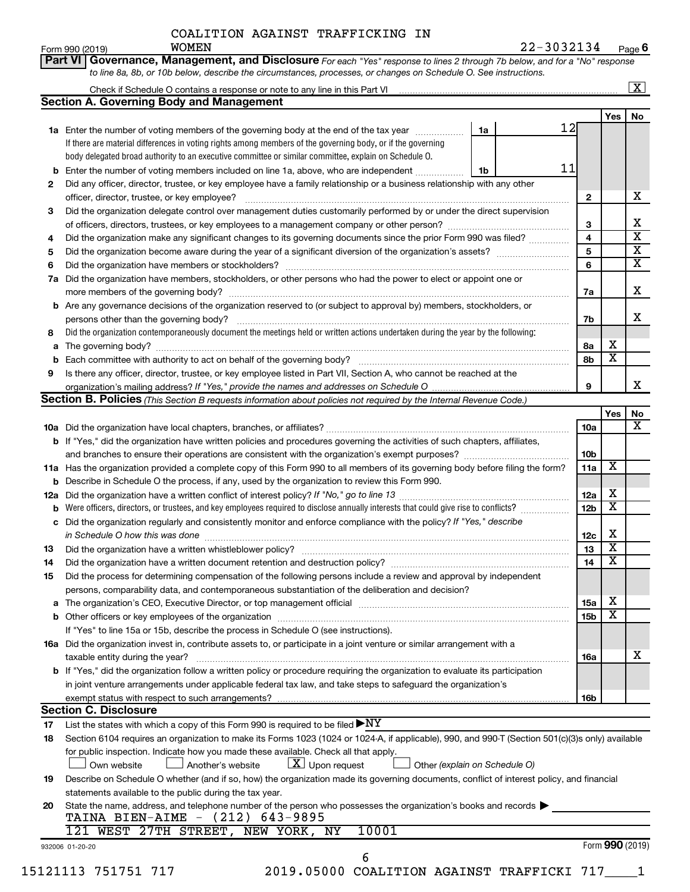Form 990 (2019) Page **6** WOMEN 22-3032134

|     |                                                                                                                                                  |    |    |                 |                         | $\boxed{\text{X}}$      |
|-----|--------------------------------------------------------------------------------------------------------------------------------------------------|----|----|-----------------|-------------------------|-------------------------|
|     | <b>Section A. Governing Body and Management</b>                                                                                                  |    |    |                 |                         |                         |
|     |                                                                                                                                                  |    |    |                 | Yes                     | No                      |
|     | 1a Enter the number of voting members of the governing body at the end of the tax year                                                           | 1a |    | 12              |                         |                         |
|     | If there are material differences in voting rights among members of the governing body, or if the governing                                      |    |    |                 |                         |                         |
|     | body delegated broad authority to an executive committee or similar committee, explain on Schedule O.                                            |    |    |                 |                         |                         |
|     | Enter the number of voting members included on line 1a, above, who are independent                                                               | 1b | 11 |                 |                         |                         |
| 2   | Did any officer, director, trustee, or key employee have a family relationship or a business relationship with any other                         |    |    |                 |                         |                         |
|     | officer, director, trustee, or key employee?                                                                                                     |    |    | $\mathbf{2}$    |                         | х                       |
| З   | Did the organization delegate control over management duties customarily performed by or under the direct supervision                            |    |    |                 |                         |                         |
|     |                                                                                                                                                  |    |    | 3               |                         | X                       |
| 4   | Did the organization make any significant changes to its governing documents since the prior Form 990 was filed?                                 |    |    | $\overline{4}$  |                         | $\overline{\mathbf{X}}$ |
| 5   |                                                                                                                                                  |    |    | 5               |                         | $\overline{\mathbf{X}}$ |
| 6   |                                                                                                                                                  |    |    | 6               |                         | $\overline{\textbf{X}}$ |
| 7a  | Did the organization have members, stockholders, or other persons who had the power to elect or appoint one or                                   |    |    |                 |                         |                         |
|     |                                                                                                                                                  |    |    | 7a              |                         | X                       |
|     | <b>b</b> Are any governance decisions of the organization reserved to (or subject to approval by) members, stockholders, or                      |    |    |                 |                         |                         |
|     | persons other than the governing body?                                                                                                           |    |    | 7b              |                         | x                       |
| 8   | Did the organization contemporaneously document the meetings held or written actions undertaken during the year by the following:                |    |    |                 |                         |                         |
| a   |                                                                                                                                                  |    |    | 8а              | х                       |                         |
|     |                                                                                                                                                  |    |    | 8b              | $\overline{\textbf{X}}$ |                         |
| 9   | Is there any officer, director, trustee, or key employee listed in Part VII, Section A, who cannot be reached at the                             |    |    |                 |                         |                         |
|     |                                                                                                                                                  |    |    | 9               |                         | x                       |
|     | <b>Section B. Policies</b> (This Section B requests information about policies not required by the Internal Revenue Code.)                       |    |    |                 |                         |                         |
|     |                                                                                                                                                  |    |    |                 | Yes                     | No                      |
|     |                                                                                                                                                  |    |    | 10a             |                         | х                       |
|     | b If "Yes," did the organization have written policies and procedures governing the activities of such chapters, affiliates,                     |    |    |                 |                         |                         |
|     |                                                                                                                                                  |    |    | 10 <sub>b</sub> |                         |                         |
|     | 11a Has the organization provided a complete copy of this Form 990 to all members of its governing body before filing the form?                  |    |    | 11a             | X                       |                         |
|     | <b>b</b> Describe in Schedule O the process, if any, used by the organization to review this Form 990.                                           |    |    |                 |                         |                         |
| 12a |                                                                                                                                                  |    |    | 12a             | Х                       |                         |
|     | <b>b</b> Were officers, directors, or trustees, and key employees required to disclose annually interests that could give rise to conflicts?     |    |    | 12 <sub>b</sub> | $\overline{\mathbf{x}}$ |                         |
|     | c Did the organization regularly and consistently monitor and enforce compliance with the policy? If "Yes," describe                             |    |    |                 |                         |                         |
|     | in Schedule O how this was done manufactured and continuum and contact the state of the state of the state of                                    |    |    | 12c             | Х                       |                         |
| 13  |                                                                                                                                                  |    |    | 13              | $\overline{\mathbf{X}}$ |                         |
| 14  | Did the organization have a written document retention and destruction policy? [111] [12] manument contains an                                   |    |    | 14              | $\overline{\texttt{x}}$ |                         |
| 15  | Did the process for determining compensation of the following persons include a review and approval by independent                               |    |    |                 |                         |                         |
|     | persons, comparability data, and contemporaneous substantiation of the deliberation and decision?                                                |    |    |                 |                         |                         |
| a   |                                                                                                                                                  |    |    | 15a             | х                       |                         |
|     |                                                                                                                                                  |    |    | 15b             | $\overline{\mathbf{x}}$ |                         |
|     | If "Yes" to line 15a or 15b, describe the process in Schedule O (see instructions).                                                              |    |    |                 |                         |                         |
|     | 16a Did the organization invest in, contribute assets to, or participate in a joint venture or similar arrangement with a                        |    |    |                 |                         |                         |
|     | taxable entity during the year?                                                                                                                  |    |    | 16a             |                         | х                       |
|     | b If "Yes," did the organization follow a written policy or procedure requiring the organization to evaluate its participation                   |    |    |                 |                         |                         |
|     | in joint venture arrangements under applicable federal tax law, and take steps to safeguard the organization's                                   |    |    |                 |                         |                         |
|     | exempt status with respect to such arrangements?                                                                                                 |    |    | 16b             |                         |                         |
|     | <b>Section C. Disclosure</b>                                                                                                                     |    |    |                 |                         |                         |
| 17  | List the states with which a copy of this Form 990 is required to be filed $\blacktriangleright\text{NY}$                                        |    |    |                 |                         |                         |
| 18  | Section 6104 requires an organization to make its Forms 1023 (1024 or 1024-A, if applicable), 990, and 990-T (Section 501(c)(3)s only) available |    |    |                 |                         |                         |
|     | for public inspection. Indicate how you made these available. Check all that apply.                                                              |    |    |                 |                         |                         |
|     | $\lfloor x \rfloor$ Upon request<br>Another's website<br>Other (explain on Schedule O)<br>Own website                                            |    |    |                 |                         |                         |
| 19  | Describe on Schedule O whether (and if so, how) the organization made its governing documents, conflict of interest policy, and financial        |    |    |                 |                         |                         |
|     | statements available to the public during the tax year.                                                                                          |    |    |                 |                         |                         |
| 20  | State the name, address, and telephone number of the person who possesses the organization's books and records                                   |    |    |                 |                         |                         |
|     | TAINA BIEN-AIME - (212) 643-9895                                                                                                                 |    |    |                 |                         |                         |
|     | 10001<br>121 WEST 27TH STREET, NEW YORK, NY                                                                                                      |    |    |                 |                         |                         |
|     | 932006 01-20-20                                                                                                                                  |    |    |                 | Form 990 (2019)         |                         |
|     | 6                                                                                                                                                |    |    |                 |                         |                         |
|     | 2019.05000 COALITION AGAINST TRAFFICKI 717 1<br>15121113 751751 717                                                                              |    |    |                 |                         |                         |
|     |                                                                                                                                                  |    |    |                 |                         |                         |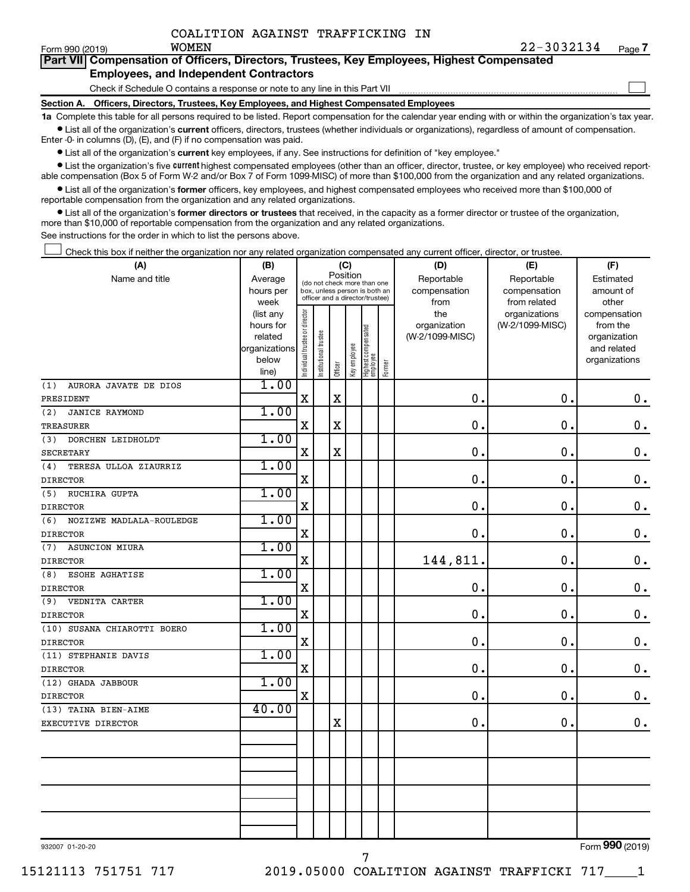$\Box$ 

| Form 990 (2019) | <b>WOMEN</b>                                                                               |  | $22 - 30$ |
|-----------------|--------------------------------------------------------------------------------------------|--|-----------|
|                 | Part VII Compensation of Officers, Directors, Trustees, Key Employees, Highest Compensated |  |           |
|                 | <b>Employees, and Independent Contractors</b>                                              |  |           |

Check if Schedule O contains a response or note to any line in this Part VII

**Section A. Officers, Directors, Trustees, Key Employees, and Highest Compensated Employees**

**1a**  Complete this table for all persons required to be listed. Report compensation for the calendar year ending with or within the organization's tax year.  $\bullet$  List all of the organization's current officers, directors, trustees (whether individuals or organizations), regardless of amount of compensation.

Enter -0- in columns (D), (E), and (F) if no compensation was paid.

**•** List all of the organization's current key employees, if any. See instructions for definition of "key employee."

• List the organization's five *current* highest compensated employees (other than an officer, director, trustee, or key employee) who received reportable compensation (Box 5 of Form W-2 and/or Box 7 of Form 1099-MISC) of more than \$100,000 from the organization and any related organizations.

 $\bullet$  List all of the organization's former officers, key employees, and highest compensated employees who received more than \$100,000 of reportable compensation from the organization and any related organizations.

**•** List all of the organization's former directors or trustees that received, in the capacity as a former director or trustee of the organization, more than \$10,000 of reportable compensation from the organization and any related organizations.

See instructions for the order in which to list the persons above.

Check this box if neither the organization nor any related organization compensated any current officer, director, or trustee.  $\Box$ 

| (A)                             | (B)                    | (C)                                     |                                                                  |             |              |                                   |        | (D)             | (E)                              | (F)                      |  |  |
|---------------------------------|------------------------|-----------------------------------------|------------------------------------------------------------------|-------------|--------------|-----------------------------------|--------|-----------------|----------------------------------|--------------------------|--|--|
| Name and title                  | Average                | Position<br>(do not check more than one |                                                                  |             |              |                                   |        | Reportable      | Reportable                       | Estimated                |  |  |
|                                 | hours per              |                                         | box, unless person is both an<br>officer and a director/trustee) |             |              |                                   |        | compensation    | compensation                     | amount of                |  |  |
|                                 | week                   |                                         |                                                                  |             |              |                                   |        | from<br>the     | from related                     | other                    |  |  |
|                                 | (list any<br>hours for |                                         |                                                                  |             |              |                                   |        | organization    | organizations<br>(W-2/1099-MISC) | compensation<br>from the |  |  |
|                                 | related                |                                         |                                                                  |             |              |                                   |        | (W-2/1099-MISC) |                                  | organization             |  |  |
|                                 | organizations          |                                         |                                                                  |             |              |                                   |        |                 |                                  | and related              |  |  |
|                                 | below                  | Individual trustee or director          | Institutional trustee                                            |             | Key employee |                                   |        |                 |                                  | organizations            |  |  |
|                                 | line)                  |                                         |                                                                  | Officer     |              | Highest compensated<br>  employee | Former |                 |                                  |                          |  |  |
| (1)<br>AURORA JAVATE DE DIOS    | 1.00                   |                                         |                                                                  |             |              |                                   |        |                 |                                  |                          |  |  |
| PRESIDENT                       |                        | $\mathbf X$                             |                                                                  | $\mathbf X$ |              |                                   |        | 0.              | 0.                               | $\mathbf 0$ .            |  |  |
| (2)<br><b>JANICE RAYMOND</b>    | 1.00                   |                                         |                                                                  |             |              |                                   |        |                 |                                  |                          |  |  |
| <b>TREASURER</b>                |                        | $\mathbf X$                             |                                                                  | $\mathbf X$ |              |                                   |        | $\mathbf 0$ .   | $\mathbf 0$ .                    | $\mathbf 0$ .            |  |  |
| DORCHEN LEIDHOLDT<br>(3)        | 1.00                   |                                         |                                                                  |             |              |                                   |        |                 |                                  |                          |  |  |
| <b>SECRETARY</b>                |                        | $\mathbf X$                             |                                                                  | $\rm X$     |              |                                   |        | $\mathbf 0$ .   | 0.                               | $\mathbf 0$ .            |  |  |
| TERESA ULLOA ZIAURRIZ<br>(4)    | 1.00                   |                                         |                                                                  |             |              |                                   |        |                 |                                  |                          |  |  |
| <b>DIRECTOR</b>                 |                        | $\mathbf X$                             |                                                                  |             |              |                                   |        | $\mathbf 0$ .   | $\mathbf 0$ .                    | $\mathbf 0$ .            |  |  |
| RUCHIRA GUPTA<br>(5)            | 1.00                   |                                         |                                                                  |             |              |                                   |        |                 |                                  |                          |  |  |
| <b>DIRECTOR</b>                 |                        | $\mathbf X$                             |                                                                  |             |              |                                   |        | $\mathbf 0$     | $\mathbf 0$ .                    | $\mathbf 0$ .            |  |  |
| (6)<br>NOZIZWE MADLALA-ROULEDGE | 1.00                   |                                         |                                                                  |             |              |                                   |        |                 |                                  |                          |  |  |
| <b>DIRECTOR</b>                 |                        | $\mathbf X$                             |                                                                  |             |              |                                   |        | 0               | $\mathbf 0$ .                    | $\mathbf 0$ .            |  |  |
| <b>ASUNCION MIURA</b><br>(7)    | 1.00                   |                                         |                                                                  |             |              |                                   |        |                 |                                  |                          |  |  |
| <b>DIRECTOR</b>                 |                        | X                                       |                                                                  |             |              |                                   |        | 144,811         | $\mathbf 0$ .                    | $\boldsymbol{0}$ .       |  |  |
| ESOHE AGHATISE<br>(8)           | 1.00                   |                                         |                                                                  |             |              |                                   |        |                 |                                  |                          |  |  |
| <b>DIRECTOR</b>                 |                        | $\mathbf X$                             |                                                                  |             |              |                                   |        | $\mathbf 0$ .   | $\mathbf 0$ .                    | $\mathbf 0$ .            |  |  |
| (9)<br>VEDNITA CARTER           | 1.00                   |                                         |                                                                  |             |              |                                   |        |                 |                                  |                          |  |  |
| <b>DIRECTOR</b>                 |                        | $\mathbf X$                             |                                                                  |             |              |                                   |        | $\mathbf 0$     | $\mathbf 0$ .                    | $\mathbf 0$ .            |  |  |
| (10) SUSANA CHIAROTTI BOERO     | 1.00                   |                                         |                                                                  |             |              |                                   |        |                 |                                  |                          |  |  |
| <b>DIRECTOR</b>                 |                        | $\mathbf X$                             |                                                                  |             |              |                                   |        | $\mathbf 0$ .   | $\mathbf 0$ .                    | $0$ .                    |  |  |
| (11) STEPHANIE DAVIS            | 1.00                   |                                         |                                                                  |             |              |                                   |        |                 |                                  |                          |  |  |
| <b>DIRECTOR</b>                 |                        | $\mathbf X$                             |                                                                  |             |              |                                   |        | 0.              | $\mathbf 0$ .                    | $\mathbf 0$ .            |  |  |
| (12) GHADA JABBOUR              | 1.00                   |                                         |                                                                  |             |              |                                   |        |                 |                                  |                          |  |  |
| <b>DIRECTOR</b>                 |                        | $\mathbf X$                             |                                                                  |             |              |                                   |        | 0.              | $\mathbf 0$ .                    | $\mathbf 0$ .            |  |  |
| (13) TAINA BIEN-AIME            | 40.00                  |                                         |                                                                  |             |              |                                   |        |                 |                                  |                          |  |  |
| EXECUTIVE DIRECTOR              |                        |                                         |                                                                  | $\mathbf X$ |              |                                   |        | $\mathbf 0$ .   | $\mathbf 0$ .                    | 0.                       |  |  |
|                                 |                        |                                         |                                                                  |             |              |                                   |        |                 |                                  |                          |  |  |
|                                 |                        |                                         |                                                                  |             |              |                                   |        |                 |                                  |                          |  |  |
|                                 |                        |                                         |                                                                  |             |              |                                   |        |                 |                                  |                          |  |  |
|                                 |                        |                                         |                                                                  |             |              |                                   |        |                 |                                  |                          |  |  |
|                                 |                        |                                         |                                                                  |             |              |                                   |        |                 |                                  |                          |  |  |
|                                 |                        |                                         |                                                                  |             |              |                                   |        |                 |                                  |                          |  |  |
|                                 |                        |                                         |                                                                  |             |              |                                   |        |                 |                                  |                          |  |  |
|                                 |                        |                                         |                                                                  |             |              |                                   |        |                 |                                  |                          |  |  |

7

932007 01-20-20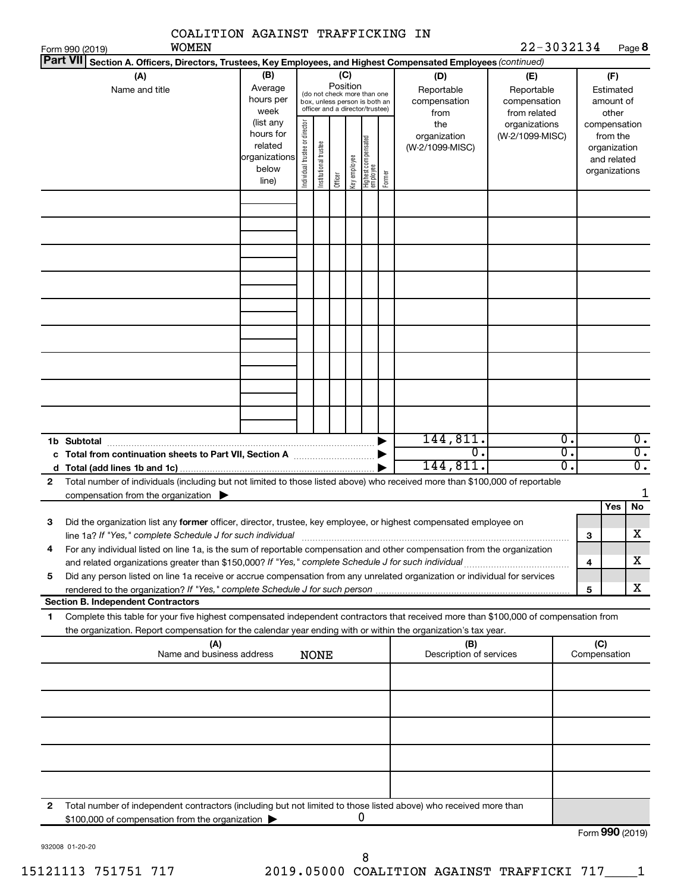| COALITION AGAINST TRAFFICKING IN                                                                                                                                                                                                          |                                                               |                                |                       |         |              |                                                                                                 |        |                                                                  |                                                                                       |                                              |                                                                    |                                      |
|-------------------------------------------------------------------------------------------------------------------------------------------------------------------------------------------------------------------------------------------|---------------------------------------------------------------|--------------------------------|-----------------------|---------|--------------|-------------------------------------------------------------------------------------------------|--------|------------------------------------------------------------------|---------------------------------------------------------------------------------------|----------------------------------------------|--------------------------------------------------------------------|--------------------------------------|
| <b>WOMEN</b><br>Form 990 (2019)                                                                                                                                                                                                           |                                                               |                                |                       |         |              |                                                                                                 |        |                                                                  | 22-3032134                                                                            |                                              |                                                                    | Page 8                               |
| <b>Part VII</b><br>Section A. Officers, Directors, Trustees, Key Employees, and Highest Compensated Employees (continued)                                                                                                                 |                                                               |                                |                       |         |              |                                                                                                 |        |                                                                  |                                                                                       |                                              |                                                                    |                                      |
| (A)<br>Name and title                                                                                                                                                                                                                     | (B)<br>Average<br>hours per<br>week<br>(list any<br>hours for |                                |                       | (C)     | Position     | (do not check more than one<br>box, unless person is both an<br>officer and a director/trustee) |        | (D)<br>Reportable<br>compensation<br>from<br>the<br>organization | (E)<br>Reportable<br>compensation<br>from related<br>organizations<br>(W-2/1099-MISC) |                                              | (F)<br>Estimated<br>amount of<br>other<br>compensation<br>from the |                                      |
|                                                                                                                                                                                                                                           | related<br>organizations<br>below<br>line)                    | Individual trustee or director | Institutional trustee | Officer | Key employee | Highest compensated<br> employee                                                                | Former | (W-2/1099-MISC)                                                  |                                                                                       | organization<br>and related<br>organizations |                                                                    |                                      |
|                                                                                                                                                                                                                                           |                                                               |                                |                       |         |              |                                                                                                 |        |                                                                  |                                                                                       |                                              |                                                                    |                                      |
|                                                                                                                                                                                                                                           |                                                               |                                |                       |         |              |                                                                                                 |        |                                                                  |                                                                                       |                                              |                                                                    |                                      |
|                                                                                                                                                                                                                                           |                                                               |                                |                       |         |              |                                                                                                 |        |                                                                  |                                                                                       |                                              |                                                                    |                                      |
|                                                                                                                                                                                                                                           |                                                               |                                |                       |         |              |                                                                                                 |        |                                                                  |                                                                                       |                                              |                                                                    |                                      |
| 1b Subtotal                                                                                                                                                                                                                               |                                                               |                                |                       |         |              |                                                                                                 |        | 144,811.                                                         |                                                                                       | $\overline{0}$ .                             |                                                                    | $\overline{0}$ .                     |
|                                                                                                                                                                                                                                           |                                                               |                                |                       |         |              |                                                                                                 |        | $\overline{0}$ .<br>144,811.                                     |                                                                                       | σ.<br>σ.                                     |                                                                    | $\overline{0}$ .<br>$\overline{0}$ . |
| Total number of individuals (including but not limited to those listed above) who received more than \$100,000 of reportable<br>$\mathbf{2}$                                                                                              |                                                               |                                |                       |         |              |                                                                                                 |        |                                                                  |                                                                                       |                                              |                                                                    | 1                                    |
| compensation from the organization $\blacktriangleright$                                                                                                                                                                                  |                                                               |                                |                       |         |              |                                                                                                 |        |                                                                  |                                                                                       |                                              | Yes                                                                | No                                   |
| Did the organization list any former officer, director, trustee, key employee, or highest compensated employee on<br>з<br>line 1a? If "Yes," complete Schedule J for such individual manufactured content content for the complete schedu |                                                               |                                |                       |         |              |                                                                                                 |        |                                                                  |                                                                                       |                                              | З                                                                  | $\overline{\text{X}}$                |
| For any individual listed on line 1a, is the sum of reportable compensation and other compensation from the organization<br>4                                                                                                             |                                                               |                                |                       |         |              |                                                                                                 |        |                                                                  |                                                                                       |                                              | 4                                                                  | x                                    |
| Did any person listed on line 1a receive or accrue compensation from any unrelated organization or individual for services<br>5                                                                                                           |                                                               |                                |                       |         |              |                                                                                                 |        |                                                                  |                                                                                       |                                              |                                                                    |                                      |
| <b>Section B. Independent Contractors</b>                                                                                                                                                                                                 |                                                               |                                |                       |         |              |                                                                                                 |        |                                                                  |                                                                                       |                                              | 5                                                                  | x                                    |
| Complete this table for your five highest compensated independent contractors that received more than \$100,000 of compensation from<br>1                                                                                                 |                                                               |                                |                       |         |              |                                                                                                 |        |                                                                  |                                                                                       |                                              |                                                                    |                                      |
| the organization. Report compensation for the calendar year ending with or within the organization's tax year.<br>(A)                                                                                                                     |                                                               |                                |                       |         |              |                                                                                                 |        | (B)                                                              |                                                                                       |                                              | (C)                                                                |                                      |
| Name and business address                                                                                                                                                                                                                 |                                                               |                                | <b>NONE</b>           |         |              |                                                                                                 |        | Description of services                                          |                                                                                       |                                              | Compensation                                                       |                                      |
|                                                                                                                                                                                                                                           |                                                               |                                |                       |         |              |                                                                                                 |        |                                                                  |                                                                                       |                                              |                                                                    |                                      |
|                                                                                                                                                                                                                                           |                                                               |                                |                       |         |              |                                                                                                 |        |                                                                  |                                                                                       |                                              |                                                                    |                                      |
|                                                                                                                                                                                                                                           |                                                               |                                |                       |         |              |                                                                                                 |        |                                                                  |                                                                                       |                                              |                                                                    |                                      |
|                                                                                                                                                                                                                                           |                                                               |                                |                       |         |              |                                                                                                 |        |                                                                  |                                                                                       |                                              |                                                                    |                                      |
|                                                                                                                                                                                                                                           |                                                               |                                |                       |         |              |                                                                                                 |        |                                                                  |                                                                                       |                                              |                                                                    |                                      |
| Total number of independent contractors (including but not limited to those listed above) who received more than<br>2<br>\$100,000 of compensation from the organization                                                                  |                                                               |                                |                       |         |              | 0                                                                                               |        |                                                                  |                                                                                       |                                              |                                                                    |                                      |
|                                                                                                                                                                                                                                           |                                                               |                                |                       |         |              |                                                                                                 |        |                                                                  |                                                                                       |                                              | Form 990 (2019)                                                    |                                      |

932008 01-20-20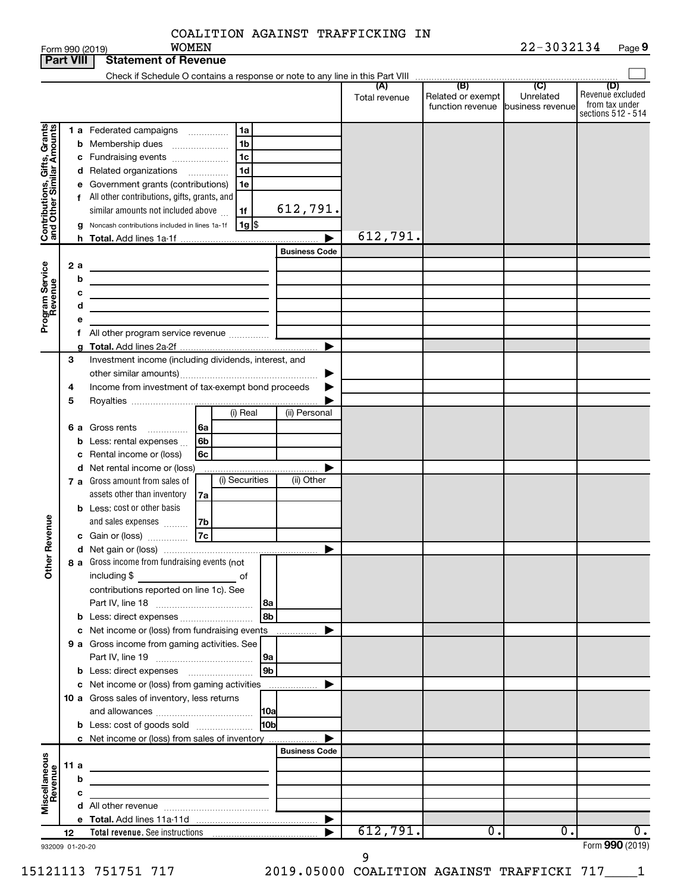|                              | <b>Part VIII</b> | <b>Statement of Revenue</b>                                                                                                                                              |                                                                                                                                                                                 |
|------------------------------|------------------|--------------------------------------------------------------------------------------------------------------------------------------------------------------------------|---------------------------------------------------------------------------------------------------------------------------------------------------------------------------------|
|                              |                  | Check if Schedule O contains a response or note to any line in this Part VIII                                                                                            |                                                                                                                                                                                 |
|                              |                  |                                                                                                                                                                          | (B)<br>(C)<br>(D)<br>(A)<br>Revenue excluded<br>Related or exempt<br>Unrelated<br>Total revenue<br>from tax under<br>function revenue<br>business revenue<br>sections 512 - 514 |
|                              |                  | <b>1 a</b> Federated campaigns<br>1a<br>.                                                                                                                                |                                                                                                                                                                                 |
| Contributions, Gifts, Grants |                  | <b>b</b> Membership dues<br>1b                                                                                                                                           |                                                                                                                                                                                 |
|                              |                  | c Fundraising events<br>1c                                                                                                                                               |                                                                                                                                                                                 |
|                              |                  | 1d<br>d Related organizations<br>.                                                                                                                                       |                                                                                                                                                                                 |
|                              |                  | Government grants (contributions)<br>1e<br>е                                                                                                                             |                                                                                                                                                                                 |
|                              |                  | f All other contributions, gifts, grants, and                                                                                                                            |                                                                                                                                                                                 |
|                              |                  | 612,791.<br>similar amounts not included above<br>1f                                                                                                                     |                                                                                                                                                                                 |
|                              |                  | $1g$ $\frac{1}{3}$<br>Noncash contributions included in lines 1a-1f<br>g                                                                                                 |                                                                                                                                                                                 |
|                              |                  |                                                                                                                                                                          | 612,791.                                                                                                                                                                        |
|                              |                  | <b>Business Code</b>                                                                                                                                                     |                                                                                                                                                                                 |
|                              | 2 a              |                                                                                                                                                                          |                                                                                                                                                                                 |
| Program Service<br>Revenue   | b                | the control of the control of the control of the control of the control of                                                                                               |                                                                                                                                                                                 |
|                              | с                | the control of the control of the control of the control of the                                                                                                          |                                                                                                                                                                                 |
|                              | d                | <u> 1989 - Johann Barn, amerikansk politiker (</u>                                                                                                                       |                                                                                                                                                                                 |
|                              | t.               |                                                                                                                                                                          |                                                                                                                                                                                 |
|                              |                  |                                                                                                                                                                          |                                                                                                                                                                                 |
|                              | 3                | Investment income (including dividends, interest, and                                                                                                                    |                                                                                                                                                                                 |
|                              |                  |                                                                                                                                                                          |                                                                                                                                                                                 |
|                              | 4                | Income from investment of tax-exempt bond proceeds                                                                                                                       |                                                                                                                                                                                 |
|                              | 5                |                                                                                                                                                                          |                                                                                                                                                                                 |
|                              |                  | (i) Real<br>(ii) Personal                                                                                                                                                |                                                                                                                                                                                 |
|                              | 6а               | Gross rents<br>6a<br>.                                                                                                                                                   |                                                                                                                                                                                 |
|                              | b                | Less: rental expenses<br>6b                                                                                                                                              |                                                                                                                                                                                 |
|                              |                  | c Rental income or (loss)<br>6c                                                                                                                                          |                                                                                                                                                                                 |
|                              |                  | d Net rental income or (loss)<br>.                                                                                                                                       |                                                                                                                                                                                 |
|                              |                  | (i) Securities<br>(ii) Other<br><b>7 a</b> Gross amount from sales of                                                                                                    |                                                                                                                                                                                 |
|                              |                  | assets other than inventory<br>7a                                                                                                                                        |                                                                                                                                                                                 |
|                              |                  | <b>b</b> Less: cost or other basis                                                                                                                                       |                                                                                                                                                                                 |
| Revenue                      |                  | and sales expenses<br>7b<br>7c                                                                                                                                           |                                                                                                                                                                                 |
|                              |                  | c Gain or (loss)                                                                                                                                                         |                                                                                                                                                                                 |
|                              |                  | 8 a Gross income from fundraising events (not                                                                                                                            |                                                                                                                                                                                 |
| $\check{\epsilon}$           |                  | including \$<br>of                                                                                                                                                       |                                                                                                                                                                                 |
|                              |                  | contributions reported on line 1c). See                                                                                                                                  |                                                                                                                                                                                 |
|                              |                  | 8a                                                                                                                                                                       |                                                                                                                                                                                 |
|                              |                  | 8 <sub>b</sub><br><b>b</b> Less: direct expenses <b>contained b</b>                                                                                                      |                                                                                                                                                                                 |
|                              |                  | c Net income or (loss) from fundraising events<br>.                                                                                                                      |                                                                                                                                                                                 |
|                              |                  | 9 a Gross income from gaming activities. See                                                                                                                             |                                                                                                                                                                                 |
|                              |                  | 9a                                                                                                                                                                       |                                                                                                                                                                                 |
|                              |                  | 9 <sub>b</sub><br><b>b</b> Less: direct expenses <b>manually</b>                                                                                                         |                                                                                                                                                                                 |
|                              |                  | c Net income or (loss) from gaming activities                                                                                                                            |                                                                                                                                                                                 |
|                              |                  | 10 a Gross sales of inventory, less returns                                                                                                                              |                                                                                                                                                                                 |
|                              |                  | 10a<br>l10bl                                                                                                                                                             |                                                                                                                                                                                 |
|                              |                  | <b>b</b> Less: cost of goods sold                                                                                                                                        |                                                                                                                                                                                 |
|                              |                  | c Net income or (loss) from sales of inventory<br><b>Business Code</b>                                                                                                   |                                                                                                                                                                                 |
|                              | 11 a             |                                                                                                                                                                          |                                                                                                                                                                                 |
|                              | b                | <u> 1989 - Johann Barbara, martin amerikan basal dan berasal dan berasal dalam basal dan berasal dan berasal dan</u>                                                     |                                                                                                                                                                                 |
|                              | с                | <u> 1989 - Johann John Stone, markin film ar yn y brenin y brenin y brenin y brenin y brenin y brenin y brenin y</u><br>the control of the control of the control of the |                                                                                                                                                                                 |
| Miscellaneous<br>Revenue     |                  |                                                                                                                                                                          |                                                                                                                                                                                 |
|                              |                  |                                                                                                                                                                          | $\blacktriangleright$                                                                                                                                                           |
|                              | 12               |                                                                                                                                                                          | 612,791.<br>0.<br>0.<br>$\overline{0}$ .                                                                                                                                        |
|                              | 932009 01-20-20  |                                                                                                                                                                          | Form 990 (2019)                                                                                                                                                                 |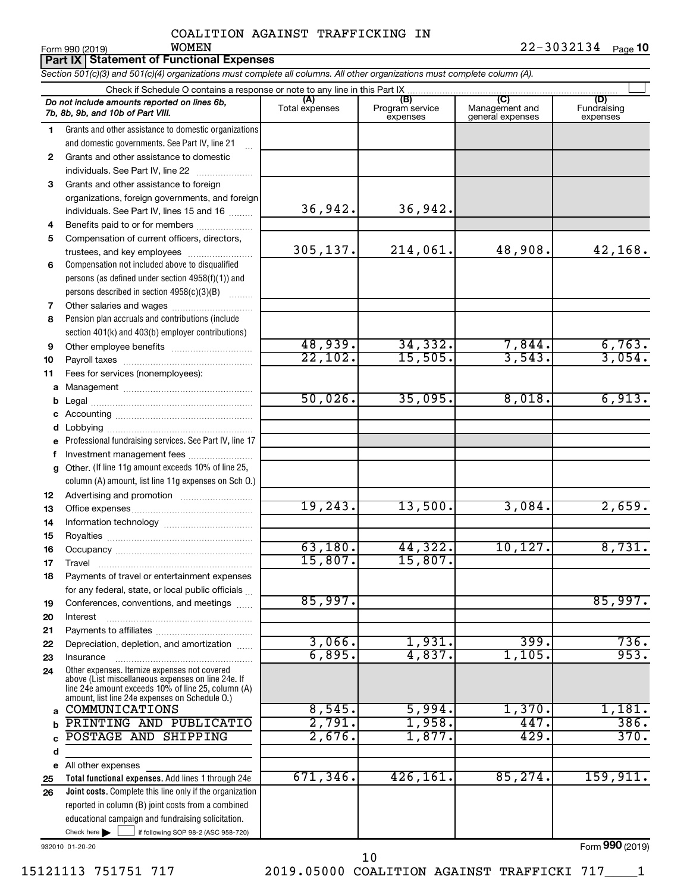|    | <b>WOMEN</b><br>Form 990 (2019)                                                                                                                                                                            |                       |                             |                                    | 22-3032134 Page 10      |  |  |  |  |
|----|------------------------------------------------------------------------------------------------------------------------------------------------------------------------------------------------------------|-----------------------|-----------------------------|------------------------------------|-------------------------|--|--|--|--|
|    | <b>Part IX   Statement of Functional Expenses</b><br>Section 501(c)(3) and 501(c)(4) organizations must complete all columns. All other organizations must complete column (A).                            |                       |                             |                                    |                         |  |  |  |  |
|    | Check if Schedule O contains a response or note to any line in this Part IX                                                                                                                                |                       |                             |                                    |                         |  |  |  |  |
|    |                                                                                                                                                                                                            |                       | (B)                         | (C)                                | (D)                     |  |  |  |  |
|    | Do not include amounts reported on lines 6b,<br>7b, 8b, 9b, and 10b of Part VIII.                                                                                                                          | (A)<br>Total expenses | Program service<br>expenses | Management and<br>general expenses | Fundraising<br>expenses |  |  |  |  |
| 1  | Grants and other assistance to domestic organizations                                                                                                                                                      |                       |                             |                                    |                         |  |  |  |  |
|    | and domestic governments. See Part IV, line 21                                                                                                                                                             |                       |                             |                                    |                         |  |  |  |  |
| 2  | Grants and other assistance to domestic                                                                                                                                                                    |                       |                             |                                    |                         |  |  |  |  |
|    | individuals. See Part IV, line 22                                                                                                                                                                          |                       |                             |                                    |                         |  |  |  |  |
| 3  | Grants and other assistance to foreign                                                                                                                                                                     |                       |                             |                                    |                         |  |  |  |  |
|    | organizations, foreign governments, and foreign                                                                                                                                                            |                       |                             |                                    |                         |  |  |  |  |
|    | individuals. See Part IV, lines 15 and 16                                                                                                                                                                  | 36,942.               | 36,942.                     |                                    |                         |  |  |  |  |
| 4  | Benefits paid to or for members                                                                                                                                                                            |                       |                             |                                    |                         |  |  |  |  |
| 5  | Compensation of current officers, directors,                                                                                                                                                               |                       |                             |                                    |                         |  |  |  |  |
|    | trustees, and key employees                                                                                                                                                                                | 305, 137.             | 214,061.                    | 48,908.                            | 42, 168.                |  |  |  |  |
| 6  | Compensation not included above to disqualified                                                                                                                                                            |                       |                             |                                    |                         |  |  |  |  |
|    | persons (as defined under section 4958(f)(1)) and                                                                                                                                                          |                       |                             |                                    |                         |  |  |  |  |
|    | persons described in section 4958(c)(3)(B)                                                                                                                                                                 |                       |                             |                                    |                         |  |  |  |  |
| 7  | Other salaries and wages                                                                                                                                                                                   |                       |                             |                                    |                         |  |  |  |  |
| 8  | Pension plan accruals and contributions (include                                                                                                                                                           |                       |                             |                                    |                         |  |  |  |  |
|    | section 401(k) and 403(b) employer contributions)                                                                                                                                                          |                       |                             |                                    |                         |  |  |  |  |
| 9  |                                                                                                                                                                                                            | 48,939.               | 34,332.                     | 7,844.                             | 6,763.                  |  |  |  |  |
| 10 |                                                                                                                                                                                                            | 22,102.               | 15,505.                     | 3,543.                             | 3,054.                  |  |  |  |  |
| 11 | Fees for services (nonemployees):                                                                                                                                                                          |                       |                             |                                    |                         |  |  |  |  |
|    |                                                                                                                                                                                                            |                       |                             |                                    |                         |  |  |  |  |
| b  |                                                                                                                                                                                                            | 50,026.               | 35,095.                     | 8,018.                             | 6,913.                  |  |  |  |  |
|    |                                                                                                                                                                                                            |                       |                             |                                    |                         |  |  |  |  |
|    |                                                                                                                                                                                                            |                       |                             |                                    |                         |  |  |  |  |
| е  | Professional fundraising services. See Part IV, line 17                                                                                                                                                    |                       |                             |                                    |                         |  |  |  |  |
| f. | Investment management fees                                                                                                                                                                                 |                       |                             |                                    |                         |  |  |  |  |
| g  | Other. (If line 11g amount exceeds 10% of line 25,                                                                                                                                                         |                       |                             |                                    |                         |  |  |  |  |
|    | column (A) amount, list line 11g expenses on Sch O.)                                                                                                                                                       |                       |                             |                                    |                         |  |  |  |  |
| 12 |                                                                                                                                                                                                            |                       |                             |                                    |                         |  |  |  |  |
| 13 |                                                                                                                                                                                                            | 19, 243.              | 13,500.                     | 3,084.                             | 2,659.                  |  |  |  |  |
| 14 |                                                                                                                                                                                                            |                       |                             |                                    |                         |  |  |  |  |
| 15 |                                                                                                                                                                                                            |                       |                             |                                    |                         |  |  |  |  |
| 16 |                                                                                                                                                                                                            | 63,180.               | 44,322.                     | 10, 127.                           | 8,731.                  |  |  |  |  |
| 17 |                                                                                                                                                                                                            | 15,807.               | 15,807.                     |                                    |                         |  |  |  |  |
| 18 | Payments of travel or entertainment expenses                                                                                                                                                               |                       |                             |                                    |                         |  |  |  |  |
|    | for any federal, state, or local public officials                                                                                                                                                          |                       |                             |                                    |                         |  |  |  |  |
| 19 | Conferences, conventions, and meetings                                                                                                                                                                     | 85,997.               |                             |                                    | 85,997.                 |  |  |  |  |
| 20 | Interest                                                                                                                                                                                                   |                       |                             |                                    |                         |  |  |  |  |
| 21 |                                                                                                                                                                                                            |                       |                             |                                    |                         |  |  |  |  |
| 22 | Depreciation, depletion, and amortization                                                                                                                                                                  | 3,066.                | 1,931.                      | 399.                               | 736.                    |  |  |  |  |
| 23 | Insurance                                                                                                                                                                                                  | 6,895.                | 4,837.                      | 1,105.                             | 953.                    |  |  |  |  |
| 24 | Other expenses. Itemize expenses not covered<br>above (List miscellaneous expenses on line 24e. If<br>line 24e amount exceeds 10% of line 25, column (A)<br>amount, list line 24e expenses on Schedule O.) |                       |                             |                                    |                         |  |  |  |  |
| a  | COMMUNICATIONS                                                                                                                                                                                             | 8,545.                | 5,994.                      | 1,370.                             | 1,181.                  |  |  |  |  |
| b  | PRINTING AND PUBLICATIO                                                                                                                                                                                    | 2,791.                | 1,958.                      | 447.                               | 386.                    |  |  |  |  |
|    | POSTAGE AND<br>SHIPPING                                                                                                                                                                                    | 2,676.                | 1,877.                      | 429.                               | 370.                    |  |  |  |  |
| d  |                                                                                                                                                                                                            |                       |                             |                                    |                         |  |  |  |  |

Check here  $\begin{array}{c} \begin{array}{|c} \hline \end{array} \end{array}$  if following SOP 98-2 (ASC 958-720) **Total functional expenses.**  Add lines 1 through 24e **Joint costs.** Complete this line only if the organization **e** All other expenses **25 26** reported in column (B) joint costs from a combined educational campaign and fundraising solicitation. Check here  $\blacktriangleright$ 671,346. 426,161. 85,274. 159,911.

932010 01-20-20

Form (2019) **990**

15121113 751751 717 2019.05000 COALITION AGAINST TRAFFICKI 717\_\_\_\_1 10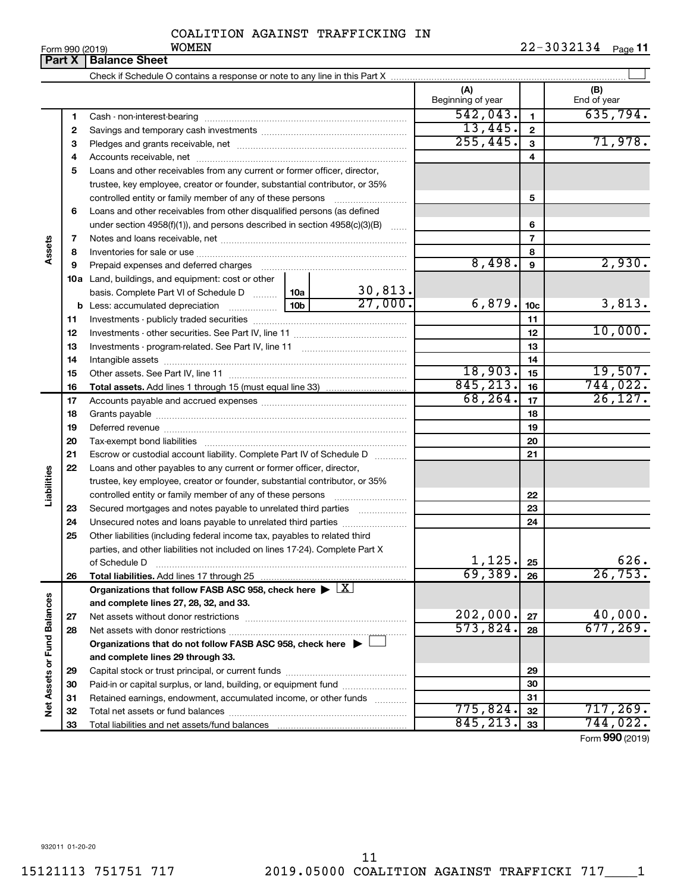| $\sim$ $(0.01)$ |  |  |  |
|-----------------|--|--|--|

|                             | Part X | <b>Balance Sheet</b>                                                                                                                                 |                 |              |                          |                 |                    |
|-----------------------------|--------|------------------------------------------------------------------------------------------------------------------------------------------------------|-----------------|--------------|--------------------------|-----------------|--------------------|
|                             |        |                                                                                                                                                      |                 |              |                          |                 |                    |
|                             |        |                                                                                                                                                      |                 |              | (A)<br>Beginning of year |                 | (B)<br>End of year |
|                             | 1      |                                                                                                                                                      |                 |              | 542,043.                 | $\mathbf{1}$    | 635,794.           |
|                             | 2      |                                                                                                                                                      | 13,445.         | $\mathbf{2}$ |                          |                 |                    |
|                             | З      |                                                                                                                                                      | 255,445.        | 3            | 71,978.                  |                 |                    |
|                             | 4      |                                                                                                                                                      |                 |              |                          | 4               |                    |
|                             | 5      | Loans and other receivables from any current or former officer, director,                                                                            |                 |              |                          |                 |                    |
|                             |        | trustee, key employee, creator or founder, substantial contributor, or 35%                                                                           |                 |              |                          |                 |                    |
|                             |        | controlled entity or family member of any of these persons                                                                                           |                 |              |                          | 5               |                    |
|                             | 6      | Loans and other receivables from other disqualified persons (as defined                                                                              |                 |              |                          |                 |                    |
|                             |        | under section 4958(f)(1)), and persons described in section 4958(c)(3)(B)                                                                            |                 |              |                          | 6               |                    |
|                             | 7      |                                                                                                                                                      |                 |              |                          | $\overline{7}$  |                    |
| Assets                      | 8      |                                                                                                                                                      |                 |              |                          | 8               |                    |
|                             | 9      | Prepaid expenses and deferred charges                                                                                                                |                 |              | 8,498.                   | 9               | 2,930.             |
|                             |        | <b>10a</b> Land, buildings, and equipment: cost or other                                                                                             |                 |              |                          |                 |                    |
|                             |        | basis. Complete Part VI of Schedule D    10a                                                                                                         |                 | 30,813.      |                          |                 |                    |
|                             |        | <b>b</b> Less: accumulated depreciation <i></i>                                                                                                      | 10 <sub>b</sub> | 27,000.      | 6,879.                   | 10 <sub>c</sub> | 3,813.             |
|                             | 11     |                                                                                                                                                      |                 | 11           |                          |                 |                    |
|                             | 12     |                                                                                                                                                      |                 | 12           | 10,000.                  |                 |                    |
|                             | 13     |                                                                                                                                                      |                 | 13           |                          |                 |                    |
|                             | 14     |                                                                                                                                                      |                 | 14           |                          |                 |                    |
|                             | 15     |                                                                                                                                                      |                 |              | 18,903.                  | 15              | 19,507.            |
|                             | 16     | <b>Total assets.</b> Add lines 1 through 15 (must equal line 33) <i></i>                                                                             |                 |              | 845, 213.                | 16              | 744,022.           |
|                             | 17     |                                                                                                                                                      |                 | 68, 264.     | 17                       | 26, 127.        |                    |
|                             | 18     |                                                                                                                                                      |                 | 18           |                          |                 |                    |
|                             | 19     |                                                                                                                                                      |                 |              |                          | 19              |                    |
|                             | 20     |                                                                                                                                                      |                 |              |                          | 20              |                    |
|                             | 21     | Escrow or custodial account liability. Complete Part IV of Schedule D                                                                                |                 |              |                          | 21              |                    |
| Liabilities                 | 22     | Loans and other payables to any current or former officer, director,                                                                                 |                 |              |                          |                 |                    |
|                             |        | trustee, key employee, creator or founder, substantial contributor, or 35%                                                                           |                 |              |                          |                 |                    |
|                             |        |                                                                                                                                                      |                 |              |                          | 22              |                    |
|                             | 23     | Secured mortgages and notes payable to unrelated third parties                                                                                       |                 |              |                          | 23              |                    |
|                             | 24     | Unsecured notes and loans payable to unrelated third parties                                                                                         |                 |              |                          | 24              |                    |
|                             | 25     | Other liabilities (including federal income tax, payables to related third                                                                           |                 |              |                          |                 |                    |
|                             |        | parties, and other liabilities not included on lines 17-24). Complete Part X                                                                         |                 |              | 1,125.                   | 25              | 626.               |
|                             |        | of Schedule D                                                                                                                                        |                 |              | 69,389.                  | 26              | 26,753.            |
|                             | 26     | Total liabilities. Add lines 17 through 25<br>Organizations that follow FASB ASC 958, check here $\blacktriangleright \lfloor \underline{X} \rfloor$ |                 |              |                          |                 |                    |
|                             |        | and complete lines 27, 28, 32, and 33.                                                                                                               |                 |              |                          |                 |                    |
|                             | 27     |                                                                                                                                                      |                 |              | 202,000.                 | 27              | 40,000.            |
|                             | 28     |                                                                                                                                                      |                 |              | 573,824.                 | 28              | 677, 269.          |
|                             |        | Organizations that do not follow FASB ASC 958, check here $\blacktriangleright \bot$                                                                 |                 |              |                          |                 |                    |
|                             |        | and complete lines 29 through 33.                                                                                                                    |                 |              |                          |                 |                    |
| Net Assets or Fund Balances | 29     |                                                                                                                                                      |                 |              |                          | 29              |                    |
|                             | 30     | Paid-in or capital surplus, or land, building, or equipment fund                                                                                     |                 |              |                          | 30              |                    |
|                             | 31     | Retained earnings, endowment, accumulated income, or other funds                                                                                     |                 |              |                          | 31              |                    |
|                             | 32     |                                                                                                                                                      |                 |              | 775,824.                 | 32              | 717,269.           |
|                             | 33     |                                                                                                                                                      |                 |              | 845, 213.                | 33              | 744,022.           |
|                             |        |                                                                                                                                                      |                 |              |                          |                 |                    |

Form (2019) **990**

932011 01-20-20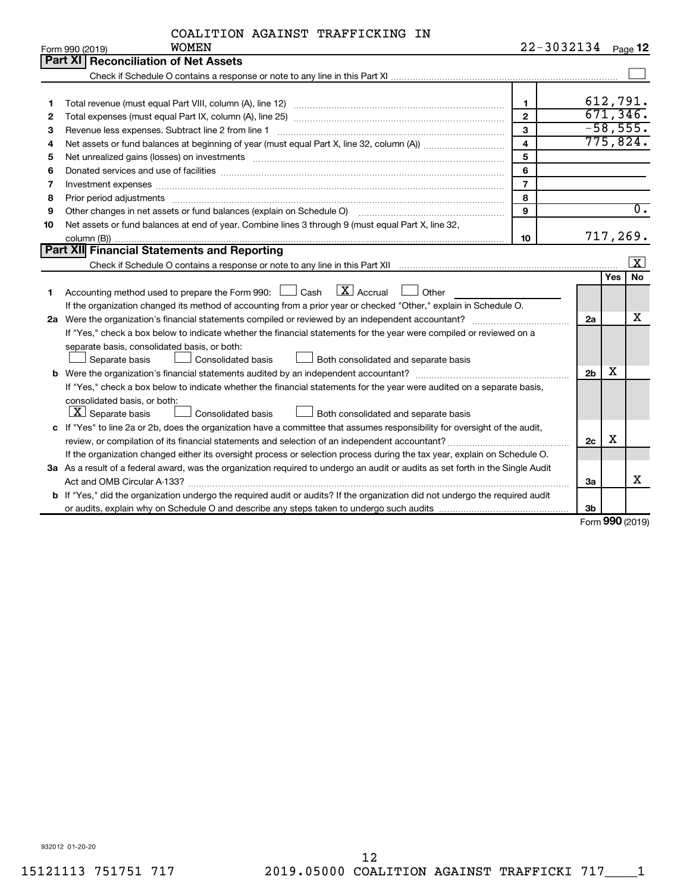|    | <b>WOMEN</b><br>Form 990 (2019)                                                                                                                                                                                                | 22-3032134              |                |            | Page 12                 |
|----|--------------------------------------------------------------------------------------------------------------------------------------------------------------------------------------------------------------------------------|-------------------------|----------------|------------|-------------------------|
|    | Part XI Reconciliation of Net Assets                                                                                                                                                                                           |                         |                |            |                         |
|    |                                                                                                                                                                                                                                |                         |                |            |                         |
|    |                                                                                                                                                                                                                                |                         |                |            |                         |
| 1  |                                                                                                                                                                                                                                | $\mathbf 1$             |                |            | 612,791.                |
| 2  |                                                                                                                                                                                                                                | $\overline{2}$          |                |            | 671, 346.               |
| З  |                                                                                                                                                                                                                                | $\mathbf{3}$            |                |            | $-58,555.$              |
| 4  |                                                                                                                                                                                                                                | $\overline{\mathbf{4}}$ |                |            | 775,824.                |
| 5  |                                                                                                                                                                                                                                | 5                       |                |            |                         |
| 6  | Donated services and use of facilities [[111] matter contracts and use of facilities [[11] matter contracts and use of facilities [[11] matter contracts and use of facilities [[11] matter contracts and a service contract o | 6                       |                |            |                         |
| 7  | Investment expenses www.communication.com/www.communication.com/www.communication.com/www.com                                                                                                                                  | $\overline{7}$          |                |            |                         |
| 8  | Prior period adjustments www.communication.communication.communication.com/news-managements                                                                                                                                    | 8                       |                |            |                         |
| 9  | Other changes in net assets or fund balances (explain on Schedule O)                                                                                                                                                           | 9                       |                |            | $\overline{0}$ .        |
| 10 | Net assets or fund balances at end of year. Combine lines 3 through 9 (must equal Part X, line 32,                                                                                                                             |                         |                |            |                         |
|    |                                                                                                                                                                                                                                | 10                      |                |            | 717,269.                |
|    | <b>Part XII</b> Financial Statements and Reporting                                                                                                                                                                             |                         |                |            |                         |
|    |                                                                                                                                                                                                                                |                         |                |            | $\overline{\mathbf{x}}$ |
|    |                                                                                                                                                                                                                                |                         |                | <b>Yes</b> | <b>No</b>               |
| 1  | $\mathbf{X}$ Accrual<br>Accounting method used to prepare the Form 990: [130] Cash<br>Other                                                                                                                                    |                         |                |            |                         |
|    | If the organization changed its method of accounting from a prior year or checked "Other," explain in Schedule O.                                                                                                              |                         |                |            |                         |
|    | 2a Were the organization's financial statements compiled or reviewed by an independent accountant?                                                                                                                             |                         | 2a             |            | х                       |
|    | If "Yes," check a box below to indicate whether the financial statements for the year were compiled or reviewed on a                                                                                                           |                         |                |            |                         |
|    | separate basis, consolidated basis, or both:                                                                                                                                                                                   |                         |                |            |                         |
|    | Separate basis<br>Consolidated basis<br>Both consolidated and separate basis                                                                                                                                                   |                         |                |            |                         |
|    |                                                                                                                                                                                                                                |                         | 2 <sub>b</sub> | х          |                         |
|    | If "Yes," check a box below to indicate whether the financial statements for the year were audited on a separate basis,                                                                                                        |                         |                |            |                         |
|    | consolidated basis, or both:                                                                                                                                                                                                   |                         |                |            |                         |
|    | $ \mathbf{X} $ Separate basis<br><b>Consolidated basis</b><br>Both consolidated and separate basis                                                                                                                             |                         |                |            |                         |
|    | c If "Yes" to line 2a or 2b, does the organization have a committee that assumes responsibility for oversight of the audit,                                                                                                    |                         |                |            |                         |
|    |                                                                                                                                                                                                                                |                         | 2c             | x          |                         |
|    | If the organization changed either its oversight process or selection process during the tax year, explain on Schedule O.                                                                                                      |                         |                |            |                         |
|    | 3a As a result of a federal award, was the organization required to undergo an audit or audits as set forth in the Single Audit                                                                                                |                         |                |            |                         |
|    |                                                                                                                                                                                                                                |                         | За             |            | х                       |
|    | b If "Yes," did the organization undergo the required audit or audits? If the organization did not undergo the required audit                                                                                                  |                         |                |            |                         |
|    |                                                                                                                                                                                                                                |                         | 3 <sub>b</sub> |            |                         |

Form (2019) **990**

932012 01-20-20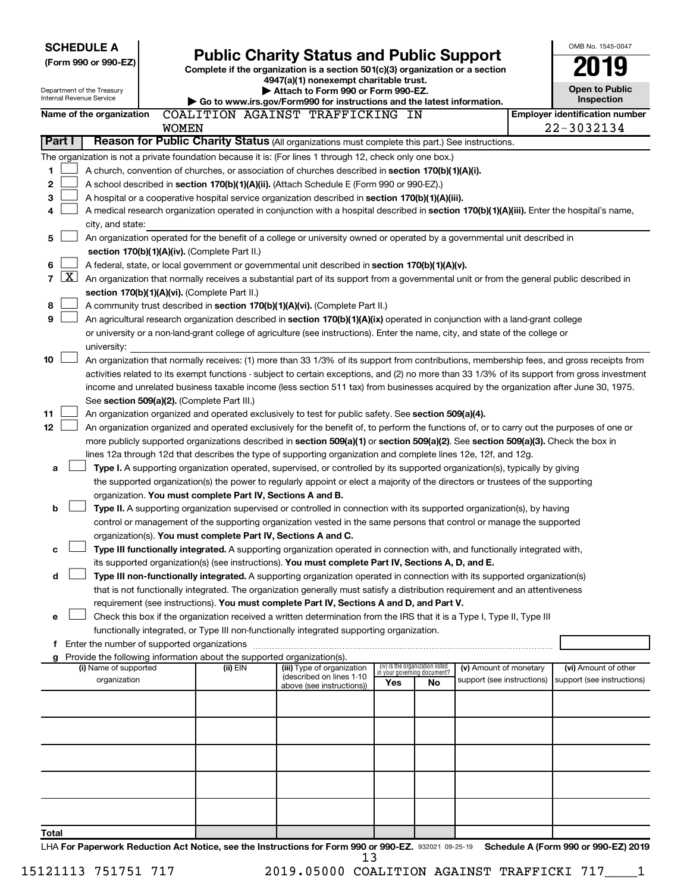|                      |                                                                              | <b>SCHEDULE A</b>                                      |  |                                                                                                                                                                                                                                 |                                                        |  |     |                                                                |                                                      |  | OMB No. 1545-0047                                                                                                                             |
|----------------------|------------------------------------------------------------------------------|--------------------------------------------------------|--|---------------------------------------------------------------------------------------------------------------------------------------------------------------------------------------------------------------------------------|--------------------------------------------------------|--|-----|----------------------------------------------------------------|------------------------------------------------------|--|-----------------------------------------------------------------------------------------------------------------------------------------------|
| (Form 990 or 990-EZ) |                                                                              |                                                        |  | <b>Public Charity Status and Public Support</b><br>Complete if the organization is a section 501(c)(3) organization or a section                                                                                                |                                                        |  |     |                                                                |                                                      |  |                                                                                                                                               |
|                      |                                                                              |                                                        |  |                                                                                                                                                                                                                                 | 4947(a)(1) nonexempt charitable trust.                 |  |     |                                                                |                                                      |  |                                                                                                                                               |
|                      |                                                                              | Department of the Treasury<br>Internal Revenue Service |  | Attach to Form 990 or Form 990-EZ.<br>Go to www.irs.gov/Form990 for instructions and the latest information.                                                                                                                    |                                                        |  |     |                                                                |                                                      |  | <b>Open to Public</b><br>Inspection                                                                                                           |
|                      |                                                                              |                                                        |  |                                                                                                                                                                                                                                 |                                                        |  |     |                                                                |                                                      |  | <b>Employer identification number</b>                                                                                                         |
|                      | COALITION AGAINST TRAFFICKING IN<br>Name of the organization<br><b>WOMEN</b> |                                                        |  |                                                                                                                                                                                                                                 |                                                        |  |     | 22-3032134                                                     |                                                      |  |                                                                                                                                               |
|                      | Part I                                                                       |                                                        |  | Reason for Public Charity Status (All organizations must complete this part.) See instructions.                                                                                                                                 |                                                        |  |     |                                                                |                                                      |  |                                                                                                                                               |
|                      |                                                                              |                                                        |  | The organization is not a private foundation because it is: (For lines 1 through 12, check only one box.)                                                                                                                       |                                                        |  |     |                                                                |                                                      |  |                                                                                                                                               |
| 1                    |                                                                              |                                                        |  | A church, convention of churches, or association of churches described in section 170(b)(1)(A)(i).                                                                                                                              |                                                        |  |     |                                                                |                                                      |  |                                                                                                                                               |
| 2                    |                                                                              |                                                        |  | A school described in section 170(b)(1)(A)(ii). (Attach Schedule E (Form 990 or 990-EZ).)                                                                                                                                       |                                                        |  |     |                                                                |                                                      |  |                                                                                                                                               |
| З                    |                                                                              |                                                        |  | A hospital or a cooperative hospital service organization described in section 170(b)(1)(A)(iii).                                                                                                                               |                                                        |  |     |                                                                |                                                      |  |                                                                                                                                               |
| 4                    |                                                                              |                                                        |  |                                                                                                                                                                                                                                 |                                                        |  |     |                                                                |                                                      |  | A medical research organization operated in conjunction with a hospital described in section 170(b)(1)(A)(iii). Enter the hospital's name,    |
|                      |                                                                              | city, and state:                                       |  |                                                                                                                                                                                                                                 |                                                        |  |     |                                                                |                                                      |  |                                                                                                                                               |
| 5                    |                                                                              |                                                        |  | An organization operated for the benefit of a college or university owned or operated by a governmental unit described in                                                                                                       |                                                        |  |     |                                                                |                                                      |  |                                                                                                                                               |
|                      |                                                                              |                                                        |  | section 170(b)(1)(A)(iv). (Complete Part II.)                                                                                                                                                                                   |                                                        |  |     |                                                                |                                                      |  |                                                                                                                                               |
| 6<br>$\overline{7}$  | $\mathbf{X}$                                                                 |                                                        |  | A federal, state, or local government or governmental unit described in section 170(b)(1)(A)(v).                                                                                                                                |                                                        |  |     |                                                                |                                                      |  |                                                                                                                                               |
|                      |                                                                              |                                                        |  | section 170(b)(1)(A)(vi). (Complete Part II.)                                                                                                                                                                                   |                                                        |  |     |                                                                |                                                      |  | An organization that normally receives a substantial part of its support from a governmental unit or from the general public described in     |
| 8                    |                                                                              |                                                        |  | A community trust described in section 170(b)(1)(A)(vi). (Complete Part II.)                                                                                                                                                    |                                                        |  |     |                                                                |                                                      |  |                                                                                                                                               |
| 9                    |                                                                              |                                                        |  | An agricultural research organization described in section 170(b)(1)(A)(ix) operated in conjunction with a land-grant college                                                                                                   |                                                        |  |     |                                                                |                                                      |  |                                                                                                                                               |
|                      |                                                                              |                                                        |  | or university or a non-land-grant college of agriculture (see instructions). Enter the name, city, and state of the college or                                                                                                  |                                                        |  |     |                                                                |                                                      |  |                                                                                                                                               |
|                      |                                                                              | university:                                            |  |                                                                                                                                                                                                                                 |                                                        |  |     |                                                                |                                                      |  |                                                                                                                                               |
| 10                   |                                                                              |                                                        |  |                                                                                                                                                                                                                                 |                                                        |  |     |                                                                |                                                      |  | An organization that normally receives: (1) more than 33 1/3% of its support from contributions, membership fees, and gross receipts from     |
|                      |                                                                              |                                                        |  |                                                                                                                                                                                                                                 |                                                        |  |     |                                                                |                                                      |  | activities related to its exempt functions - subject to certain exceptions, and (2) no more than 33 1/3% of its support from gross investment |
|                      |                                                                              |                                                        |  |                                                                                                                                                                                                                                 |                                                        |  |     |                                                                |                                                      |  | income and unrelated business taxable income (less section 511 tax) from businesses acquired by the organization after June 30, 1975.         |
|                      |                                                                              |                                                        |  | See section 509(a)(2). (Complete Part III.)                                                                                                                                                                                     |                                                        |  |     |                                                                |                                                      |  |                                                                                                                                               |
| 11                   |                                                                              |                                                        |  | An organization organized and operated exclusively to test for public safety. See section 509(a)(4).                                                                                                                            |                                                        |  |     |                                                                |                                                      |  |                                                                                                                                               |
| 12                   |                                                                              |                                                        |  | more publicly supported organizations described in section 509(a)(1) or section 509(a)(2). See section 509(a)(3). Check the box in                                                                                              |                                                        |  |     |                                                                |                                                      |  | An organization organized and operated exclusively for the benefit of, to perform the functions of, or to carry out the purposes of one or    |
|                      |                                                                              |                                                        |  | lines 12a through 12d that describes the type of supporting organization and complete lines 12e, 12f, and 12g.                                                                                                                  |                                                        |  |     |                                                                |                                                      |  |                                                                                                                                               |
| a                    |                                                                              |                                                        |  | Type I. A supporting organization operated, supervised, or controlled by its supported organization(s), typically by giving                                                                                                     |                                                        |  |     |                                                                |                                                      |  |                                                                                                                                               |
|                      |                                                                              |                                                        |  | the supported organization(s) the power to regularly appoint or elect a majority of the directors or trustees of the supporting                                                                                                 |                                                        |  |     |                                                                |                                                      |  |                                                                                                                                               |
|                      |                                                                              |                                                        |  | organization. You must complete Part IV, Sections A and B.                                                                                                                                                                      |                                                        |  |     |                                                                |                                                      |  |                                                                                                                                               |
| b                    |                                                                              |                                                        |  | Type II. A supporting organization supervised or controlled in connection with its supported organization(s), by having                                                                                                         |                                                        |  |     |                                                                |                                                      |  |                                                                                                                                               |
|                      |                                                                              |                                                        |  | control or management of the supporting organization vested in the same persons that control or manage the supported                                                                                                            |                                                        |  |     |                                                                |                                                      |  |                                                                                                                                               |
|                      |                                                                              |                                                        |  | organization(s). You must complete Part IV, Sections A and C.                                                                                                                                                                   |                                                        |  |     |                                                                |                                                      |  |                                                                                                                                               |
| с                    |                                                                              |                                                        |  | Type III functionally integrated. A supporting organization operated in connection with, and functionally integrated with,                                                                                                      |                                                        |  |     |                                                                |                                                      |  |                                                                                                                                               |
| d                    |                                                                              |                                                        |  | its supported organization(s) (see instructions). You must complete Part IV, Sections A, D, and E.<br>Type III non-functionally integrated. A supporting organization operated in connection with its supported organization(s) |                                                        |  |     |                                                                |                                                      |  |                                                                                                                                               |
|                      |                                                                              |                                                        |  | that is not functionally integrated. The organization generally must satisfy a distribution requirement and an attentiveness                                                                                                    |                                                        |  |     |                                                                |                                                      |  |                                                                                                                                               |
|                      |                                                                              |                                                        |  | requirement (see instructions). You must complete Part IV, Sections A and D, and Part V.                                                                                                                                        |                                                        |  |     |                                                                |                                                      |  |                                                                                                                                               |
| е                    |                                                                              |                                                        |  | Check this box if the organization received a written determination from the IRS that it is a Type I, Type II, Type III                                                                                                         |                                                        |  |     |                                                                |                                                      |  |                                                                                                                                               |
|                      |                                                                              |                                                        |  | functionally integrated, or Type III non-functionally integrated supporting organization.                                                                                                                                       |                                                        |  |     |                                                                |                                                      |  |                                                                                                                                               |
|                      |                                                                              |                                                        |  |                                                                                                                                                                                                                                 |                                                        |  |     |                                                                |                                                      |  |                                                                                                                                               |
| g                    |                                                                              |                                                        |  | Provide the following information about the supported organization(s).                                                                                                                                                          |                                                        |  |     |                                                                |                                                      |  |                                                                                                                                               |
|                      |                                                                              | (i) Name of supported<br>organization                  |  | (ii) EIN                                                                                                                                                                                                                        | (iii) Type of organization<br>(described on lines 1-10 |  |     | (iv) Is the organization listed<br>in your governing document? | (v) Amount of monetary<br>support (see instructions) |  | (vi) Amount of other<br>support (see instructions)                                                                                            |
|                      |                                                                              |                                                        |  |                                                                                                                                                                                                                                 | above (see instructions))                              |  | Yes | No                                                             |                                                      |  |                                                                                                                                               |
|                      |                                                                              |                                                        |  |                                                                                                                                                                                                                                 |                                                        |  |     |                                                                |                                                      |  |                                                                                                                                               |
|                      |                                                                              |                                                        |  |                                                                                                                                                                                                                                 |                                                        |  |     |                                                                |                                                      |  |                                                                                                                                               |
|                      |                                                                              |                                                        |  |                                                                                                                                                                                                                                 |                                                        |  |     |                                                                |                                                      |  |                                                                                                                                               |
|                      |                                                                              |                                                        |  |                                                                                                                                                                                                                                 |                                                        |  |     |                                                                |                                                      |  |                                                                                                                                               |
|                      |                                                                              |                                                        |  |                                                                                                                                                                                                                                 |                                                        |  |     |                                                                |                                                      |  |                                                                                                                                               |
|                      |                                                                              |                                                        |  |                                                                                                                                                                                                                                 |                                                        |  |     |                                                                |                                                      |  |                                                                                                                                               |
|                      |                                                                              |                                                        |  |                                                                                                                                                                                                                                 |                                                        |  |     |                                                                |                                                      |  |                                                                                                                                               |
|                      |                                                                              |                                                        |  |                                                                                                                                                                                                                                 |                                                        |  |     |                                                                |                                                      |  |                                                                                                                                               |
|                      |                                                                              |                                                        |  |                                                                                                                                                                                                                                 |                                                        |  |     |                                                                |                                                      |  |                                                                                                                                               |
| Total                |                                                                              |                                                        |  |                                                                                                                                                                                                                                 |                                                        |  |     |                                                                |                                                      |  |                                                                                                                                               |

932021 09-25-19 LHA For Paperwork Reduction Act Notice, see the Instructions for Form 990 or 990-EZ. 932021 09-25-19 Schedule A (Form 990 or 990-EZ) 2019 13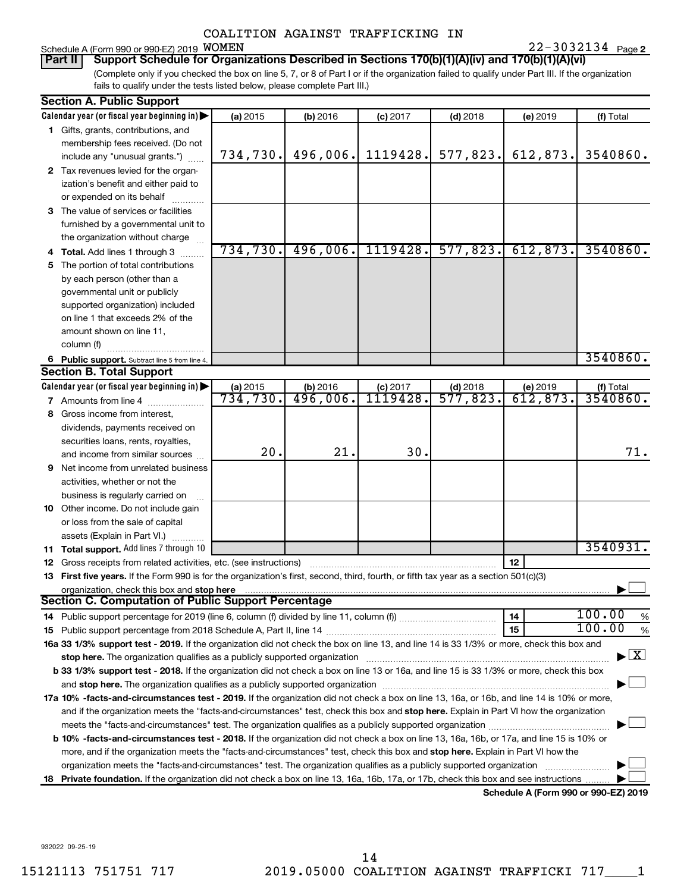## Schedule A (Form 990 or 990-EZ) 2019 WOMEN

**2** WOMEN 22-3032134

(Complete only if you checked the box on line 5, 7, or 8 of Part I or if the organization failed to qualify under Part III. If the organization fails to qualify under the tests listed below, please complete Part III.) **Part II Support Schedule for Organizations Described in Sections 170(b)(1)(A)(iv) and 170(b)(1)(A)(vi)**

| Calendar year (or fiscal year beginning in)<br>(a) 2015<br>(f) Total<br>(b) 2016<br>$(c)$ 2017<br>$(d)$ 2018<br>(e) 2019<br>1 Gifts, grants, contributions, and<br>membership fees received. (Do not<br>496,006.<br>1119428.<br>577,823.<br>612,873.<br>3540860.<br>734,730.<br>include any "unusual grants.")<br>2 Tax revenues levied for the organ-<br>ization's benefit and either paid to<br>or expended on its behalf<br>3 The value of services or facilities<br>furnished by a governmental unit to<br>the organization without charge<br>496,006.<br>1119428.<br>577,823.<br>734,730.<br>612,873.<br>3540860.<br>4 Total. Add lines 1 through 3<br>The portion of total contributions<br>5.<br>by each person (other than a<br>governmental unit or publicly<br>supported organization) included<br>on line 1 that exceeds 2% of the<br>amount shown on line 11,<br>column (f)<br>3540860.<br>6 Public support. Subtract line 5 from line 4.<br><b>Section B. Total Support</b><br>Calendar year (or fiscal year beginning in)<br>(b) 2016<br>(a) 2015<br>$(c)$ 2017<br>$(d)$ 2018<br>(e) 2019<br>(f) Total<br><b>1119428.</b><br>734,730.<br>496,006.<br>$\overline{577,823}$<br>612,873.<br>3540860.<br><b>7</b> Amounts from line 4<br>Gross income from interest,<br>8<br>dividends, payments received on<br>securities loans, rents, royalties,<br>20.<br>21.<br>30.<br>71.<br>and income from similar sources<br>Net income from unrelated business<br>9<br>activities, whether or not the<br>business is regularly carried on<br>10 Other income. Do not include gain<br>or loss from the sale of capital<br>assets (Explain in Part VI.)<br>3540931.<br><b>11 Total support.</b> Add lines 7 through 10<br>12<br>12 Gross receipts from related activities, etc. (see instructions)<br>13 First five years. If the Form 990 is for the organization's first, second, third, fourth, or fifth tax year as a section 501(c)(3)<br>organization, check this box and stop here<br>Section C. Computation of Public Support Percentage<br>100.00<br>%<br>14<br>100.00<br>15<br>%<br>16a 33 1/3% support test - 2019. If the organization did not check the box on line 13, and line 14 is 33 1/3% or more, check this box and<br>$\blacktriangleright$ $\mathbf{X}$<br>stop here. The organization qualifies as a publicly supported organization manufaction manufacture content and the state of the state of the state of the state of the state of the state of the state of the state of the sta<br>b 33 1/3% support test - 2018. If the organization did not check a box on line 13 or 16a, and line 15 is 33 1/3% or more, check this box<br>17a 10% -facts-and-circumstances test - 2019. If the organization did not check a box on line 13, 16a, or 16b, and line 14 is 10% or more,<br>and if the organization meets the "facts-and-circumstances" test, check this box and stop here. Explain in Part VI how the organization<br>b 10% -facts-and-circumstances test - 2018. If the organization did not check a box on line 13, 16a, 16b, or 17a, and line 15 is 10% or<br>more, and if the organization meets the "facts-and-circumstances" test, check this box and <b>stop here.</b> Explain in Part VI how the<br>organization meets the "facts-and-circumstances" test. The organization qualifies as a publicly supported organization<br>Private foundation. If the organization did not check a box on line 13, 16a, 16b, 17a, or 17b, check this box and see instructions<br>18.<br>Schedule A (Form 990 or 990-EZ) 2019 | <b>Section A. Public Support</b> |  |  |  |
|-------------------------------------------------------------------------------------------------------------------------------------------------------------------------------------------------------------------------------------------------------------------------------------------------------------------------------------------------------------------------------------------------------------------------------------------------------------------------------------------------------------------------------------------------------------------------------------------------------------------------------------------------------------------------------------------------------------------------------------------------------------------------------------------------------------------------------------------------------------------------------------------------------------------------------------------------------------------------------------------------------------------------------------------------------------------------------------------------------------------------------------------------------------------------------------------------------------------------------------------------------------------------------------------------------------------------------------------------------------------------------------------------------------------------------------------------------------------------------------------------------------------------------------------------------------------------------------------------------------------------------------------------------------------------------------------------------------------------------------------------------------------------------------------------------------------------------------------------------------------------------------------------------------------------------------------------------------------------------------------------------------------------------------------------------------------------------------------------------------------------------------------------------------------------------------------------------------------------------------------------------------------------------------------------------------------------------------------------------------------------------------------------------------------------------------------------------------------------------------------------------------------------------------------------------------------------------------------------------------------------------------------------------------------------------------------------------------------------------------------------------------------------------------------------------------------------------------------------------------------------------------------------------------------------------------------------------------------------------------------------------------------------------------------------------------------------------------------------------------------------------------------------------------------------------------------------------------------------------------------------------------------------------------------------------------------------------------------------------------------------------------------------------------------------------------------------------------------------------------------------------------------------------------------------------------|----------------------------------|--|--|--|
|                                                                                                                                                                                                                                                                                                                                                                                                                                                                                                                                                                                                                                                                                                                                                                                                                                                                                                                                                                                                                                                                                                                                                                                                                                                                                                                                                                                                                                                                                                                                                                                                                                                                                                                                                                                                                                                                                                                                                                                                                                                                                                                                                                                                                                                                                                                                                                                                                                                                                                                                                                                                                                                                                                                                                                                                                                                                                                                                                                                                                                                                                                                                                                                                                                                                                                                                                                                                                                                                                                                                                             |                                  |  |  |  |
|                                                                                                                                                                                                                                                                                                                                                                                                                                                                                                                                                                                                                                                                                                                                                                                                                                                                                                                                                                                                                                                                                                                                                                                                                                                                                                                                                                                                                                                                                                                                                                                                                                                                                                                                                                                                                                                                                                                                                                                                                                                                                                                                                                                                                                                                                                                                                                                                                                                                                                                                                                                                                                                                                                                                                                                                                                                                                                                                                                                                                                                                                                                                                                                                                                                                                                                                                                                                                                                                                                                                                             |                                  |  |  |  |
|                                                                                                                                                                                                                                                                                                                                                                                                                                                                                                                                                                                                                                                                                                                                                                                                                                                                                                                                                                                                                                                                                                                                                                                                                                                                                                                                                                                                                                                                                                                                                                                                                                                                                                                                                                                                                                                                                                                                                                                                                                                                                                                                                                                                                                                                                                                                                                                                                                                                                                                                                                                                                                                                                                                                                                                                                                                                                                                                                                                                                                                                                                                                                                                                                                                                                                                                                                                                                                                                                                                                                             |                                  |  |  |  |
|                                                                                                                                                                                                                                                                                                                                                                                                                                                                                                                                                                                                                                                                                                                                                                                                                                                                                                                                                                                                                                                                                                                                                                                                                                                                                                                                                                                                                                                                                                                                                                                                                                                                                                                                                                                                                                                                                                                                                                                                                                                                                                                                                                                                                                                                                                                                                                                                                                                                                                                                                                                                                                                                                                                                                                                                                                                                                                                                                                                                                                                                                                                                                                                                                                                                                                                                                                                                                                                                                                                                                             |                                  |  |  |  |
|                                                                                                                                                                                                                                                                                                                                                                                                                                                                                                                                                                                                                                                                                                                                                                                                                                                                                                                                                                                                                                                                                                                                                                                                                                                                                                                                                                                                                                                                                                                                                                                                                                                                                                                                                                                                                                                                                                                                                                                                                                                                                                                                                                                                                                                                                                                                                                                                                                                                                                                                                                                                                                                                                                                                                                                                                                                                                                                                                                                                                                                                                                                                                                                                                                                                                                                                                                                                                                                                                                                                                             |                                  |  |  |  |
|                                                                                                                                                                                                                                                                                                                                                                                                                                                                                                                                                                                                                                                                                                                                                                                                                                                                                                                                                                                                                                                                                                                                                                                                                                                                                                                                                                                                                                                                                                                                                                                                                                                                                                                                                                                                                                                                                                                                                                                                                                                                                                                                                                                                                                                                                                                                                                                                                                                                                                                                                                                                                                                                                                                                                                                                                                                                                                                                                                                                                                                                                                                                                                                                                                                                                                                                                                                                                                                                                                                                                             |                                  |  |  |  |
|                                                                                                                                                                                                                                                                                                                                                                                                                                                                                                                                                                                                                                                                                                                                                                                                                                                                                                                                                                                                                                                                                                                                                                                                                                                                                                                                                                                                                                                                                                                                                                                                                                                                                                                                                                                                                                                                                                                                                                                                                                                                                                                                                                                                                                                                                                                                                                                                                                                                                                                                                                                                                                                                                                                                                                                                                                                                                                                                                                                                                                                                                                                                                                                                                                                                                                                                                                                                                                                                                                                                                             |                                  |  |  |  |
|                                                                                                                                                                                                                                                                                                                                                                                                                                                                                                                                                                                                                                                                                                                                                                                                                                                                                                                                                                                                                                                                                                                                                                                                                                                                                                                                                                                                                                                                                                                                                                                                                                                                                                                                                                                                                                                                                                                                                                                                                                                                                                                                                                                                                                                                                                                                                                                                                                                                                                                                                                                                                                                                                                                                                                                                                                                                                                                                                                                                                                                                                                                                                                                                                                                                                                                                                                                                                                                                                                                                                             |                                  |  |  |  |
|                                                                                                                                                                                                                                                                                                                                                                                                                                                                                                                                                                                                                                                                                                                                                                                                                                                                                                                                                                                                                                                                                                                                                                                                                                                                                                                                                                                                                                                                                                                                                                                                                                                                                                                                                                                                                                                                                                                                                                                                                                                                                                                                                                                                                                                                                                                                                                                                                                                                                                                                                                                                                                                                                                                                                                                                                                                                                                                                                                                                                                                                                                                                                                                                                                                                                                                                                                                                                                                                                                                                                             |                                  |  |  |  |
|                                                                                                                                                                                                                                                                                                                                                                                                                                                                                                                                                                                                                                                                                                                                                                                                                                                                                                                                                                                                                                                                                                                                                                                                                                                                                                                                                                                                                                                                                                                                                                                                                                                                                                                                                                                                                                                                                                                                                                                                                                                                                                                                                                                                                                                                                                                                                                                                                                                                                                                                                                                                                                                                                                                                                                                                                                                                                                                                                                                                                                                                                                                                                                                                                                                                                                                                                                                                                                                                                                                                                             |                                  |  |  |  |
|                                                                                                                                                                                                                                                                                                                                                                                                                                                                                                                                                                                                                                                                                                                                                                                                                                                                                                                                                                                                                                                                                                                                                                                                                                                                                                                                                                                                                                                                                                                                                                                                                                                                                                                                                                                                                                                                                                                                                                                                                                                                                                                                                                                                                                                                                                                                                                                                                                                                                                                                                                                                                                                                                                                                                                                                                                                                                                                                                                                                                                                                                                                                                                                                                                                                                                                                                                                                                                                                                                                                                             |                                  |  |  |  |
|                                                                                                                                                                                                                                                                                                                                                                                                                                                                                                                                                                                                                                                                                                                                                                                                                                                                                                                                                                                                                                                                                                                                                                                                                                                                                                                                                                                                                                                                                                                                                                                                                                                                                                                                                                                                                                                                                                                                                                                                                                                                                                                                                                                                                                                                                                                                                                                                                                                                                                                                                                                                                                                                                                                                                                                                                                                                                                                                                                                                                                                                                                                                                                                                                                                                                                                                                                                                                                                                                                                                                             |                                  |  |  |  |
|                                                                                                                                                                                                                                                                                                                                                                                                                                                                                                                                                                                                                                                                                                                                                                                                                                                                                                                                                                                                                                                                                                                                                                                                                                                                                                                                                                                                                                                                                                                                                                                                                                                                                                                                                                                                                                                                                                                                                                                                                                                                                                                                                                                                                                                                                                                                                                                                                                                                                                                                                                                                                                                                                                                                                                                                                                                                                                                                                                                                                                                                                                                                                                                                                                                                                                                                                                                                                                                                                                                                                             |                                  |  |  |  |
|                                                                                                                                                                                                                                                                                                                                                                                                                                                                                                                                                                                                                                                                                                                                                                                                                                                                                                                                                                                                                                                                                                                                                                                                                                                                                                                                                                                                                                                                                                                                                                                                                                                                                                                                                                                                                                                                                                                                                                                                                                                                                                                                                                                                                                                                                                                                                                                                                                                                                                                                                                                                                                                                                                                                                                                                                                                                                                                                                                                                                                                                                                                                                                                                                                                                                                                                                                                                                                                                                                                                                             |                                  |  |  |  |
|                                                                                                                                                                                                                                                                                                                                                                                                                                                                                                                                                                                                                                                                                                                                                                                                                                                                                                                                                                                                                                                                                                                                                                                                                                                                                                                                                                                                                                                                                                                                                                                                                                                                                                                                                                                                                                                                                                                                                                                                                                                                                                                                                                                                                                                                                                                                                                                                                                                                                                                                                                                                                                                                                                                                                                                                                                                                                                                                                                                                                                                                                                                                                                                                                                                                                                                                                                                                                                                                                                                                                             |                                  |  |  |  |
|                                                                                                                                                                                                                                                                                                                                                                                                                                                                                                                                                                                                                                                                                                                                                                                                                                                                                                                                                                                                                                                                                                                                                                                                                                                                                                                                                                                                                                                                                                                                                                                                                                                                                                                                                                                                                                                                                                                                                                                                                                                                                                                                                                                                                                                                                                                                                                                                                                                                                                                                                                                                                                                                                                                                                                                                                                                                                                                                                                                                                                                                                                                                                                                                                                                                                                                                                                                                                                                                                                                                                             |                                  |  |  |  |
|                                                                                                                                                                                                                                                                                                                                                                                                                                                                                                                                                                                                                                                                                                                                                                                                                                                                                                                                                                                                                                                                                                                                                                                                                                                                                                                                                                                                                                                                                                                                                                                                                                                                                                                                                                                                                                                                                                                                                                                                                                                                                                                                                                                                                                                                                                                                                                                                                                                                                                                                                                                                                                                                                                                                                                                                                                                                                                                                                                                                                                                                                                                                                                                                                                                                                                                                                                                                                                                                                                                                                             |                                  |  |  |  |
|                                                                                                                                                                                                                                                                                                                                                                                                                                                                                                                                                                                                                                                                                                                                                                                                                                                                                                                                                                                                                                                                                                                                                                                                                                                                                                                                                                                                                                                                                                                                                                                                                                                                                                                                                                                                                                                                                                                                                                                                                                                                                                                                                                                                                                                                                                                                                                                                                                                                                                                                                                                                                                                                                                                                                                                                                                                                                                                                                                                                                                                                                                                                                                                                                                                                                                                                                                                                                                                                                                                                                             |                                  |  |  |  |
|                                                                                                                                                                                                                                                                                                                                                                                                                                                                                                                                                                                                                                                                                                                                                                                                                                                                                                                                                                                                                                                                                                                                                                                                                                                                                                                                                                                                                                                                                                                                                                                                                                                                                                                                                                                                                                                                                                                                                                                                                                                                                                                                                                                                                                                                                                                                                                                                                                                                                                                                                                                                                                                                                                                                                                                                                                                                                                                                                                                                                                                                                                                                                                                                                                                                                                                                                                                                                                                                                                                                                             |                                  |  |  |  |
|                                                                                                                                                                                                                                                                                                                                                                                                                                                                                                                                                                                                                                                                                                                                                                                                                                                                                                                                                                                                                                                                                                                                                                                                                                                                                                                                                                                                                                                                                                                                                                                                                                                                                                                                                                                                                                                                                                                                                                                                                                                                                                                                                                                                                                                                                                                                                                                                                                                                                                                                                                                                                                                                                                                                                                                                                                                                                                                                                                                                                                                                                                                                                                                                                                                                                                                                                                                                                                                                                                                                                             |                                  |  |  |  |
|                                                                                                                                                                                                                                                                                                                                                                                                                                                                                                                                                                                                                                                                                                                                                                                                                                                                                                                                                                                                                                                                                                                                                                                                                                                                                                                                                                                                                                                                                                                                                                                                                                                                                                                                                                                                                                                                                                                                                                                                                                                                                                                                                                                                                                                                                                                                                                                                                                                                                                                                                                                                                                                                                                                                                                                                                                                                                                                                                                                                                                                                                                                                                                                                                                                                                                                                                                                                                                                                                                                                                             |                                  |  |  |  |
|                                                                                                                                                                                                                                                                                                                                                                                                                                                                                                                                                                                                                                                                                                                                                                                                                                                                                                                                                                                                                                                                                                                                                                                                                                                                                                                                                                                                                                                                                                                                                                                                                                                                                                                                                                                                                                                                                                                                                                                                                                                                                                                                                                                                                                                                                                                                                                                                                                                                                                                                                                                                                                                                                                                                                                                                                                                                                                                                                                                                                                                                                                                                                                                                                                                                                                                                                                                                                                                                                                                                                             |                                  |  |  |  |
|                                                                                                                                                                                                                                                                                                                                                                                                                                                                                                                                                                                                                                                                                                                                                                                                                                                                                                                                                                                                                                                                                                                                                                                                                                                                                                                                                                                                                                                                                                                                                                                                                                                                                                                                                                                                                                                                                                                                                                                                                                                                                                                                                                                                                                                                                                                                                                                                                                                                                                                                                                                                                                                                                                                                                                                                                                                                                                                                                                                                                                                                                                                                                                                                                                                                                                                                                                                                                                                                                                                                                             |                                  |  |  |  |
|                                                                                                                                                                                                                                                                                                                                                                                                                                                                                                                                                                                                                                                                                                                                                                                                                                                                                                                                                                                                                                                                                                                                                                                                                                                                                                                                                                                                                                                                                                                                                                                                                                                                                                                                                                                                                                                                                                                                                                                                                                                                                                                                                                                                                                                                                                                                                                                                                                                                                                                                                                                                                                                                                                                                                                                                                                                                                                                                                                                                                                                                                                                                                                                                                                                                                                                                                                                                                                                                                                                                                             |                                  |  |  |  |
|                                                                                                                                                                                                                                                                                                                                                                                                                                                                                                                                                                                                                                                                                                                                                                                                                                                                                                                                                                                                                                                                                                                                                                                                                                                                                                                                                                                                                                                                                                                                                                                                                                                                                                                                                                                                                                                                                                                                                                                                                                                                                                                                                                                                                                                                                                                                                                                                                                                                                                                                                                                                                                                                                                                                                                                                                                                                                                                                                                                                                                                                                                                                                                                                                                                                                                                                                                                                                                                                                                                                                             |                                  |  |  |  |
|                                                                                                                                                                                                                                                                                                                                                                                                                                                                                                                                                                                                                                                                                                                                                                                                                                                                                                                                                                                                                                                                                                                                                                                                                                                                                                                                                                                                                                                                                                                                                                                                                                                                                                                                                                                                                                                                                                                                                                                                                                                                                                                                                                                                                                                                                                                                                                                                                                                                                                                                                                                                                                                                                                                                                                                                                                                                                                                                                                                                                                                                                                                                                                                                                                                                                                                                                                                                                                                                                                                                                             |                                  |  |  |  |
|                                                                                                                                                                                                                                                                                                                                                                                                                                                                                                                                                                                                                                                                                                                                                                                                                                                                                                                                                                                                                                                                                                                                                                                                                                                                                                                                                                                                                                                                                                                                                                                                                                                                                                                                                                                                                                                                                                                                                                                                                                                                                                                                                                                                                                                                                                                                                                                                                                                                                                                                                                                                                                                                                                                                                                                                                                                                                                                                                                                                                                                                                                                                                                                                                                                                                                                                                                                                                                                                                                                                                             |                                  |  |  |  |
|                                                                                                                                                                                                                                                                                                                                                                                                                                                                                                                                                                                                                                                                                                                                                                                                                                                                                                                                                                                                                                                                                                                                                                                                                                                                                                                                                                                                                                                                                                                                                                                                                                                                                                                                                                                                                                                                                                                                                                                                                                                                                                                                                                                                                                                                                                                                                                                                                                                                                                                                                                                                                                                                                                                                                                                                                                                                                                                                                                                                                                                                                                                                                                                                                                                                                                                                                                                                                                                                                                                                                             |                                  |  |  |  |
|                                                                                                                                                                                                                                                                                                                                                                                                                                                                                                                                                                                                                                                                                                                                                                                                                                                                                                                                                                                                                                                                                                                                                                                                                                                                                                                                                                                                                                                                                                                                                                                                                                                                                                                                                                                                                                                                                                                                                                                                                                                                                                                                                                                                                                                                                                                                                                                                                                                                                                                                                                                                                                                                                                                                                                                                                                                                                                                                                                                                                                                                                                                                                                                                                                                                                                                                                                                                                                                                                                                                                             |                                  |  |  |  |
|                                                                                                                                                                                                                                                                                                                                                                                                                                                                                                                                                                                                                                                                                                                                                                                                                                                                                                                                                                                                                                                                                                                                                                                                                                                                                                                                                                                                                                                                                                                                                                                                                                                                                                                                                                                                                                                                                                                                                                                                                                                                                                                                                                                                                                                                                                                                                                                                                                                                                                                                                                                                                                                                                                                                                                                                                                                                                                                                                                                                                                                                                                                                                                                                                                                                                                                                                                                                                                                                                                                                                             |                                  |  |  |  |
|                                                                                                                                                                                                                                                                                                                                                                                                                                                                                                                                                                                                                                                                                                                                                                                                                                                                                                                                                                                                                                                                                                                                                                                                                                                                                                                                                                                                                                                                                                                                                                                                                                                                                                                                                                                                                                                                                                                                                                                                                                                                                                                                                                                                                                                                                                                                                                                                                                                                                                                                                                                                                                                                                                                                                                                                                                                                                                                                                                                                                                                                                                                                                                                                                                                                                                                                                                                                                                                                                                                                                             |                                  |  |  |  |
|                                                                                                                                                                                                                                                                                                                                                                                                                                                                                                                                                                                                                                                                                                                                                                                                                                                                                                                                                                                                                                                                                                                                                                                                                                                                                                                                                                                                                                                                                                                                                                                                                                                                                                                                                                                                                                                                                                                                                                                                                                                                                                                                                                                                                                                                                                                                                                                                                                                                                                                                                                                                                                                                                                                                                                                                                                                                                                                                                                                                                                                                                                                                                                                                                                                                                                                                                                                                                                                                                                                                                             |                                  |  |  |  |
|                                                                                                                                                                                                                                                                                                                                                                                                                                                                                                                                                                                                                                                                                                                                                                                                                                                                                                                                                                                                                                                                                                                                                                                                                                                                                                                                                                                                                                                                                                                                                                                                                                                                                                                                                                                                                                                                                                                                                                                                                                                                                                                                                                                                                                                                                                                                                                                                                                                                                                                                                                                                                                                                                                                                                                                                                                                                                                                                                                                                                                                                                                                                                                                                                                                                                                                                                                                                                                                                                                                                                             |                                  |  |  |  |
|                                                                                                                                                                                                                                                                                                                                                                                                                                                                                                                                                                                                                                                                                                                                                                                                                                                                                                                                                                                                                                                                                                                                                                                                                                                                                                                                                                                                                                                                                                                                                                                                                                                                                                                                                                                                                                                                                                                                                                                                                                                                                                                                                                                                                                                                                                                                                                                                                                                                                                                                                                                                                                                                                                                                                                                                                                                                                                                                                                                                                                                                                                                                                                                                                                                                                                                                                                                                                                                                                                                                                             |                                  |  |  |  |
|                                                                                                                                                                                                                                                                                                                                                                                                                                                                                                                                                                                                                                                                                                                                                                                                                                                                                                                                                                                                                                                                                                                                                                                                                                                                                                                                                                                                                                                                                                                                                                                                                                                                                                                                                                                                                                                                                                                                                                                                                                                                                                                                                                                                                                                                                                                                                                                                                                                                                                                                                                                                                                                                                                                                                                                                                                                                                                                                                                                                                                                                                                                                                                                                                                                                                                                                                                                                                                                                                                                                                             |                                  |  |  |  |
|                                                                                                                                                                                                                                                                                                                                                                                                                                                                                                                                                                                                                                                                                                                                                                                                                                                                                                                                                                                                                                                                                                                                                                                                                                                                                                                                                                                                                                                                                                                                                                                                                                                                                                                                                                                                                                                                                                                                                                                                                                                                                                                                                                                                                                                                                                                                                                                                                                                                                                                                                                                                                                                                                                                                                                                                                                                                                                                                                                                                                                                                                                                                                                                                                                                                                                                                                                                                                                                                                                                                                             |                                  |  |  |  |
|                                                                                                                                                                                                                                                                                                                                                                                                                                                                                                                                                                                                                                                                                                                                                                                                                                                                                                                                                                                                                                                                                                                                                                                                                                                                                                                                                                                                                                                                                                                                                                                                                                                                                                                                                                                                                                                                                                                                                                                                                                                                                                                                                                                                                                                                                                                                                                                                                                                                                                                                                                                                                                                                                                                                                                                                                                                                                                                                                                                                                                                                                                                                                                                                                                                                                                                                                                                                                                                                                                                                                             |                                  |  |  |  |
|                                                                                                                                                                                                                                                                                                                                                                                                                                                                                                                                                                                                                                                                                                                                                                                                                                                                                                                                                                                                                                                                                                                                                                                                                                                                                                                                                                                                                                                                                                                                                                                                                                                                                                                                                                                                                                                                                                                                                                                                                                                                                                                                                                                                                                                                                                                                                                                                                                                                                                                                                                                                                                                                                                                                                                                                                                                                                                                                                                                                                                                                                                                                                                                                                                                                                                                                                                                                                                                                                                                                                             |                                  |  |  |  |
|                                                                                                                                                                                                                                                                                                                                                                                                                                                                                                                                                                                                                                                                                                                                                                                                                                                                                                                                                                                                                                                                                                                                                                                                                                                                                                                                                                                                                                                                                                                                                                                                                                                                                                                                                                                                                                                                                                                                                                                                                                                                                                                                                                                                                                                                                                                                                                                                                                                                                                                                                                                                                                                                                                                                                                                                                                                                                                                                                                                                                                                                                                                                                                                                                                                                                                                                                                                                                                                                                                                                                             |                                  |  |  |  |
|                                                                                                                                                                                                                                                                                                                                                                                                                                                                                                                                                                                                                                                                                                                                                                                                                                                                                                                                                                                                                                                                                                                                                                                                                                                                                                                                                                                                                                                                                                                                                                                                                                                                                                                                                                                                                                                                                                                                                                                                                                                                                                                                                                                                                                                                                                                                                                                                                                                                                                                                                                                                                                                                                                                                                                                                                                                                                                                                                                                                                                                                                                                                                                                                                                                                                                                                                                                                                                                                                                                                                             |                                  |  |  |  |
|                                                                                                                                                                                                                                                                                                                                                                                                                                                                                                                                                                                                                                                                                                                                                                                                                                                                                                                                                                                                                                                                                                                                                                                                                                                                                                                                                                                                                                                                                                                                                                                                                                                                                                                                                                                                                                                                                                                                                                                                                                                                                                                                                                                                                                                                                                                                                                                                                                                                                                                                                                                                                                                                                                                                                                                                                                                                                                                                                                                                                                                                                                                                                                                                                                                                                                                                                                                                                                                                                                                                                             |                                  |  |  |  |
|                                                                                                                                                                                                                                                                                                                                                                                                                                                                                                                                                                                                                                                                                                                                                                                                                                                                                                                                                                                                                                                                                                                                                                                                                                                                                                                                                                                                                                                                                                                                                                                                                                                                                                                                                                                                                                                                                                                                                                                                                                                                                                                                                                                                                                                                                                                                                                                                                                                                                                                                                                                                                                                                                                                                                                                                                                                                                                                                                                                                                                                                                                                                                                                                                                                                                                                                                                                                                                                                                                                                                             |                                  |  |  |  |
|                                                                                                                                                                                                                                                                                                                                                                                                                                                                                                                                                                                                                                                                                                                                                                                                                                                                                                                                                                                                                                                                                                                                                                                                                                                                                                                                                                                                                                                                                                                                                                                                                                                                                                                                                                                                                                                                                                                                                                                                                                                                                                                                                                                                                                                                                                                                                                                                                                                                                                                                                                                                                                                                                                                                                                                                                                                                                                                                                                                                                                                                                                                                                                                                                                                                                                                                                                                                                                                                                                                                                             |                                  |  |  |  |
|                                                                                                                                                                                                                                                                                                                                                                                                                                                                                                                                                                                                                                                                                                                                                                                                                                                                                                                                                                                                                                                                                                                                                                                                                                                                                                                                                                                                                                                                                                                                                                                                                                                                                                                                                                                                                                                                                                                                                                                                                                                                                                                                                                                                                                                                                                                                                                                                                                                                                                                                                                                                                                                                                                                                                                                                                                                                                                                                                                                                                                                                                                                                                                                                                                                                                                                                                                                                                                                                                                                                                             |                                  |  |  |  |
|                                                                                                                                                                                                                                                                                                                                                                                                                                                                                                                                                                                                                                                                                                                                                                                                                                                                                                                                                                                                                                                                                                                                                                                                                                                                                                                                                                                                                                                                                                                                                                                                                                                                                                                                                                                                                                                                                                                                                                                                                                                                                                                                                                                                                                                                                                                                                                                                                                                                                                                                                                                                                                                                                                                                                                                                                                                                                                                                                                                                                                                                                                                                                                                                                                                                                                                                                                                                                                                                                                                                                             |                                  |  |  |  |
|                                                                                                                                                                                                                                                                                                                                                                                                                                                                                                                                                                                                                                                                                                                                                                                                                                                                                                                                                                                                                                                                                                                                                                                                                                                                                                                                                                                                                                                                                                                                                                                                                                                                                                                                                                                                                                                                                                                                                                                                                                                                                                                                                                                                                                                                                                                                                                                                                                                                                                                                                                                                                                                                                                                                                                                                                                                                                                                                                                                                                                                                                                                                                                                                                                                                                                                                                                                                                                                                                                                                                             |                                  |  |  |  |
|                                                                                                                                                                                                                                                                                                                                                                                                                                                                                                                                                                                                                                                                                                                                                                                                                                                                                                                                                                                                                                                                                                                                                                                                                                                                                                                                                                                                                                                                                                                                                                                                                                                                                                                                                                                                                                                                                                                                                                                                                                                                                                                                                                                                                                                                                                                                                                                                                                                                                                                                                                                                                                                                                                                                                                                                                                                                                                                                                                                                                                                                                                                                                                                                                                                                                                                                                                                                                                                                                                                                                             |                                  |  |  |  |
|                                                                                                                                                                                                                                                                                                                                                                                                                                                                                                                                                                                                                                                                                                                                                                                                                                                                                                                                                                                                                                                                                                                                                                                                                                                                                                                                                                                                                                                                                                                                                                                                                                                                                                                                                                                                                                                                                                                                                                                                                                                                                                                                                                                                                                                                                                                                                                                                                                                                                                                                                                                                                                                                                                                                                                                                                                                                                                                                                                                                                                                                                                                                                                                                                                                                                                                                                                                                                                                                                                                                                             |                                  |  |  |  |
|                                                                                                                                                                                                                                                                                                                                                                                                                                                                                                                                                                                                                                                                                                                                                                                                                                                                                                                                                                                                                                                                                                                                                                                                                                                                                                                                                                                                                                                                                                                                                                                                                                                                                                                                                                                                                                                                                                                                                                                                                                                                                                                                                                                                                                                                                                                                                                                                                                                                                                                                                                                                                                                                                                                                                                                                                                                                                                                                                                                                                                                                                                                                                                                                                                                                                                                                                                                                                                                                                                                                                             |                                  |  |  |  |
|                                                                                                                                                                                                                                                                                                                                                                                                                                                                                                                                                                                                                                                                                                                                                                                                                                                                                                                                                                                                                                                                                                                                                                                                                                                                                                                                                                                                                                                                                                                                                                                                                                                                                                                                                                                                                                                                                                                                                                                                                                                                                                                                                                                                                                                                                                                                                                                                                                                                                                                                                                                                                                                                                                                                                                                                                                                                                                                                                                                                                                                                                                                                                                                                                                                                                                                                                                                                                                                                                                                                                             |                                  |  |  |  |

932022 09-25-19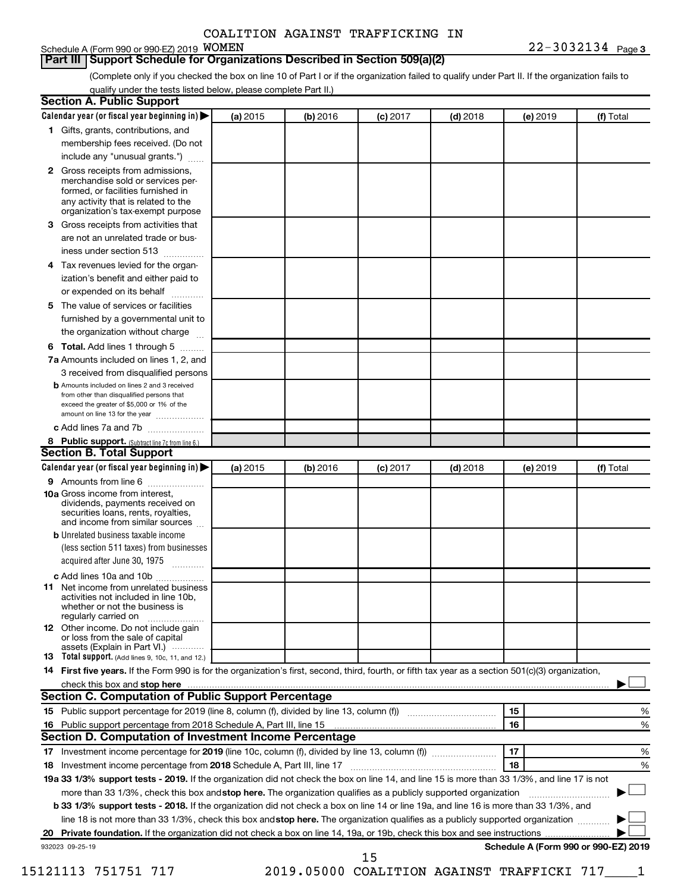### Schedule A (Form 990 or 990-EZ) 2019 WOMEN

**Part III Support Schedule for Organizations Described in Section 509(a)(2)** 

(Complete only if you checked the box on line 10 of Part I or if the organization failed to qualify under Part II. If the organization fails to qualify under the tests listed below, please complete Part II.)

|    | Calendar year (or fiscal year beginning in)                                                                                                                                                                                    | (a) 2015 | (b) 2016 | $(c)$ 2017 | $(d)$ 2018                                   |    | (e) 2019 | (f) Total                            |   |
|----|--------------------------------------------------------------------------------------------------------------------------------------------------------------------------------------------------------------------------------|----------|----------|------------|----------------------------------------------|----|----------|--------------------------------------|---|
|    | 1 Gifts, grants, contributions, and                                                                                                                                                                                            |          |          |            |                                              |    |          |                                      |   |
|    | membership fees received. (Do not                                                                                                                                                                                              |          |          |            |                                              |    |          |                                      |   |
|    | include any "unusual grants.")                                                                                                                                                                                                 |          |          |            |                                              |    |          |                                      |   |
|    | 2 Gross receipts from admissions,<br>merchandise sold or services per-<br>formed, or facilities furnished in<br>any activity that is related to the                                                                            |          |          |            |                                              |    |          |                                      |   |
|    | organization's tax-exempt purpose                                                                                                                                                                                              |          |          |            |                                              |    |          |                                      |   |
| 3. | Gross receipts from activities that                                                                                                                                                                                            |          |          |            |                                              |    |          |                                      |   |
|    | are not an unrelated trade or bus-<br>iness under section 513                                                                                                                                                                  |          |          |            |                                              |    |          |                                      |   |
| 4  | Tax revenues levied for the organ-                                                                                                                                                                                             |          |          |            |                                              |    |          |                                      |   |
|    | ization's benefit and either paid to<br>or expended on its behalf<br>.                                                                                                                                                         |          |          |            |                                              |    |          |                                      |   |
| 5. | The value of services or facilities                                                                                                                                                                                            |          |          |            |                                              |    |          |                                      |   |
|    | furnished by a governmental unit to<br>the organization without charge                                                                                                                                                         |          |          |            |                                              |    |          |                                      |   |
|    |                                                                                                                                                                                                                                |          |          |            |                                              |    |          |                                      |   |
| 6  | Total. Add lines 1 through 5                                                                                                                                                                                                   |          |          |            |                                              |    |          |                                      |   |
|    | 7a Amounts included on lines 1, 2, and                                                                                                                                                                                         |          |          |            |                                              |    |          |                                      |   |
|    | 3 received from disqualified persons<br><b>b</b> Amounts included on lines 2 and 3 received                                                                                                                                    |          |          |            |                                              |    |          |                                      |   |
|    | from other than disqualified persons that<br>exceed the greater of \$5,000 or 1% of the<br>amount on line 13 for the year                                                                                                      |          |          |            |                                              |    |          |                                      |   |
|    | c Add lines 7a and 7b                                                                                                                                                                                                          |          |          |            |                                              |    |          |                                      |   |
|    | 8 Public support. (Subtract line 7c from line 6.)                                                                                                                                                                              |          |          |            |                                              |    |          |                                      |   |
|    | <b>Section B. Total Support</b>                                                                                                                                                                                                |          |          |            |                                              |    |          |                                      |   |
|    | Calendar year (or fiscal year beginning in)                                                                                                                                                                                    | (a) 2015 | (b) 2016 | $(c)$ 2017 | $(d)$ 2018                                   |    | (e) 2019 | (f) Total                            |   |
|    | 9 Amounts from line 6                                                                                                                                                                                                          |          |          |            |                                              |    |          |                                      |   |
|    | <b>10a</b> Gross income from interest,<br>dividends, payments received on<br>securities loans, rents, royalties,<br>and income from similar sources                                                                            |          |          |            |                                              |    |          |                                      |   |
|    | <b>b</b> Unrelated business taxable income                                                                                                                                                                                     |          |          |            |                                              |    |          |                                      |   |
|    | (less section 511 taxes) from businesses<br>acquired after June 30, 1975                                                                                                                                                       |          |          |            |                                              |    |          |                                      |   |
|    | c Add lines 10a and 10b                                                                                                                                                                                                        |          |          |            |                                              |    |          |                                      |   |
| 11 | Net income from unrelated business<br>activities not included in line 10b.<br>whether or not the business is<br>regularly carried on                                                                                           |          |          |            |                                              |    |          |                                      |   |
|    | <b>12</b> Other income. Do not include gain<br>or loss from the sale of capital                                                                                                                                                |          |          |            |                                              |    |          |                                      |   |
|    | assets (Explain in Part VI.)<br><b>13</b> Total support. (Add lines 9, 10c, 11, and 12.)                                                                                                                                       |          |          |            |                                              |    |          |                                      |   |
|    | 14 First five years. If the Form 990 is for the organization's first, second, third, fourth, or fifth tax year as a section 501(c)(3) organization,                                                                            |          |          |            |                                              |    |          |                                      |   |
|    | check this box and stop here manufactured and and stop here and stop here are manufactured and stop here manufactured and stop here and stop here and stop here and stop here and stop here are all the stop of the state of t |          |          |            |                                              |    |          |                                      |   |
|    | Section C. Computation of Public Support Percentage                                                                                                                                                                            |          |          |            |                                              |    |          |                                      |   |
|    |                                                                                                                                                                                                                                |          |          |            |                                              | 15 |          |                                      | % |
|    |                                                                                                                                                                                                                                |          |          |            |                                              | 16 |          |                                      |   |
|    |                                                                                                                                                                                                                                |          |          |            |                                              |    |          |                                      | % |
|    | Section D. Computation of Investment Income Percentage                                                                                                                                                                         |          |          |            |                                              |    |          |                                      |   |
|    |                                                                                                                                                                                                                                |          |          |            |                                              | 17 |          |                                      | % |
|    |                                                                                                                                                                                                                                |          |          |            |                                              | 18 |          |                                      | % |
|    | 19a 33 1/3% support tests - 2019. If the organization did not check the box on line 14, and line 15 is more than 33 1/3%, and line 17 is not                                                                                   |          |          |            |                                              |    |          |                                      |   |
|    | more than 33 1/3%, check this box and stop here. The organization qualifies as a publicly supported organization                                                                                                               |          |          |            |                                              |    |          |                                      |   |
|    | <b>b 33 1/3% support tests - 2018.</b> If the organization did not check a box on line 14 or line 19a, and line 16 is more than 33 1/3%, and                                                                                   |          |          |            |                                              |    |          |                                      |   |
|    | line 18 is not more than 33 1/3%, check this box and stop here. The organization qualifies as a publicly supported organization                                                                                                |          |          |            |                                              |    |          |                                      |   |
|    |                                                                                                                                                                                                                                |          |          |            |                                              |    |          |                                      |   |
|    | 932023 09-25-19                                                                                                                                                                                                                |          |          |            |                                              |    |          | Schedule A (Form 990 or 990-EZ) 2019 |   |
|    | 15121113 751751 717                                                                                                                                                                                                            |          |          | 15         | 2019.05000 COALITION AGAINST TRAFFICKI 717 1 |    |          |                                      |   |
|    |                                                                                                                                                                                                                                |          |          |            |                                              |    |          |                                      |   |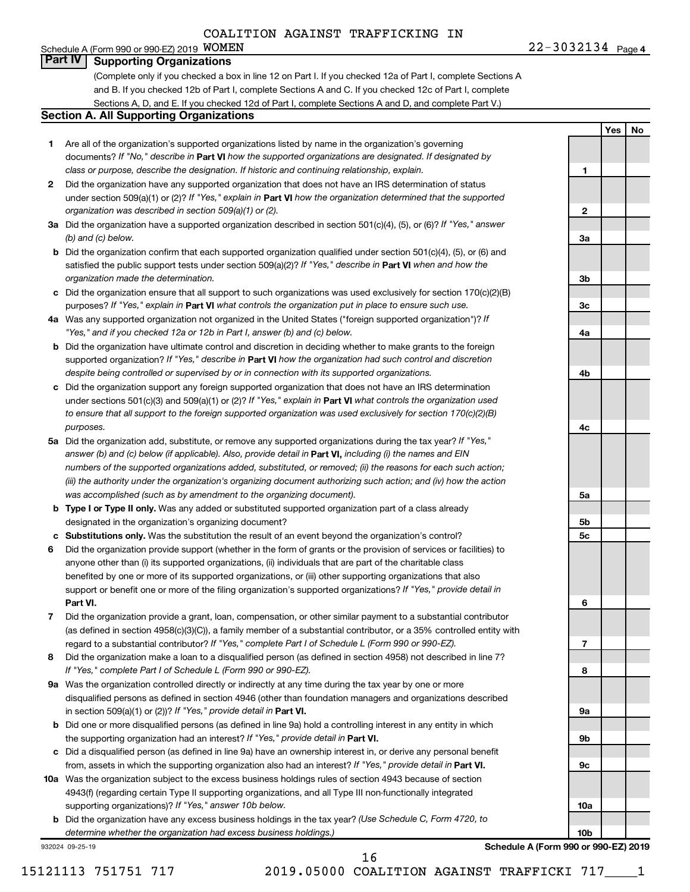**1**

**2**

**3a**

**3b**

**3c**

**4a**

**4b**

**4c**

**5a**

**5b 5c**

**6**

**7**

**8**

**9a**

**9b**

**9c**

**10a**

**10b**

**Yes No**

#### Schedule A (Form 990 or 990-EZ) 2019  $WOMEN$ **Part IV Supporting Organizations**

(Complete only if you checked a box in line 12 on Part I. If you checked 12a of Part I, complete Sections A and B. If you checked 12b of Part I, complete Sections A and C. If you checked 12c of Part I, complete Sections A, D, and E. If you checked 12d of Part I, complete Sections A and D, and complete Part V.)

#### **Section A. All Supporting Organizations**

- **1** Are all of the organization's supported organizations listed by name in the organization's governing documents? If "No," describe in Part VI how the supported organizations are designated. If designated by *class or purpose, describe the designation. If historic and continuing relationship, explain.*
- **2** Did the organization have any supported organization that does not have an IRS determination of status under section 509(a)(1) or (2)? If "Yes," explain in Part **VI** how the organization determined that the supported *organization was described in section 509(a)(1) or (2).*
- **3a** Did the organization have a supported organization described in section 501(c)(4), (5), or (6)? If "Yes," answer *(b) and (c) below.*
- **b** Did the organization confirm that each supported organization qualified under section 501(c)(4), (5), or (6) and satisfied the public support tests under section 509(a)(2)? If "Yes," describe in Part VI when and how the *organization made the determination.*
- **c** Did the organization ensure that all support to such organizations was used exclusively for section 170(c)(2)(B) purposes? If "Yes," explain in Part VI what controls the organization put in place to ensure such use.
- **4 a** *If* Was any supported organization not organized in the United States ("foreign supported organization")? *"Yes," and if you checked 12a or 12b in Part I, answer (b) and (c) below.*
- **b** Did the organization have ultimate control and discretion in deciding whether to make grants to the foreign supported organization? If "Yes," describe in Part VI how the organization had such control and discretion *despite being controlled or supervised by or in connection with its supported organizations.*
- **c** Did the organization support any foreign supported organization that does not have an IRS determination under sections 501(c)(3) and 509(a)(1) or (2)? If "Yes," explain in Part VI what controls the organization used *to ensure that all support to the foreign supported organization was used exclusively for section 170(c)(2)(B) purposes.*
- **5a** Did the organization add, substitute, or remove any supported organizations during the tax year? If "Yes," answer (b) and (c) below (if applicable). Also, provide detail in **Part VI,** including (i) the names and EIN *numbers of the supported organizations added, substituted, or removed; (ii) the reasons for each such action; (iii) the authority under the organization's organizing document authorizing such action; and (iv) how the action was accomplished (such as by amendment to the organizing document).*
- **b Type I or Type II only.** Was any added or substituted supported organization part of a class already designated in the organization's organizing document?
- **c Substitutions only.**  Was the substitution the result of an event beyond the organization's control?
- **6** Did the organization provide support (whether in the form of grants or the provision of services or facilities) to **Part VI.** support or benefit one or more of the filing organization's supported organizations? If "Yes," provide detail in anyone other than (i) its supported organizations, (ii) individuals that are part of the charitable class benefited by one or more of its supported organizations, or (iii) other supporting organizations that also
- **7** Did the organization provide a grant, loan, compensation, or other similar payment to a substantial contributor regard to a substantial contributor? If "Yes," complete Part I of Schedule L (Form 990 or 990-EZ). (as defined in section 4958(c)(3)(C)), a family member of a substantial contributor, or a 35% controlled entity with
- **8** Did the organization make a loan to a disqualified person (as defined in section 4958) not described in line 7? *If "Yes," complete Part I of Schedule L (Form 990 or 990-EZ).*
- **9 a** Was the organization controlled directly or indirectly at any time during the tax year by one or more in section 509(a)(1) or (2))? If "Yes," provide detail in **Part VI.** disqualified persons as defined in section 4946 (other than foundation managers and organizations described
- **b** Did one or more disqualified persons (as defined in line 9a) hold a controlling interest in any entity in which the supporting organization had an interest? If "Yes," provide detail in Part VI.
- **c** Did a disqualified person (as defined in line 9a) have an ownership interest in, or derive any personal benefit from, assets in which the supporting organization also had an interest? If "Yes," provide detail in Part VI.
- **10 a** Was the organization subject to the excess business holdings rules of section 4943 because of section supporting organizations)? If "Yes," answer 10b below. 4943(f) (regarding certain Type II supporting organizations, and all Type III non-functionally integrated
	- **b** Did the organization have any excess business holdings in the tax year? (Use Schedule C, Form 4720, to *determine whether the organization had excess business holdings.)*

932024 09-25-19

**Schedule A (Form 990 or 990-EZ) 2019**

15121113 751751 717 2019.05000 COALITION AGAINST TRAFFICKI 717\_\_\_\_1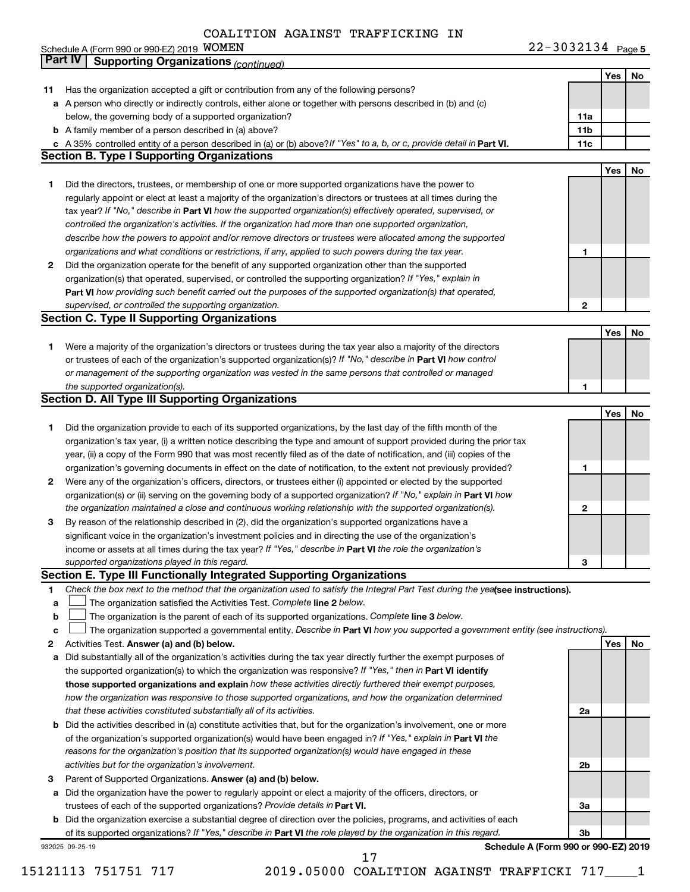|    | COALITION AGAINST TRAFFICAING IN                                                                                                |                   |     |    |
|----|---------------------------------------------------------------------------------------------------------------------------------|-------------------|-----|----|
|    | Schedule A (Form 990 or 990-EZ) 2019 WOMEN                                                                                      | 22-3032134 Page 5 |     |    |
|    | <b>Part IV</b><br><b>Supporting Organizations (continued)</b>                                                                   |                   |     |    |
|    |                                                                                                                                 |                   | Yes | No |
| 11 | Has the organization accepted a gift or contribution from any of the following persons?                                         |                   |     |    |
|    | a A person who directly or indirectly controls, either alone or together with persons described in (b) and (c)                  |                   |     |    |
|    | below, the governing body of a supported organization?                                                                          | 11a               |     |    |
|    | <b>b</b> A family member of a person described in (a) above?                                                                    | 11b               |     |    |
|    | c A 35% controlled entity of a person described in (a) or (b) above? If "Yes" to a, b, or c, provide detail in Part VI.         | 11c               |     |    |
|    | <b>Section B. Type I Supporting Organizations</b>                                                                               |                   |     |    |
|    |                                                                                                                                 |                   | Yes | No |
| 1. | Did the directors, trustees, or membership of one or more supported organizations have the power to                             |                   |     |    |
|    | regularly appoint or elect at least a majority of the organization's directors or trustees at all times during the              |                   |     |    |
|    | tax year? If "No," describe in Part VI how the supported organization(s) effectively operated, supervised, or                   |                   |     |    |
|    | controlled the organization's activities. If the organization had more than one supported organization,                         |                   |     |    |
|    | describe how the powers to appoint and/or remove directors or trustees were allocated among the supported                       |                   |     |    |
|    | organizations and what conditions or restrictions, if any, applied to such powers during the tax year.                          | 1                 |     |    |
| 2  | Did the organization operate for the benefit of any supported organization other than the supported                             |                   |     |    |
|    | organization(s) that operated, supervised, or controlled the supporting organization? If "Yes," explain in                      |                   |     |    |
|    | Part VI how providing such benefit carried out the purposes of the supported organization(s) that operated,                     |                   |     |    |
|    | supervised, or controlled the supporting organization.                                                                          | 2                 |     |    |
|    | <b>Section C. Type II Supporting Organizations</b>                                                                              |                   |     |    |
|    |                                                                                                                                 |                   | Yes | No |
| 1. | Were a majority of the organization's directors or trustees during the tax year also a majority of the directors                |                   |     |    |
|    | or trustees of each of the organization's supported organization(s)? If "No," describe in Part VI how control                   |                   |     |    |
|    | or management of the supporting organization was vested in the same persons that controlled or managed                          |                   |     |    |
|    | the supported organization(s).                                                                                                  | 1                 |     |    |
|    | <b>Section D. All Type III Supporting Organizations</b>                                                                         |                   |     |    |
|    |                                                                                                                                 |                   | Yes | No |
|    |                                                                                                                                 |                   |     |    |
| 1. | Did the organization provide to each of its supported organizations, by the last day of the fifth month of the                  |                   |     |    |
|    | organization's tax year, (i) a written notice describing the type and amount of support provided during the prior tax           |                   |     |    |
|    | year, (ii) a copy of the Form 990 that was most recently filed as of the date of notification, and (iii) copies of the          |                   |     |    |
|    | organization's governing documents in effect on the date of notification, to the extent not previously provided?                | 1                 |     |    |
| 2  | Were any of the organization's officers, directors, or trustees either (i) appointed or elected by the supported                |                   |     |    |
|    | organization(s) or (ii) serving on the governing body of a supported organization? If "No," explain in Part VI how              |                   |     |    |
|    | the organization maintained a close and continuous working relationship with the supported organization(s).                     | 2                 |     |    |
| 3  | By reason of the relationship described in (2), did the organization's supported organizations have a                           |                   |     |    |
|    | significant voice in the organization's investment policies and in directing the use of the organization's                      |                   |     |    |
|    | income or assets at all times during the tax year? If "Yes," describe in Part VI the role the organization's                    |                   |     |    |
|    | supported organizations played in this regard.                                                                                  | з                 |     |    |
|    | Section E. Type III Functionally Integrated Supporting Organizations                                                            |                   |     |    |
| 1  | Check the box next to the method that the organization used to satisfy the Integral Part Test during the yealsee instructions). |                   |     |    |
| a  | The organization satisfied the Activities Test. Complete line 2 below.                                                          |                   |     |    |
| b  | The organization is the parent of each of its supported organizations. Complete line 3 below.                                   |                   |     |    |
| с  | The organization supported a governmental entity. Describe in Part VI how you supported a government entity (see instructions). |                   |     |    |
| 2  | Activities Test. Answer (a) and (b) below.                                                                                      |                   | Yes | No |
| а  | Did substantially all of the organization's activities during the tax year directly further the exempt purposes of              |                   |     |    |
|    | the supported organization(s) to which the organization was responsive? If "Yes," then in Part VI identify                      |                   |     |    |
|    | those supported organizations and explain how these activities directly furthered their exempt purposes,                        |                   |     |    |
|    | how the organization was responsive to those supported organizations, and how the organization determined                       |                   |     |    |
|    | that these activities constituted substantially all of its activities.                                                          | 2a                |     |    |
| b  | Did the activities described in (a) constitute activities that, but for the organization's involvement, one or more             |                   |     |    |
|    | of the organization's supported organization(s) would have been engaged in? If "Yes," explain in Part VI the                    |                   |     |    |
|    | reasons for the organization's position that its supported organization(s) would have engaged in these                          |                   |     |    |
|    | activities but for the organization's involvement.                                                                              | 2b                |     |    |
|    |                                                                                                                                 |                   |     |    |
| 3  | Parent of Supported Organizations. Answer (a) and (b) below.                                                                    |                   |     |    |
| а  | Did the organization have the power to regularly appoint or elect a majority of the officers, directors, or                     |                   |     |    |
|    | trustees of each of the supported organizations? Provide details in Part VI.                                                    | За                |     |    |
|    | <b>b</b> Did the organization exercise a substantial degree of direction over the policies, programs, and activities of each    |                   |     |    |
|    | of its supported organizations? If "Yes," describe in Part VI the role played by the organization in this regard.               | Зb                |     |    |

932025 09-25-19

**Schedule A (Form 990 or 990-EZ) 2019**

15121113 751751 717 2019.05000 COALITION AGAINST TRAFFICKI 717\_\_\_\_1 17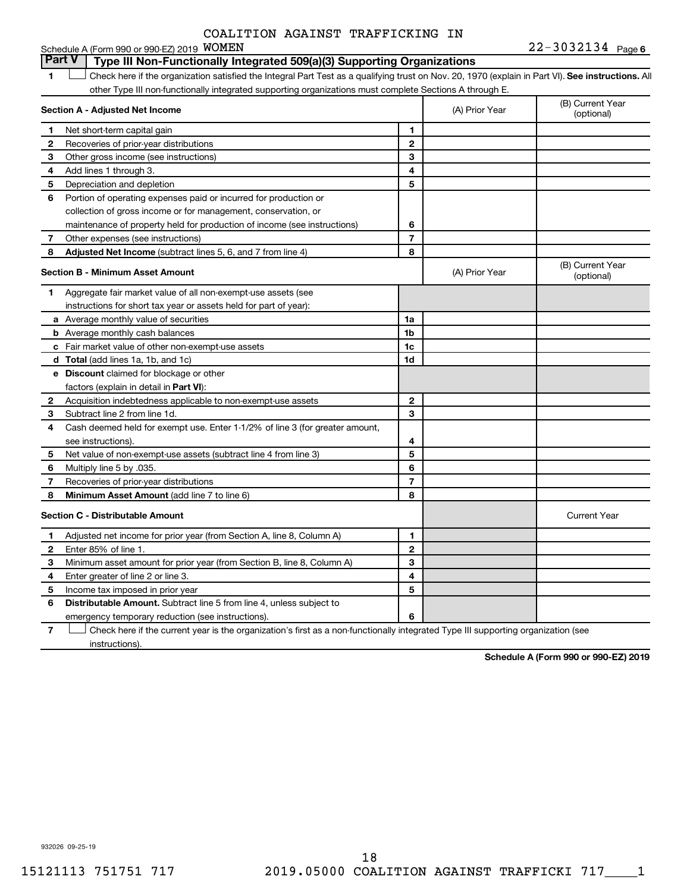#### **6**  $22-3032134$   $_{\text{Page 6}}$ **1 Lett** Check here if the organization satisfied the Integral Part Test as a qualifying trust on Nov. 20, 1970 (explain in Part VI). See instructions. All **Section A - Adjusted Net Income 1 2 3 4 5 6 7 8 1 2 3 4 5 6 7 Adjusted Net Income** (subtract lines 5, 6, and 7 from line 4) **8 8 Section B - Minimum Asset Amount 1 2 3 4 5 6 7 8 a** Average monthly value of securities **b** Average monthly cash balances **c** Fair market value of other non-exempt-use assets **d Total**  (add lines 1a, 1b, and 1c) **e Discount** claimed for blockage or other **1a 1b 1c 1d 2 3 4 5 6 7 8** factors (explain in detail in Part VI): **Minimum Asset Amount**  (add line 7 to line 6) **Section C - Distributable Amount 1 2 3 4 5 6 1 2 3 4 5 6** Distributable Amount. Subtract line 5 from line 4, unless subject to Schedule A (Form 990 or 990-EZ) 2019 **WOMEN** other Type III non-functionally integrated supporting organizations must complete Sections A through E. (B) Current Year (A) Prior Year Net short-term capital gain Recoveries of prior-year distributions Other gross income (see instructions) Add lines 1 through 3. Depreciation and depletion Portion of operating expenses paid or incurred for production or collection of gross income or for management, conservation, or maintenance of property held for production of income (see instructions) Other expenses (see instructions) (B) Current Year  $(A)$  Prior Year  $\left\{\n\begin{array}{ccc}\n\end{array}\n\right\}$  (optional) Aggregate fair market value of all non-exempt-use assets (see instructions for short tax year or assets held for part of year): Acquisition indebtedness applicable to non-exempt-use assets Subtract line 2 from line 1d. Cash deemed held for exempt use. Enter 1-1/2% of line 3 (for greater amount, see instructions). Net value of non-exempt-use assets (subtract line 4 from line 3) Multiply line 5 by .035. Recoveries of prior-year distributions Current Year Adjusted net income for prior year (from Section A, line 8, Column A) Enter 85% of line 1. Minimum asset amount for prior year (from Section B, line 8, Column A) Enter greater of line 2 or line 3. Income tax imposed in prior year emergency temporary reduction (see instructions). **Part V Type III Non-Functionally Integrated 509(a)(3) Supporting Organizations**   $\Box$

**7** Check here if the current year is the organization's first as a non-functionally integrated Type III supporting organization (see † instructions).

**Schedule A (Form 990 or 990-EZ) 2019**

932026 09-25-19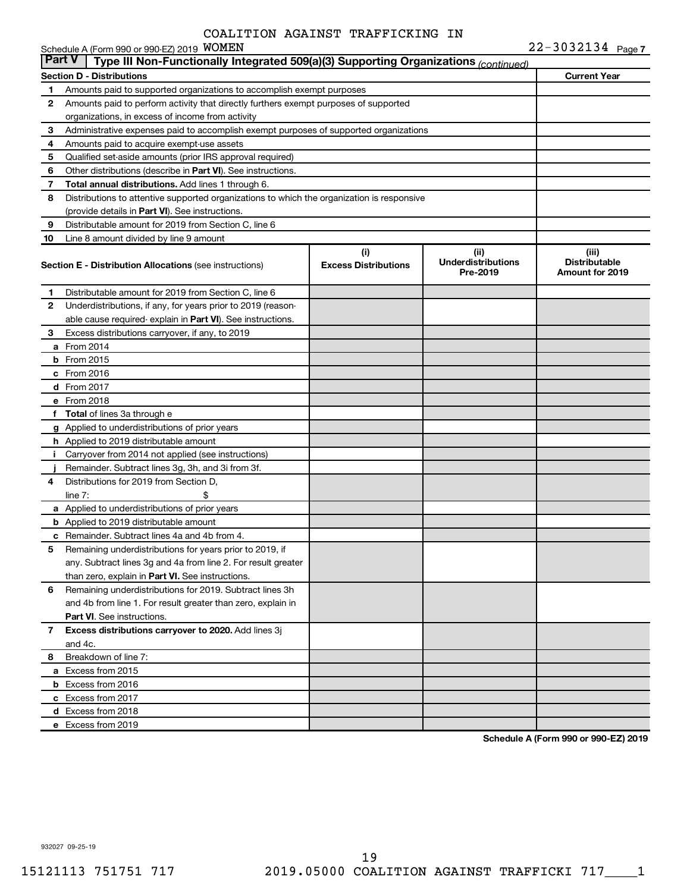|              | Schedule A (Form 990 or 990-EZ) 2019 WOMEN                                                           |                                    |                                               | $22 - 3032134$ Page 7                            |  |  |  |  |  |  |
|--------------|------------------------------------------------------------------------------------------------------|------------------------------------|-----------------------------------------------|--------------------------------------------------|--|--|--|--|--|--|
|              | <b>Part V</b><br>Type III Non-Functionally Integrated 509(a)(3) Supporting Organizations (continued) |                                    |                                               |                                                  |  |  |  |  |  |  |
|              | Section D - Distributions                                                                            |                                    |                                               | <b>Current Year</b>                              |  |  |  |  |  |  |
| 1            | Amounts paid to supported organizations to accomplish exempt purposes                                |                                    |                                               |                                                  |  |  |  |  |  |  |
| 2            | Amounts paid to perform activity that directly furthers exempt purposes of supported                 |                                    |                                               |                                                  |  |  |  |  |  |  |
|              | organizations, in excess of income from activity                                                     |                                    |                                               |                                                  |  |  |  |  |  |  |
| З            | Administrative expenses paid to accomplish exempt purposes of supported organizations                |                                    |                                               |                                                  |  |  |  |  |  |  |
| 4            | Amounts paid to acquire exempt-use assets                                                            |                                    |                                               |                                                  |  |  |  |  |  |  |
| 5            | Qualified set-aside amounts (prior IRS approval required)                                            |                                    |                                               |                                                  |  |  |  |  |  |  |
| 6            | Other distributions (describe in Part VI). See instructions.                                         |                                    |                                               |                                                  |  |  |  |  |  |  |
| 7            | Total annual distributions. Add lines 1 through 6.                                                   |                                    |                                               |                                                  |  |  |  |  |  |  |
| 8            | Distributions to attentive supported organizations to which the organization is responsive           |                                    |                                               |                                                  |  |  |  |  |  |  |
|              | (provide details in Part VI). See instructions.                                                      |                                    |                                               |                                                  |  |  |  |  |  |  |
| 9            | Distributable amount for 2019 from Section C, line 6                                                 |                                    |                                               |                                                  |  |  |  |  |  |  |
| 10           | Line 8 amount divided by line 9 amount                                                               |                                    |                                               |                                                  |  |  |  |  |  |  |
|              | <b>Section E - Distribution Allocations (see instructions)</b>                                       | (i)<br><b>Excess Distributions</b> | (ii)<br><b>Underdistributions</b><br>Pre-2019 | (iii)<br><b>Distributable</b><br>Amount for 2019 |  |  |  |  |  |  |
| 1            | Distributable amount for 2019 from Section C, line 6                                                 |                                    |                                               |                                                  |  |  |  |  |  |  |
| 2            | Underdistributions, if any, for years prior to 2019 (reason-                                         |                                    |                                               |                                                  |  |  |  |  |  |  |
|              | able cause required-explain in Part VI). See instructions.                                           |                                    |                                               |                                                  |  |  |  |  |  |  |
| З            | Excess distributions carryover, if any, to 2019                                                      |                                    |                                               |                                                  |  |  |  |  |  |  |
|              | a From 2014                                                                                          |                                    |                                               |                                                  |  |  |  |  |  |  |
|              | <b>b</b> From 2015                                                                                   |                                    |                                               |                                                  |  |  |  |  |  |  |
|              | $c$ From 2016                                                                                        |                                    |                                               |                                                  |  |  |  |  |  |  |
|              | d From 2017                                                                                          |                                    |                                               |                                                  |  |  |  |  |  |  |
|              | e From 2018                                                                                          |                                    |                                               |                                                  |  |  |  |  |  |  |
|              | f Total of lines 3a through e                                                                        |                                    |                                               |                                                  |  |  |  |  |  |  |
|              | g Applied to underdistributions of prior years                                                       |                                    |                                               |                                                  |  |  |  |  |  |  |
|              | h Applied to 2019 distributable amount                                                               |                                    |                                               |                                                  |  |  |  |  |  |  |
| Î.           | Carryover from 2014 not applied (see instructions)                                                   |                                    |                                               |                                                  |  |  |  |  |  |  |
|              | Remainder. Subtract lines 3g, 3h, and 3i from 3f.                                                    |                                    |                                               |                                                  |  |  |  |  |  |  |
| 4            | Distributions for 2019 from Section D.                                                               |                                    |                                               |                                                  |  |  |  |  |  |  |
|              | \$<br>line $7:$                                                                                      |                                    |                                               |                                                  |  |  |  |  |  |  |
|              | a Applied to underdistributions of prior years                                                       |                                    |                                               |                                                  |  |  |  |  |  |  |
|              | <b>b</b> Applied to 2019 distributable amount                                                        |                                    |                                               |                                                  |  |  |  |  |  |  |
|              | c Remainder. Subtract lines 4a and 4b from 4.                                                        |                                    |                                               |                                                  |  |  |  |  |  |  |
|              | Remaining underdistributions for years prior to 2019, if                                             |                                    |                                               |                                                  |  |  |  |  |  |  |
|              | any. Subtract lines 3g and 4a from line 2. For result greater                                        |                                    |                                               |                                                  |  |  |  |  |  |  |
|              | than zero, explain in Part VI. See instructions.                                                     |                                    |                                               |                                                  |  |  |  |  |  |  |
| 6            | Remaining underdistributions for 2019. Subtract lines 3h                                             |                                    |                                               |                                                  |  |  |  |  |  |  |
|              | and 4b from line 1. For result greater than zero, explain in                                         |                                    |                                               |                                                  |  |  |  |  |  |  |
|              | <b>Part VI.</b> See instructions.                                                                    |                                    |                                               |                                                  |  |  |  |  |  |  |
| $\mathbf{7}$ | Excess distributions carryover to 2020. Add lines 3j                                                 |                                    |                                               |                                                  |  |  |  |  |  |  |
|              | and 4c.                                                                                              |                                    |                                               |                                                  |  |  |  |  |  |  |
| 8            | Breakdown of line 7:                                                                                 |                                    |                                               |                                                  |  |  |  |  |  |  |
|              | a Excess from 2015                                                                                   |                                    |                                               |                                                  |  |  |  |  |  |  |
|              | <b>b</b> Excess from 2016                                                                            |                                    |                                               |                                                  |  |  |  |  |  |  |
|              | c Excess from 2017                                                                                   |                                    |                                               |                                                  |  |  |  |  |  |  |
|              | d Excess from 2018                                                                                   |                                    |                                               |                                                  |  |  |  |  |  |  |
|              | e Excess from 2019                                                                                   |                                    |                                               |                                                  |  |  |  |  |  |  |

**Schedule A (Form 990 or 990-EZ) 2019**

932027 09-25-19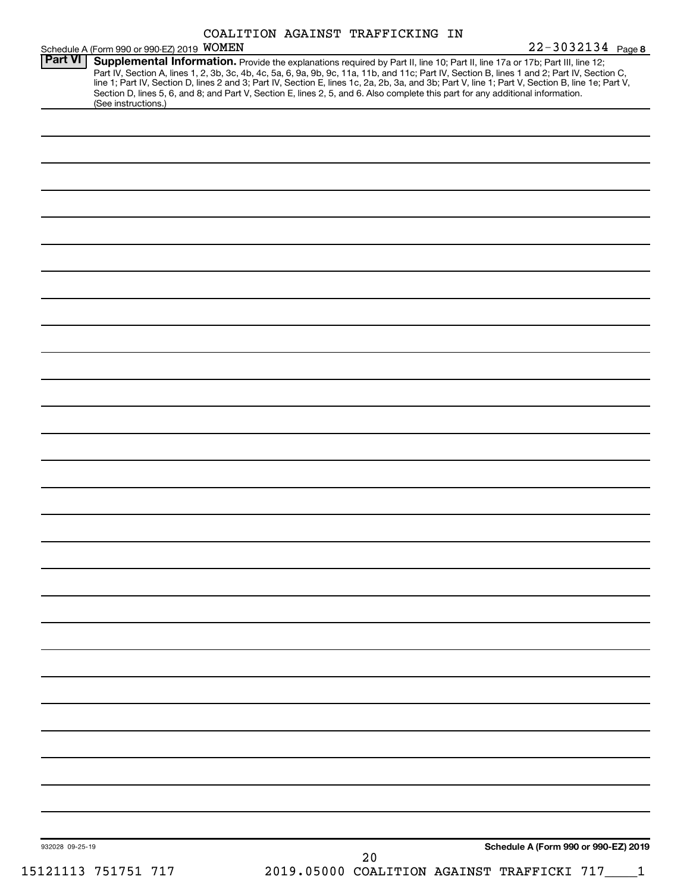| COALITION AGAINST TRAFFICKING IN |  |  |
|----------------------------------|--|--|
|----------------------------------|--|--|

| Schedule A (Form 990 or 990-EZ) 2019 WOMEN<br>Section D, lines 5, 6, and 8; and Part V, Section E, lines 2, 5, and 6. Also complete this part for any additional information. | Supplemental Information. Provide the explanations required by Part II, line 10; Part II, line 17a or 17b; Part III, line 12;<br>Part IV, Section A, lines 1, 2, 3b, 3c, 4b, 4c, 5a, 6, 9a, 9b, 9c, 11a, 11b, and 11c; Part IV, Section B, lines 1 and 2; Part IV, Section C,<br>line 1; Part IV, Section D, lines 2 and 3; Part IV, Section E, lines 1c, 2a, 2b, 3a, and 3b; Part V, line 1; Part V, Section B, line 1e; Part V, |
|-------------------------------------------------------------------------------------------------------------------------------------------------------------------------------|-----------------------------------------------------------------------------------------------------------------------------------------------------------------------------------------------------------------------------------------------------------------------------------------------------------------------------------------------------------------------------------------------------------------------------------|
|                                                                                                                                                                               |                                                                                                                                                                                                                                                                                                                                                                                                                                   |
|                                                                                                                                                                               |                                                                                                                                                                                                                                                                                                                                                                                                                                   |
|                                                                                                                                                                               |                                                                                                                                                                                                                                                                                                                                                                                                                                   |
|                                                                                                                                                                               |                                                                                                                                                                                                                                                                                                                                                                                                                                   |
|                                                                                                                                                                               |                                                                                                                                                                                                                                                                                                                                                                                                                                   |
|                                                                                                                                                                               |                                                                                                                                                                                                                                                                                                                                                                                                                                   |
|                                                                                                                                                                               |                                                                                                                                                                                                                                                                                                                                                                                                                                   |
|                                                                                                                                                                               |                                                                                                                                                                                                                                                                                                                                                                                                                                   |
|                                                                                                                                                                               |                                                                                                                                                                                                                                                                                                                                                                                                                                   |
|                                                                                                                                                                               |                                                                                                                                                                                                                                                                                                                                                                                                                                   |
|                                                                                                                                                                               |                                                                                                                                                                                                                                                                                                                                                                                                                                   |
|                                                                                                                                                                               |                                                                                                                                                                                                                                                                                                                                                                                                                                   |
|                                                                                                                                                                               |                                                                                                                                                                                                                                                                                                                                                                                                                                   |
|                                                                                                                                                                               |                                                                                                                                                                                                                                                                                                                                                                                                                                   |
|                                                                                                                                                                               |                                                                                                                                                                                                                                                                                                                                                                                                                                   |
|                                                                                                                                                                               |                                                                                                                                                                                                                                                                                                                                                                                                                                   |
|                                                                                                                                                                               |                                                                                                                                                                                                                                                                                                                                                                                                                                   |
|                                                                                                                                                                               |                                                                                                                                                                                                                                                                                                                                                                                                                                   |
|                                                                                                                                                                               |                                                                                                                                                                                                                                                                                                                                                                                                                                   |
|                                                                                                                                                                               |                                                                                                                                                                                                                                                                                                                                                                                                                                   |
|                                                                                                                                                                               |                                                                                                                                                                                                                                                                                                                                                                                                                                   |
|                                                                                                                                                                               |                                                                                                                                                                                                                                                                                                                                                                                                                                   |
|                                                                                                                                                                               |                                                                                                                                                                                                                                                                                                                                                                                                                                   |
|                                                                                                                                                                               |                                                                                                                                                                                                                                                                                                                                                                                                                                   |
|                                                                                                                                                                               |                                                                                                                                                                                                                                                                                                                                                                                                                                   |
|                                                                                                                                                                               |                                                                                                                                                                                                                                                                                                                                                                                                                                   |
|                                                                                                                                                                               |                                                                                                                                                                                                                                                                                                                                                                                                                                   |
|                                                                                                                                                                               |                                                                                                                                                                                                                                                                                                                                                                                                                                   |
|                                                                                                                                                                               |                                                                                                                                                                                                                                                                                                                                                                                                                                   |
|                                                                                                                                                                               |                                                                                                                                                                                                                                                                                                                                                                                                                                   |
|                                                                                                                                                                               |                                                                                                                                                                                                                                                                                                                                                                                                                                   |
|                                                                                                                                                                               |                                                                                                                                                                                                                                                                                                                                                                                                                                   |
|                                                                                                                                                                               |                                                                                                                                                                                                                                                                                                                                                                                                                                   |
|                                                                                                                                                                               |                                                                                                                                                                                                                                                                                                                                                                                                                                   |
|                                                                                                                                                                               |                                                                                                                                                                                                                                                                                                                                                                                                                                   |
|                                                                                                                                                                               |                                                                                                                                                                                                                                                                                                                                                                                                                                   |
|                                                                                                                                                                               |                                                                                                                                                                                                                                                                                                                                                                                                                                   |
|                                                                                                                                                                               |                                                                                                                                                                                                                                                                                                                                                                                                                                   |
|                                                                                                                                                                               | Schedule A (Form 990 or 990-EZ) 2019                                                                                                                                                                                                                                                                                                                                                                                              |
|                                                                                                                                                                               | 20<br>2019.05000 COALITION AGAINST TRAFFICKI 717____1                                                                                                                                                                                                                                                                                                                                                                             |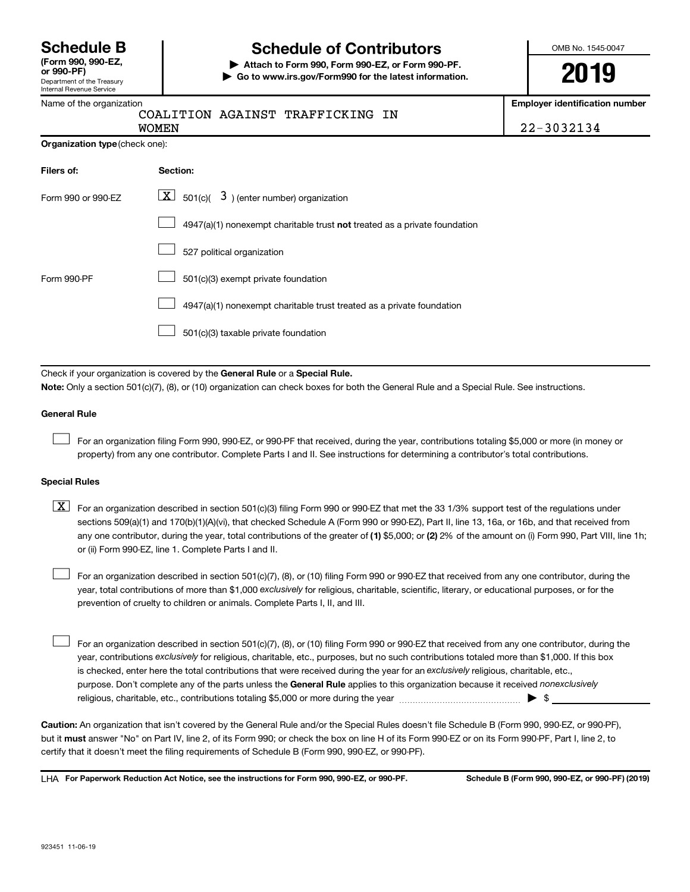Department of the Treasury Internal Revenue Service

# **Schedule B Schedule of Contributors**

**or 990-PF) | Attach to Form 990, Form 990-EZ, or Form 990-PF. | Go to www.irs.gov/Form990 for the latest information.** OMB No. 1545-0047

**Employer identification number**

|  | COALITION AGAINST TRAFFICKING IN |  |
|--|----------------------------------|--|
|  |                                  |  |

WOMEN 22-3032134

| Organization type (check one): |                                                                           |
|--------------------------------|---------------------------------------------------------------------------|
| Filers of:                     | Section:                                                                  |
| Form 990 or 990-EZ             | $\boxed{\textbf{X}}$ 501(c)( 3) (enter number) organization               |
|                                | 4947(a)(1) nonexempt charitable trust not treated as a private foundation |
|                                | 527 political organization                                                |
| Form 990-PF                    | 501(c)(3) exempt private foundation                                       |
|                                | 4947(a)(1) nonexempt charitable trust treated as a private foundation     |
|                                | 501(c)(3) taxable private foundation                                      |

Check if your organization is covered by the General Rule or a Special Rule. **Note:**  Only a section 501(c)(7), (8), or (10) organization can check boxes for both the General Rule and a Special Rule. See instructions.

#### **General Rule**

 $\Box$ 

For an organization filing Form 990, 990-EZ, or 990-PF that received, during the year, contributions totaling \$5,000 or more (in money or property) from any one contributor. Complete Parts I and II. See instructions for determining a contributor's total contributions.

#### **Special Rules**

any one contributor, during the year, total contributions of the greater of (1) \$5,000; or (2) 2% of the amount on (i) Form 990, Part VIII, line 1h;  $\boxed{\text{X}}$  For an organization described in section 501(c)(3) filing Form 990 or 990-EZ that met the 33 1/3% support test of the regulations under sections 509(a)(1) and 170(b)(1)(A)(vi), that checked Schedule A (Form 990 or 990-EZ), Part II, line 13, 16a, or 16b, and that received from or (ii) Form 990-EZ, line 1. Complete Parts I and II.

year, total contributions of more than \$1,000 *exclusively* for religious, charitable, scientific, literary, or educational purposes, or for the For an organization described in section 501(c)(7), (8), or (10) filing Form 990 or 990-EZ that received from any one contributor, during the prevention of cruelty to children or animals. Complete Parts I, II, and III.  $\Box$ 

purpose. Don't complete any of the parts unless the General Rule applies to this organization because it received nonexclusively year, contributions exclusively for religious, charitable, etc., purposes, but no such contributions totaled more than \$1,000. If this box is checked, enter here the total contributions that were received during the year for an exclusively religious, charitable, etc., For an organization described in section 501(c)(7), (8), or (10) filing Form 990 or 990-EZ that received from any one contributor, during the religious, charitable, etc., contributions totaling \$5,000 or more during the year  $\ldots$  $\ldots$  $\ldots$  $\ldots$  $\ldots$  $\ldots$  $\Box$ 

**Caution:**  An organization that isn't covered by the General Rule and/or the Special Rules doesn't file Schedule B (Form 990, 990-EZ, or 990-PF),  **must** but it answer "No" on Part IV, line 2, of its Form 990; or check the box on line H of its Form 990-EZ or on its Form 990-PF, Part I, line 2, to certify that it doesn't meet the filing requirements of Schedule B (Form 990, 990-EZ, or 990-PF).

**For Paperwork Reduction Act Notice, see the instructions for Form 990, 990-EZ, or 990-PF. Schedule B (Form 990, 990-EZ, or 990-PF) (2019)** LHA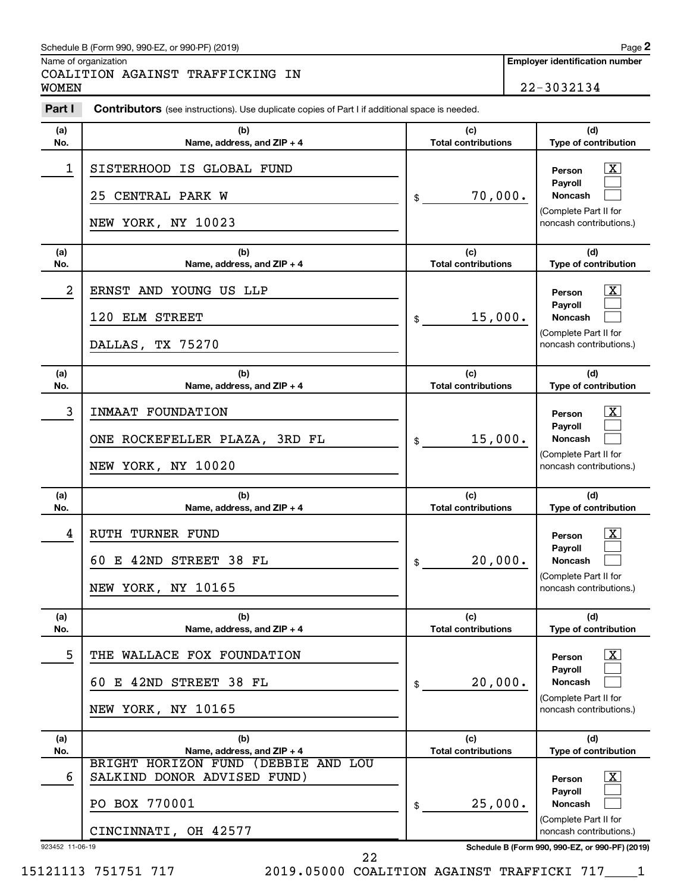#### Schedule B (Form 990, 990-EZ, or 990-PF) (2019)

Name of organization

COALITION AGAINST TRAFFICKING IN WOMEN 22-3032134 **2**

| Part I          | <b>Contributors</b> (see instructions). Use duplicate copies of Part I if additional space is needed. |                                   |                                                                                                                |
|-----------------|-------------------------------------------------------------------------------------------------------|-----------------------------------|----------------------------------------------------------------------------------------------------------------|
| (a)<br>No.      | (b)<br>Name, address, and ZIP + 4                                                                     | (c)<br><b>Total contributions</b> | (d)<br>Type of contribution                                                                                    |
| 1               | SISTERHOOD IS GLOBAL FUND<br>25 CENTRAL PARK W<br>NEW YORK, NY 10023                                  | 70,000.<br>\$                     | $\mathbf{X}$<br>Person<br><b>Payroll</b><br>Noncash<br>(Complete Part II for<br>noncash contributions.)        |
| (a)<br>No.      | (b)<br>Name, address, and $ZIP + 4$                                                                   | (c)<br><b>Total contributions</b> | (d)<br>Type of contribution                                                                                    |
| 2               | ERNST AND YOUNG US LLP<br>120 ELM STREET<br>DALLAS, TX 75270                                          | 15,000.<br>\$                     | $\mathbf{X}$<br>Person<br><b>Payroll</b><br><b>Noncash</b><br>(Complete Part II for<br>noncash contributions.) |
| (a)<br>No.      | (b)<br>Name, address, and ZIP + 4                                                                     | (c)<br><b>Total contributions</b> | (d)<br>Type of contribution                                                                                    |
| 3               | INMAAT FOUNDATION<br>ONE ROCKEFELLER PLAZA, 3RD FL<br>NEW YORK, NY 10020                              | 15,000.<br>\$                     | $\mathbf{X}$<br>Person<br><b>Pavroll</b><br><b>Noncash</b><br>(Complete Part II for<br>noncash contributions.) |
| (a)<br>No.      | (b)<br>Name, address, and ZIP + 4                                                                     | (c)<br><b>Total contributions</b> | (d)<br>Type of contribution                                                                                    |
| 4               | RUTH TURNER FUND<br>60 E 42ND STREET 38 FL<br>NEW YORK, NY 10165                                      | 20,000.<br>\$                     | $\mathbf{X}$<br>Person<br>Payroll<br><b>Noncash</b><br>(Complete Part II for<br>noncash contributions.)        |
| (a)<br>No.      | (b)<br>Name, address, and ZIP + 4                                                                     | (c)<br><b>Total contributions</b> | (d)<br>Type of contribution                                                                                    |
| 5               | THE WALLACE FOX FOUNDATION<br>60 E 42ND STREET 38 FL<br>NEW YORK, NY 10165                            | 20,000.<br>\$                     | $\mathbf{X}$<br>Person<br><b>Pavroll</b><br>Noncash<br>(Complete Part II for<br>noncash contributions.)        |
| (a)<br>No.      | (b)<br>Name, address, and ZIP + 4                                                                     | (c)<br><b>Total contributions</b> | (d)<br>Type of contribution                                                                                    |
| 6               | BRIGHT HORIZON FUND (DEBBIE AND LOU<br>SALKIND DONOR ADVISED FUND)<br>PO BOX 770001                   | 25,000.<br>\$                     | $\mathbf{X}$<br>Person<br><b>Payroll</b><br>Noncash<br>(Complete Part II for                                   |
| 923452 11-06-19 | CINCINNATI, OH 42577                                                                                  |                                   | noncash contributions.)<br>Schedule B (Form 990, 990-EZ, or 990-PF) (2019)                                     |

15121113 751751 717 2019.05000 COALITION AGAINST TRAFFICKI 717\_\_\_\_1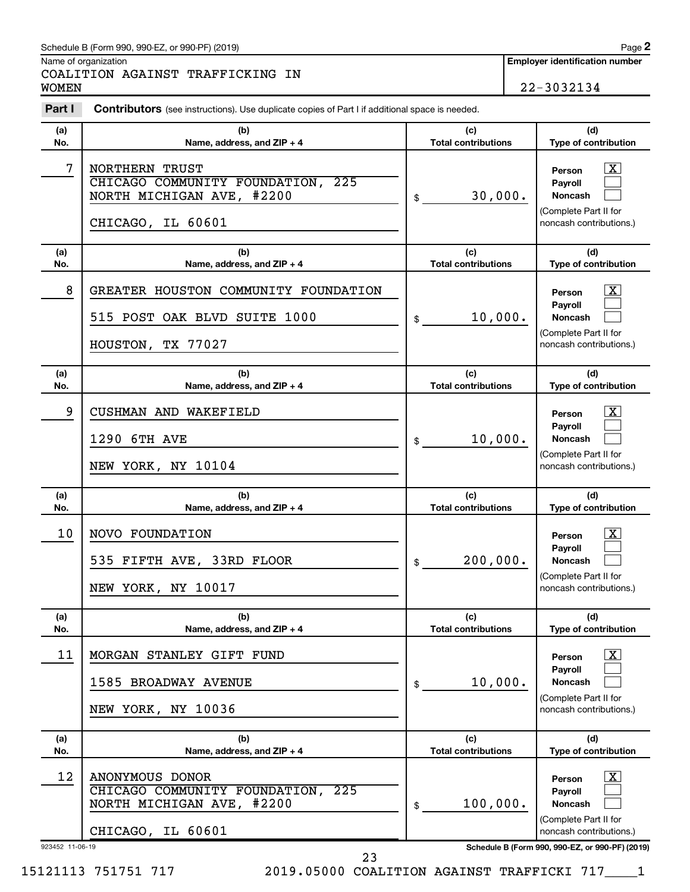|                 | Schedule B (Form 990, 990-EZ, or 990-PF) (2019)                                                              |                                             |  | Page 2                                                                                                                                     |  |
|-----------------|--------------------------------------------------------------------------------------------------------------|---------------------------------------------|--|--------------------------------------------------------------------------------------------------------------------------------------------|--|
|                 | Name of organization<br>COALITION AGAINST TRAFFICKING IN                                                     |                                             |  | <b>Employer identification number</b>                                                                                                      |  |
| <b>WOMEN</b>    |                                                                                                              |                                             |  | 22-3032134                                                                                                                                 |  |
| Part I          | <b>Contributors</b> (see instructions). Use duplicate copies of Part I if additional space is needed.        |                                             |  |                                                                                                                                            |  |
| (a)<br>No.      | (b)<br>Name, address, and ZIP + 4                                                                            | (c)<br><b>Total contributions</b>           |  | (d)<br>Type of contribution                                                                                                                |  |
| 7               | <b>NORTHERN TRUST</b><br>CHICAGO COMMUNITY FOUNDATION, 225<br>NORTH MICHIGAN AVE, #2200<br>CHICAGO, IL 60601 | 30,000.<br>\$                               |  | $\overline{\text{X}}$<br>Person<br><b>Pavroll</b><br><b>Noncash</b><br>(Complete Part II for<br>noncash contributions.)                    |  |
| (a)<br>No.      | (c)<br>(b)<br><b>Total contributions</b><br>Name, address, and ZIP + 4                                       |                                             |  | (d)<br>Type of contribution                                                                                                                |  |
| 8               | GREATER HOUSTON COMMUNITY FOUNDATION<br>515 POST OAK BLVD SUITE 1000<br>HOUSTON, TX 77027                    | 10,000.<br>\$                               |  | $\overline{\text{X}}$<br>Person<br>Pavroll<br><b>Noncash</b><br>(Complete Part II for<br>noncash contributions.)                           |  |
| (a)<br>No.      | (b)<br>Name, address, and ZIP + 4                                                                            | (c)<br><b>Total contributions</b>           |  | (d)<br>Type of contribution                                                                                                                |  |
| 9               | CUSHMAN AND WAKEFIELD<br>1290<br>6TH AVE<br>NEW YORK, NY 10104                                               | 10,000.<br>\$                               |  | $\overline{\text{X}}$<br>Person<br><b>Payroll</b><br><b>Noncash</b><br>(Complete Part II for<br>noncash contributions.)                    |  |
| (a)<br>No.      | (b)<br>Name, address, and ZIP + 4                                                                            | (c)<br><b>Total contributions</b>           |  | (d)<br>Type of contribution                                                                                                                |  |
| 10              | NOVO FOUNDATION<br>535 FIFTH AVE, 33RD FLOOR<br>NEW YORK, NY 10017                                           | 200,000.<br>\$                              |  | <u>x</u><br>Person<br>Payroll<br><b>Noncash</b><br>(Complete Part II for<br>noncash contributions.)                                        |  |
| (a)             | (b)                                                                                                          | (c)                                         |  | (d)                                                                                                                                        |  |
| No.<br>11       | Name, address, and ZIP + 4<br>MORGAN STANLEY GIFT FUND<br>1585 BROADWAY AVENUE<br>NEW YORK, NY 10036         | <b>Total contributions</b><br>10,000.<br>\$ |  | Type of contribution<br>$\overline{\mathbf{X}}$<br>Person<br>Payroll<br><b>Noncash</b><br>(Complete Part II for<br>noncash contributions.) |  |
| (a)<br>No.      | (b)<br>Name, address, and ZIP + 4                                                                            | (c)<br><b>Total contributions</b>           |  | (d)<br>Type of contribution                                                                                                                |  |
| 12              | ANONYMOUS DONOR<br>CHICAGO COMMUNITY FOUNDATION, 225<br>NORTH MICHIGAN AVE, #2200<br>CHICAGO, IL 60601       | 100,000.<br>\$                              |  | $\overline{\text{X}}$<br>Person<br>Payroll<br><b>Noncash</b><br>(Complete Part II for<br>noncash contributions.)                           |  |
| 923452 11-06-19 | າາ                                                                                                           |                                             |  | Schedule B (Form 990, 990-EZ, or 990-PF) (2019)                                                                                            |  |

15121113 751751 717 2019.05000 COALITION AGAINST TRAFFICKI 717\_\_\_\_1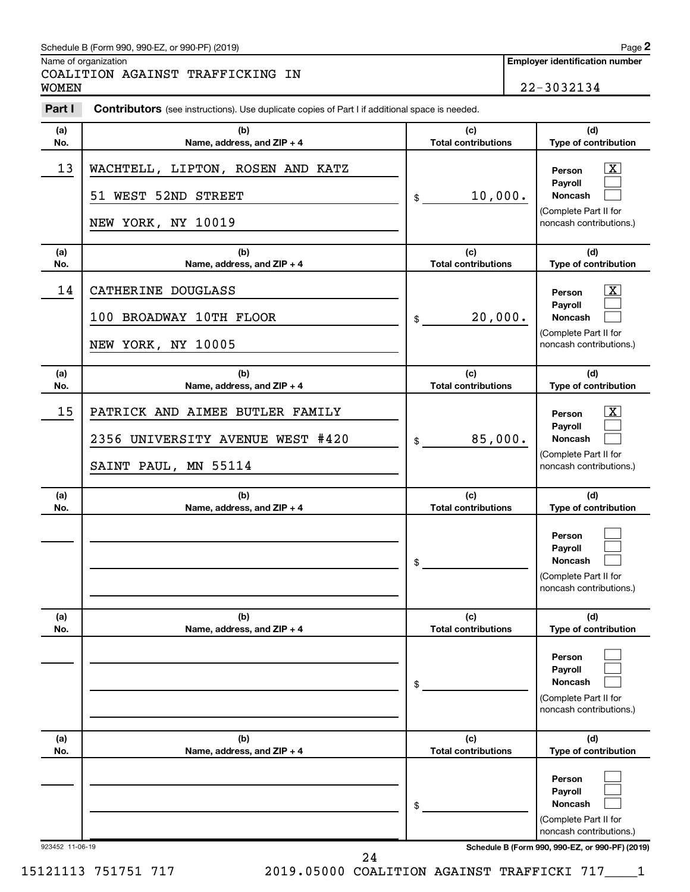#### Schedule B (Form 990, 990-EZ, or 990-PF) (2019)

Name of organization

COALITION AGAINST TRAFFICKING IN WOMEN 22-3032134

| Part I          | <b>Contributors</b> (see instructions). Use duplicate copies of Part I if additional space is needed. |                                   |                                                                                                         |
|-----------------|-------------------------------------------------------------------------------------------------------|-----------------------------------|---------------------------------------------------------------------------------------------------------|
| (a)<br>No.      | (b)<br>Name, address, and ZIP + 4                                                                     | (c)<br><b>Total contributions</b> | (d)<br>Type of contribution                                                                             |
| 13              | WACHTELL, LIPTON, ROSEN AND KATZ<br>51 WEST 52ND STREET<br>NEW YORK, NY 10019                         | 10,000.<br>\$                     | $\mathbf{X}$<br>Person<br>Payroll<br><b>Noncash</b><br>(Complete Part II for<br>noncash contributions.) |
| (a)<br>No.      | (b)<br>Name, address, and ZIP + 4                                                                     | (c)<br><b>Total contributions</b> | (d)<br>Type of contribution                                                                             |
| 14              | CATHERINE DOUGLASS<br>100 BROADWAY 10TH FLOOR<br>NEW YORK, NY 10005                                   | 20,000.<br>\$                     | $\mathbf{X}$<br>Person<br>Payroll<br><b>Noncash</b><br>(Complete Part II for<br>noncash contributions.) |
| (a)<br>No.      | (b)<br>Name, address, and ZIP + 4                                                                     | (c)<br><b>Total contributions</b> | (d)<br>Type of contribution                                                                             |
| 15              | PATRICK AND AIMEE BUTLER FAMILY<br>2356 UNIVERSITY AVENUE WEST #420<br>SAINT PAUL, MN 55114           | 85,000.<br>\$                     | $\mathbf{X}$<br>Person<br>Payroll<br>Noncash<br>(Complete Part II for<br>noncash contributions.)        |
| (a)<br>No.      | (b)<br>Name, address, and ZIP + 4                                                                     | (c)<br><b>Total contributions</b> | (d)<br>Type of contribution                                                                             |
|                 |                                                                                                       | \$                                | Person<br>Payroll<br><b>Noncash</b><br>(Complete Part II for<br>noncash contributions.)                 |
| (a)<br>No.      | (b)<br>Name, address, and ZIP + 4                                                                     | (c)<br><b>Total contributions</b> | (d)<br>Type of contribution                                                                             |
|                 |                                                                                                       | \$                                | Person<br>Payroll<br><b>Noncash</b><br>(Complete Part II for<br>noncash contributions.)                 |
| (a)<br>No.      | (b)<br>Name, address, and ZIP + 4                                                                     | (c)<br><b>Total contributions</b> | (d)<br>Type of contribution                                                                             |
|                 |                                                                                                       | \$                                | Person<br>Payroll<br><b>Noncash</b><br>(Complete Part II for<br>noncash contributions.)                 |
| 923452 11-06-19 | 24                                                                                                    |                                   | Schedule B (Form 990, 990-EZ, or 990-PF) (2019)                                                         |

15121113 751751 717 2019.05000 COALITION AGAINST TRAFFICKI 717\_\_\_\_1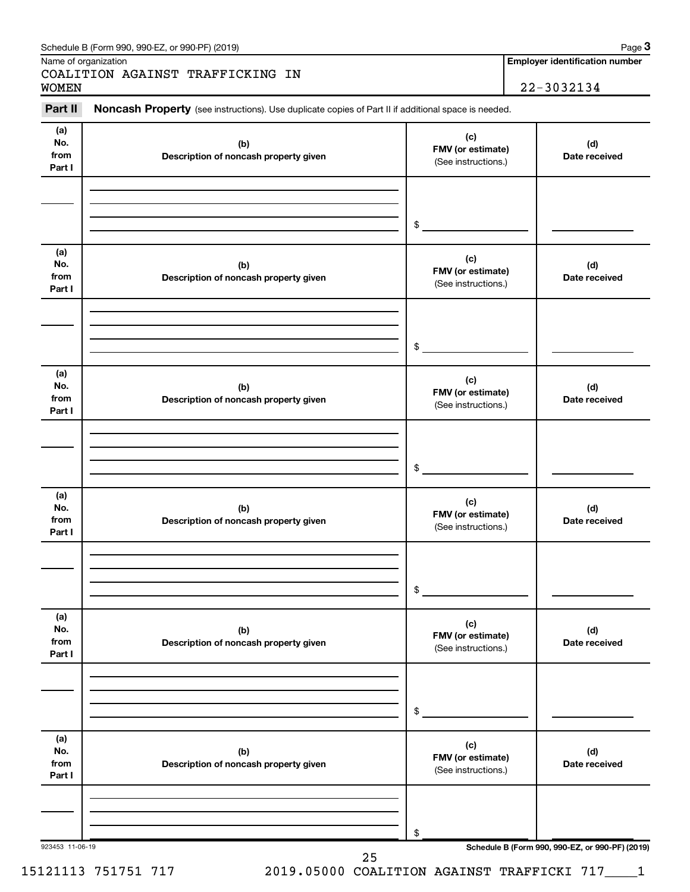| Part II                      | Noncash Property (see instructions). Use duplicate copies of Part II if additional space is needed. |                                                 |                      |
|------------------------------|-----------------------------------------------------------------------------------------------------|-------------------------------------------------|----------------------|
| (a)<br>No.<br>from<br>Part I | (b)<br>Description of noncash property given                                                        | (c)<br>FMV (or estimate)<br>(See instructions.) | (d)<br>Date received |
|                              |                                                                                                     | \$                                              |                      |
| (a)<br>No.<br>from<br>Part I | (b)<br>Description of noncash property given                                                        | (c)<br>FMV (or estimate)<br>(See instructions.) | (d)<br>Date received |
|                              |                                                                                                     | \$                                              |                      |
| (a)<br>No.<br>from<br>Part I | (b)<br>Description of noncash property given                                                        | (c)<br>FMV (or estimate)<br>(See instructions.) | (d)<br>Date received |
|                              |                                                                                                     | \$                                              |                      |
| (a)<br>No.<br>from<br>Part I | (b)<br>Description of noncash property given                                                        | (c)<br>FMV (or estimate)<br>(See instructions.) | (d)<br>Date received |
|                              |                                                                                                     | \$                                              |                      |
| (a)<br>No.<br>from<br>Part I | (b)<br>Description of noncash property given                                                        | (c)<br>FMV (or estimate)<br>(See instructions.) | (d)<br>Date received |
|                              |                                                                                                     | \$                                              |                      |
| (a)<br>No.<br>from<br>Part I | (b)<br>Description of noncash property given                                                        | (c)<br>FMV (or estimate)<br>(See instructions.) | (d)<br>Date received |
|                              |                                                                                                     | \$                                              |                      |

#### Schedule B (Form 990, 990-EZ, or 990-PF) (2019)

Name of organization

**3**

**Employer identification number**

15121113 751751 717 2019.05000 COALITION AGAINST TRAFFICKI 717\_\_\_\_1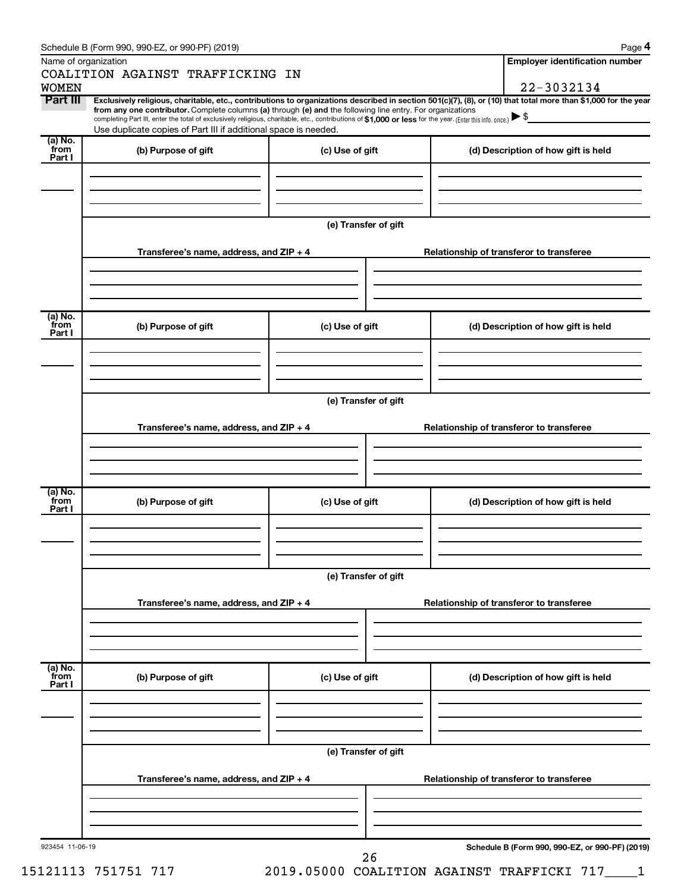| Schedule B (Form 990, 990-EZ, or 990-PF) (2019) |  |  |  |  |  |  |
|-------------------------------------------------|--|--|--|--|--|--|
|-------------------------------------------------|--|--|--|--|--|--|

|--|

| Name of organization      | Schedule B (Form 990, 990-EZ, or 990-PF) (2019)                                                                                                                                                                                                                                                                                                                    |                      | Page 4<br><b>Employer identification number</b>                                                                                                                |
|---------------------------|--------------------------------------------------------------------------------------------------------------------------------------------------------------------------------------------------------------------------------------------------------------------------------------------------------------------------------------------------------------------|----------------------|----------------------------------------------------------------------------------------------------------------------------------------------------------------|
|                           | COALITION AGAINST TRAFFICKING IN                                                                                                                                                                                                                                                                                                                                   |                      |                                                                                                                                                                |
| <b>WOMEN</b>              |                                                                                                                                                                                                                                                                                                                                                                    |                      | 22-3032134                                                                                                                                                     |
| Part III                  | from any one contributor. Complete columns (a) through (e) and the following line entry. For organizations<br>completing Part III, enter the total of exclusively religious, charitable, etc., contributions of \$1,000 or less for the year. (Enter this info. once.) $\blacktriangleright$ \$<br>Use duplicate copies of Part III if additional space is needed. |                      | Exclusively religious, charitable, etc., contributions to organizations described in section 501(c)(7), (8), or (10) that total more than \$1,000 for the year |
| (a) No.<br>from           |                                                                                                                                                                                                                                                                                                                                                                    |                      |                                                                                                                                                                |
| Part I                    | (b) Purpose of gift                                                                                                                                                                                                                                                                                                                                                | (c) Use of gift      | (d) Description of how gift is held                                                                                                                            |
|                           | Transferee's name, address, and ZIP + 4                                                                                                                                                                                                                                                                                                                            | (e) Transfer of gift | Relationship of transferor to transferee                                                                                                                       |
|                           |                                                                                                                                                                                                                                                                                                                                                                    |                      |                                                                                                                                                                |
| (a) No.<br>from<br>Part I | (b) Purpose of gift                                                                                                                                                                                                                                                                                                                                                | (c) Use of gift      | (d) Description of how gift is held                                                                                                                            |
|                           |                                                                                                                                                                                                                                                                                                                                                                    | (e) Transfer of gift |                                                                                                                                                                |
|                           | Transferee's name, address, and ZIP + 4                                                                                                                                                                                                                                                                                                                            |                      | Relationship of transferor to transferee                                                                                                                       |
| (a) No.<br>from<br>Part I | (b) Purpose of gift                                                                                                                                                                                                                                                                                                                                                | (c) Use of gift      | (d) Description of how gift is held                                                                                                                            |
|                           |                                                                                                                                                                                                                                                                                                                                                                    | (e) Transfer of gift |                                                                                                                                                                |
|                           | Transferee's name, address, and ZIP + 4                                                                                                                                                                                                                                                                                                                            |                      | Relationship of transferor to transferee                                                                                                                       |
| (a) No.<br>from           | (b) Purpose of gift                                                                                                                                                                                                                                                                                                                                                | (c) Use of gift      | (d) Description of how gift is held                                                                                                                            |
|                           |                                                                                                                                                                                                                                                                                                                                                                    |                      |                                                                                                                                                                |
|                           | Transferee's name, address, and ZIP + 4                                                                                                                                                                                                                                                                                                                            | (e) Transfer of gift | Relationship of transferor to transferee                                                                                                                       |
|                           |                                                                                                                                                                                                                                                                                                                                                                    |                      |                                                                                                                                                                |
| 923454 11-06-19           |                                                                                                                                                                                                                                                                                                                                                                    | 26                   | Schedule B (Form 990, 990-EZ, or 990-PF) (2019)                                                                                                                |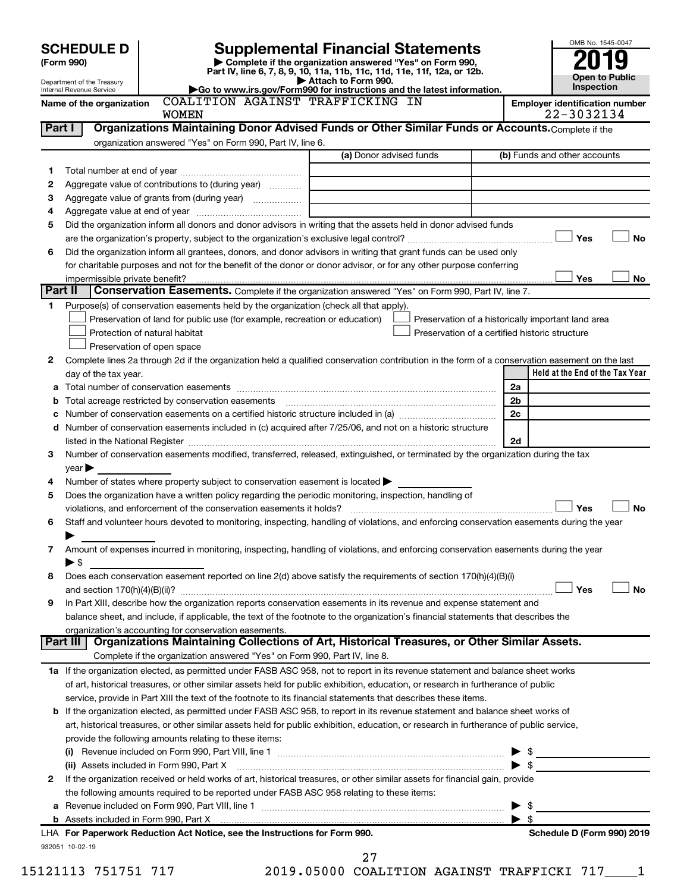|                |                                                                                                                                                                                                                                                     |                                                                                                                                      |                                                                        |                | OMB No. 1545-0047                                   |
|----------------|-----------------------------------------------------------------------------------------------------------------------------------------------------------------------------------------------------------------------------------------------------|--------------------------------------------------------------------------------------------------------------------------------------|------------------------------------------------------------------------|----------------|-----------------------------------------------------|
|                | <b>SCHEDULE D</b>                                                                                                                                                                                                                                   | <b>Supplemental Financial Statements</b>                                                                                             |                                                                        |                |                                                     |
|                | (Form 990)                                                                                                                                                                                                                                          | Complete if the organization answered "Yes" on Form 990,<br>Part IV, line 6, 7, 8, 9, 10, 11a, 11b, 11c, 11d, 11e, 11f, 12a, or 12b. |                                                                        |                |                                                     |
|                | Department of the Treasury<br>Internal Revenue Service                                                                                                                                                                                              | Attach to Form 990.                                                                                                                  | Go to www.irs.gov/Form990 for instructions and the latest information. |                | <b>Open to Public</b><br>Inspection                 |
|                | Name of the organization<br><b>WOMEN</b>                                                                                                                                                                                                            | COALITION AGAINST TRAFFICKING IN                                                                                                     |                                                                        |                | <b>Employer identification number</b><br>22-3032134 |
| Part I         | Organizations Maintaining Donor Advised Funds or Other Similar Funds or Accounts. Complete if the                                                                                                                                                   |                                                                                                                                      |                                                                        |                |                                                     |
|                | organization answered "Yes" on Form 990, Part IV, line 6.                                                                                                                                                                                           |                                                                                                                                      |                                                                        |                |                                                     |
|                |                                                                                                                                                                                                                                                     | (a) Donor advised funds                                                                                                              |                                                                        |                | (b) Funds and other accounts                        |
| 1              |                                                                                                                                                                                                                                                     |                                                                                                                                      |                                                                        |                |                                                     |
| 2              | Aggregate value of contributions to (during year)                                                                                                                                                                                                   |                                                                                                                                      |                                                                        |                |                                                     |
| З              | Aggregate value of grants from (during year)                                                                                                                                                                                                        |                                                                                                                                      |                                                                        |                |                                                     |
| 4              |                                                                                                                                                                                                                                                     |                                                                                                                                      |                                                                        |                |                                                     |
| 5              | Did the organization inform all donors and donor advisors in writing that the assets held in donor advised funds                                                                                                                                    |                                                                                                                                      |                                                                        |                |                                                     |
|                |                                                                                                                                                                                                                                                     |                                                                                                                                      |                                                                        |                | <b>」Yes</b><br>No                                   |
| 6              | Did the organization inform all grantees, donors, and donor advisors in writing that grant funds can be used only                                                                                                                                   |                                                                                                                                      |                                                                        |                |                                                     |
|                | for charitable purposes and not for the benefit of the donor or donor advisor, or for any other purpose conferring<br>impermissible private benefit?                                                                                                |                                                                                                                                      |                                                                        |                | Yes<br>No                                           |
| <b>Part II</b> | Conservation Easements. Complete if the organization answered "Yes" on Form 990, Part IV, line 7.                                                                                                                                                   |                                                                                                                                      |                                                                        |                |                                                     |
| 1.             | Purpose(s) of conservation easements held by the organization (check all that apply).                                                                                                                                                               |                                                                                                                                      |                                                                        |                |                                                     |
|                | Preservation of land for public use (for example, recreation or education)                                                                                                                                                                          |                                                                                                                                      | Preservation of a historically important land area                     |                |                                                     |
|                | Protection of natural habitat                                                                                                                                                                                                                       |                                                                                                                                      | Preservation of a certified historic structure                         |                |                                                     |
|                | Preservation of open space                                                                                                                                                                                                                          |                                                                                                                                      |                                                                        |                |                                                     |
| 2              | Complete lines 2a through 2d if the organization held a qualified conservation contribution in the form of a conservation easement on the last                                                                                                      |                                                                                                                                      |                                                                        |                |                                                     |
|                | day of the tax year.                                                                                                                                                                                                                                |                                                                                                                                      |                                                                        |                | Held at the End of the Tax Year                     |
| а              |                                                                                                                                                                                                                                                     |                                                                                                                                      |                                                                        | 2a             |                                                     |
| b              | Total acreage restricted by conservation easements                                                                                                                                                                                                  |                                                                                                                                      |                                                                        | 2 <sub>b</sub> |                                                     |
| с              | Number of conservation easements on a certified historic structure included in (a) manufacture included in (a)                                                                                                                                      |                                                                                                                                      |                                                                        | 2c             |                                                     |
| d              | Number of conservation easements included in (c) acquired after 7/25/06, and not on a historic structure                                                                                                                                            |                                                                                                                                      |                                                                        |                |                                                     |
|                |                                                                                                                                                                                                                                                     |                                                                                                                                      |                                                                        | 2d             |                                                     |
| 3              | Number of conservation easements modified, transferred, released, extinguished, or terminated by the organization during the tax                                                                                                                    |                                                                                                                                      |                                                                        |                |                                                     |
|                | $\vee$ ear $\blacktriangleright$                                                                                                                                                                                                                    |                                                                                                                                      |                                                                        |                |                                                     |
| 4<br>5         | Number of states where property subject to conservation easement is located ><br>Does the organization have a written policy regarding the periodic monitoring, inspection, handling of                                                             |                                                                                                                                      |                                                                        |                |                                                     |
|                | violations, and enforcement of the conservation easements it holds?                                                                                                                                                                                 |                                                                                                                                      |                                                                        |                | Yes<br><b>No</b>                                    |
| 6              | Staff and volunteer hours devoted to monitoring, inspecting, handling of violations, and enforcing conservation easements during the year                                                                                                           |                                                                                                                                      |                                                                        |                |                                                     |
|                |                                                                                                                                                                                                                                                     |                                                                                                                                      |                                                                        |                |                                                     |
| 7              | Amount of expenses incurred in monitoring, inspecting, handling of violations, and enforcing conservation easements during the year                                                                                                                 |                                                                                                                                      |                                                                        |                |                                                     |
|                | $\blacktriangleright$ \$                                                                                                                                                                                                                            |                                                                                                                                      |                                                                        |                |                                                     |
| 8              | Does each conservation easement reported on line 2(d) above satisfy the requirements of section 170(h)(4)(B)(i)                                                                                                                                     |                                                                                                                                      |                                                                        |                |                                                     |
|                |                                                                                                                                                                                                                                                     |                                                                                                                                      |                                                                        |                | Yes<br><b>No</b>                                    |
| 9              | In Part XIII, describe how the organization reports conservation easements in its revenue and expense statement and                                                                                                                                 |                                                                                                                                      |                                                                        |                |                                                     |
|                | balance sheet, and include, if applicable, the text of the footnote to the organization's financial statements that describes the                                                                                                                   |                                                                                                                                      |                                                                        |                |                                                     |
|                | organization's accounting for conservation easements.                                                                                                                                                                                               |                                                                                                                                      |                                                                        |                |                                                     |
|                | Organizations Maintaining Collections of Art, Historical Treasures, or Other Similar Assets.<br>∣ Part III                                                                                                                                          |                                                                                                                                      |                                                                        |                |                                                     |
|                | Complete if the organization answered "Yes" on Form 990, Part IV, line 8.                                                                                                                                                                           |                                                                                                                                      |                                                                        |                |                                                     |
|                | 1a If the organization elected, as permitted under FASB ASC 958, not to report in its revenue statement and balance sheet works                                                                                                                     |                                                                                                                                      |                                                                        |                |                                                     |
|                | of art, historical treasures, or other similar assets held for public exhibition, education, or research in furtherance of public<br>service, provide in Part XIII the text of the footnote to its financial statements that describes these items. |                                                                                                                                      |                                                                        |                |                                                     |
| b              | If the organization elected, as permitted under FASB ASC 958, to report in its revenue statement and balance sheet works of                                                                                                                         |                                                                                                                                      |                                                                        |                |                                                     |
|                | art, historical treasures, or other similar assets held for public exhibition, education, or research in furtherance of public service,                                                                                                             |                                                                                                                                      |                                                                        |                |                                                     |
|                | provide the following amounts relating to these items:                                                                                                                                                                                              |                                                                                                                                      |                                                                        |                |                                                     |
|                | (i)                                                                                                                                                                                                                                                 |                                                                                                                                      |                                                                        |                |                                                     |
|                | (ii) Assets included in Form 990, Part X [[2000] [2000] [2000] [2000] [3000] [3000] [3000] [3000] [3000] [3000                                                                                                                                      |                                                                                                                                      |                                                                        |                |                                                     |
| 2              | If the organization received or held works of art, historical treasures, or other similar assets for financial gain, provide                                                                                                                        |                                                                                                                                      |                                                                        |                |                                                     |
|                | the following amounts required to be reported under FASB ASC 958 relating to these items:                                                                                                                                                           |                                                                                                                                      |                                                                        |                |                                                     |
| а              |                                                                                                                                                                                                                                                     |                                                                                                                                      |                                                                        |                | \$                                                  |
|                |                                                                                                                                                                                                                                                     |                                                                                                                                      |                                                                        |                | S                                                   |
|                | LHA For Paperwork Reduction Act Notice, see the Instructions for Form 990.                                                                                                                                                                          |                                                                                                                                      |                                                                        |                | Schedule D (Form 990) 2019                          |

932051 10-02-19

15121113 751751 717 2019.05000 COALITION AGAINST TRAFFICKI 717\_\_\_\_1 27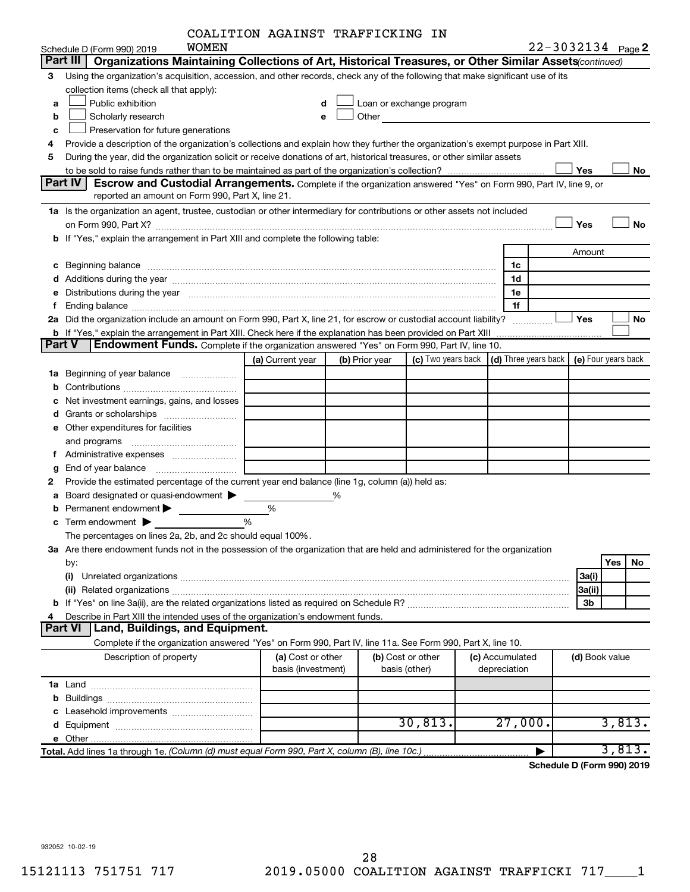|  |  | COALITION AGAINST TRAFFICKING IN |  |
|--|--|----------------------------------|--|
|--|--|----------------------------------|--|

|        | WOMEN<br>Schedule D (Form 990) 2019                                                                                                                                                                                            | COAUIILON AGAINDI IRAFFICRING IN |   |                |                                                                                                                        |                                                                             |        | 22-3032134 Page 2 |
|--------|--------------------------------------------------------------------------------------------------------------------------------------------------------------------------------------------------------------------------------|----------------------------------|---|----------------|------------------------------------------------------------------------------------------------------------------------|-----------------------------------------------------------------------------|--------|-------------------|
|        | Part III<br>Organizations Maintaining Collections of Art, Historical Treasures, or Other Similar Assets (continued)                                                                                                            |                                  |   |                |                                                                                                                        |                                                                             |        |                   |
| 3      | Using the organization's acquisition, accession, and other records, check any of the following that make significant use of its                                                                                                |                                  |   |                |                                                                                                                        |                                                                             |        |                   |
|        | collection items (check all that apply):                                                                                                                                                                                       |                                  |   |                |                                                                                                                        |                                                                             |        |                   |
| a      | Public exhibition                                                                                                                                                                                                              | d                                |   |                | Loan or exchange program                                                                                               |                                                                             |        |                   |
| b      | Scholarly research                                                                                                                                                                                                             | e                                |   | Other          |                                                                                                                        |                                                                             |        |                   |
|        |                                                                                                                                                                                                                                |                                  |   |                | <u> 1989 - Johann John Stone, mars et al. 1989 - John Stone, mars et al. 1989 - John Stone, mars et al. 1989 - Joh</u> |                                                                             |        |                   |
| c      | Preservation for future generations                                                                                                                                                                                            |                                  |   |                |                                                                                                                        |                                                                             |        |                   |
| 4      | Provide a description of the organization's collections and explain how they further the organization's exempt purpose in Part XIII.                                                                                           |                                  |   |                |                                                                                                                        |                                                                             |        |                   |
| 5      | During the year, did the organization solicit or receive donations of art, historical treasures, or other similar assets                                                                                                       |                                  |   |                |                                                                                                                        |                                                                             | Yes    |                   |
|        | Part IV<br>Escrow and Custodial Arrangements. Complete if the organization answered "Yes" on Form 990, Part IV, line 9, or                                                                                                     |                                  |   |                |                                                                                                                        |                                                                             |        | No                |
|        | reported an amount on Form 990, Part X, line 21.                                                                                                                                                                               |                                  |   |                |                                                                                                                        |                                                                             |        |                   |
|        | 1a Is the organization an agent, trustee, custodian or other intermediary for contributions or other assets not included                                                                                                       |                                  |   |                |                                                                                                                        |                                                                             |        |                   |
|        |                                                                                                                                                                                                                                |                                  |   |                |                                                                                                                        |                                                                             |        |                   |
|        |                                                                                                                                                                                                                                |                                  |   |                |                                                                                                                        |                                                                             | Yes    | No                |
|        | b If "Yes," explain the arrangement in Part XIII and complete the following table:                                                                                                                                             |                                  |   |                |                                                                                                                        |                                                                             |        |                   |
|        |                                                                                                                                                                                                                                |                                  |   |                |                                                                                                                        |                                                                             | Amount |                   |
| с      | Beginning balance manufactured and contact manufactured and contact manufactured and contact manufactured and contact manufactured and contact manufactured and contact manufactured and contact manufactured and contact manu |                                  |   |                |                                                                                                                        | 1c                                                                          |        |                   |
|        |                                                                                                                                                                                                                                |                                  |   |                |                                                                                                                        | 1d                                                                          |        |                   |
| е      | Distributions during the year manufactured and an account of the year manufactured and the year manufactured and the year manufactured and the year manufactured and the year manufactured and the year manufactured and the y |                                  |   |                |                                                                                                                        | 1e                                                                          |        |                   |
|        |                                                                                                                                                                                                                                |                                  |   |                |                                                                                                                        | 1f                                                                          |        |                   |
|        | 2a Did the organization include an amount on Form 990, Part X, line 21, for escrow or custodial account liability?                                                                                                             |                                  |   |                |                                                                                                                        |                                                                             | Yes    | No                |
|        | b If "Yes," explain the arrangement in Part XIII. Check here if the explanation has been provided on Part XIII                                                                                                                 |                                  |   |                |                                                                                                                        |                                                                             |        |                   |
| Part V | <b>Endowment Funds.</b> Complete if the organization answered "Yes" on Form 990, Part IV, line 10.                                                                                                                             |                                  |   |                |                                                                                                                        |                                                                             |        |                   |
|        |                                                                                                                                                                                                                                | (a) Current year                 |   | (b) Prior year |                                                                                                                        | (c) Two years back $\vert$ (d) Three years back $\vert$ (e) Four years back |        |                   |
| 1a     | Beginning of year balance                                                                                                                                                                                                      |                                  |   |                |                                                                                                                        |                                                                             |        |                   |
| b      |                                                                                                                                                                                                                                |                                  |   |                |                                                                                                                        |                                                                             |        |                   |
| c      | Net investment earnings, gains, and losses                                                                                                                                                                                     |                                  |   |                |                                                                                                                        |                                                                             |        |                   |
| d      |                                                                                                                                                                                                                                |                                  |   |                |                                                                                                                        |                                                                             |        |                   |
|        | e Other expenditures for facilities                                                                                                                                                                                            |                                  |   |                |                                                                                                                        |                                                                             |        |                   |
|        | and programs                                                                                                                                                                                                                   |                                  |   |                |                                                                                                                        |                                                                             |        |                   |
|        |                                                                                                                                                                                                                                |                                  |   |                |                                                                                                                        |                                                                             |        |                   |
| g      |                                                                                                                                                                                                                                |                                  |   |                |                                                                                                                        |                                                                             |        |                   |
| 2      | Provide the estimated percentage of the current year end balance (line 1g, column (a)) held as:                                                                                                                                |                                  |   |                |                                                                                                                        |                                                                             |        |                   |
| а      | Board designated or quasi-endowment                                                                                                                                                                                            |                                  | % |                |                                                                                                                        |                                                                             |        |                   |
| b      | Permanent endowment                                                                                                                                                                                                            | %                                |   |                |                                                                                                                        |                                                                             |        |                   |
|        | Term endowment $\blacktriangleright$                                                                                                                                                                                           | %                                |   |                |                                                                                                                        |                                                                             |        |                   |
|        | The percentages on lines 2a, 2b, and 2c should equal 100%.                                                                                                                                                                     |                                  |   |                |                                                                                                                        |                                                                             |        |                   |
|        | 3a Are there endowment funds not in the possession of the organization that are held and administered for the organization                                                                                                     |                                  |   |                |                                                                                                                        |                                                                             |        |                   |
|        | by:                                                                                                                                                                                                                            |                                  |   |                |                                                                                                                        |                                                                             |        | <b>Yes</b><br>No  |
|        | (i)                                                                                                                                                                                                                            |                                  |   |                |                                                                                                                        |                                                                             | 3a(i)  |                   |
|        |                                                                                                                                                                                                                                |                                  |   |                |                                                                                                                        |                                                                             |        |                   |
|        |                                                                                                                                                                                                                                |                                  |   |                |                                                                                                                        |                                                                             | 3a(ii) |                   |
|        |                                                                                                                                                                                                                                |                                  |   |                |                                                                                                                        |                                                                             | 3b     |                   |
| 4      | Describe in Part XIII the intended uses of the organization's endowment funds.<br><b>Part VI</b><br><b>Land, Buildings, and Equipment.</b>                                                                                     |                                  |   |                |                                                                                                                        |                                                                             |        |                   |
|        |                                                                                                                                                                                                                                |                                  |   |                |                                                                                                                        |                                                                             |        |                   |
|        | Complete if the organization answered "Yes" on Form 990, Part IV, line 11a. See Form 990, Part X, line 10.                                                                                                                     |                                  |   |                |                                                                                                                        |                                                                             |        |                   |
|        | Description of property                                                                                                                                                                                                        | (a) Cost or other                |   |                | (b) Cost or other                                                                                                      | (c) Accumulated                                                             |        | (d) Book value    |
|        |                                                                                                                                                                                                                                | basis (investment)               |   |                | basis (other)                                                                                                          | depreciation                                                                |        |                   |
|        |                                                                                                                                                                                                                                |                                  |   |                |                                                                                                                        |                                                                             |        |                   |
| b      |                                                                                                                                                                                                                                |                                  |   |                |                                                                                                                        |                                                                             |        |                   |
|        |                                                                                                                                                                                                                                |                                  |   |                |                                                                                                                        |                                                                             |        |                   |
|        |                                                                                                                                                                                                                                |                                  |   |                | 30,813.                                                                                                                | 27,000.                                                                     |        | 3,813.            |
|        |                                                                                                                                                                                                                                |                                  |   |                |                                                                                                                        |                                                                             |        |                   |
|        |                                                                                                                                                                                                                                |                                  |   |                |                                                                                                                        |                                                                             |        | 3,813.            |

**Schedule D (Form 990) 2019**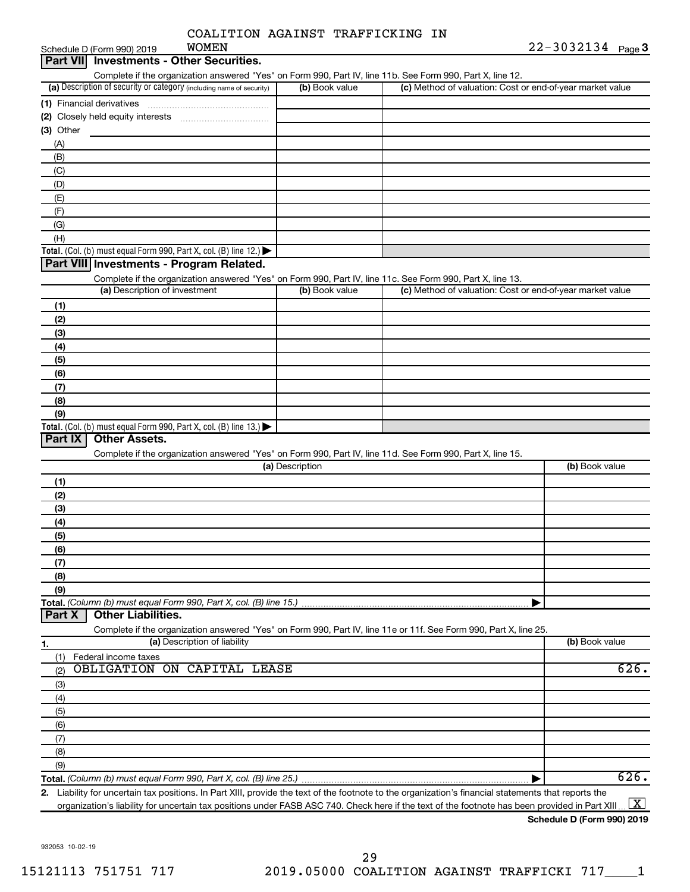| COALITION AGAINST TRAFFICKING IN |  |  |  |  |
|----------------------------------|--|--|--|--|
|----------------------------------|--|--|--|--|

| Part VII<br><b>Investments - Other Securities.</b>                                                         |                |                                                           |
|------------------------------------------------------------------------------------------------------------|----------------|-----------------------------------------------------------|
| Complete if the organization answered "Yes" on Form 990, Part IV, line 11b. See Form 990, Part X, line 12. |                |                                                           |
| (a) Description of security or category (including name of security)                                       | (b) Book value | (c) Method of valuation: Cost or end-of-year market value |
| (1) Financial derivatives                                                                                  |                |                                                           |
| (2) Closely held equity interests                                                                          |                |                                                           |
| $(3)$ Other                                                                                                |                |                                                           |
| (A)                                                                                                        |                |                                                           |
| (B)                                                                                                        |                |                                                           |
| (C)                                                                                                        |                |                                                           |
| (D)                                                                                                        |                |                                                           |
| (E)                                                                                                        |                |                                                           |
| (F)                                                                                                        |                |                                                           |
| (G)                                                                                                        |                |                                                           |
| (H)                                                                                                        |                |                                                           |
| <b>Total.</b> (Col. (b) must equal Form 990, Part X, col. (B) line 12.) $\blacktriangleright$              |                |                                                           |
| Part VIII Investments - Program Related.                                                                   |                |                                                           |
| Complete if the organization answered "Yes" on Form 990, Part IV, line 11c. See Form 990, Part X, line 13. |                |                                                           |
| (a) Description of investment                                                                              | (b) Book value | (c) Method of valuation: Cost or end-of-year market value |
| (1)                                                                                                        |                |                                                           |

| . .                                                                                     |  |
|-----------------------------------------------------------------------------------------|--|
| (2)                                                                                     |  |
| (3)                                                                                     |  |
| (4)                                                                                     |  |
| (5)                                                                                     |  |
| (6)                                                                                     |  |
| (7)                                                                                     |  |
| (8)                                                                                     |  |
| (9)                                                                                     |  |
| Total. (Col. (b) must equal Form 990, Part X, col. (B) line $13.$ $\blacktriangleright$ |  |

#### **Part IX Other Assets.**

Complete if the organization answered "Yes" on Form 990, Part IV, line 11d. See Form 990, Part X, line 15.

| (2)<br>(3)<br>(4) | (b) Book value |
|-------------------|----------------|
|                   |                |
|                   |                |
|                   |                |
|                   |                |
| (5)               |                |
| (6)               |                |
|                   |                |
| (8)               |                |
| (9)               |                |
|                   |                |

#### **Part X Other Liabilities.**

Complete if the organization answered "Yes" on Form 990, Part IV, line 11e or 11f. See Form 990, Part X, line 25.

| 1.  | (a) Description of liability | (b) Book value |
|-----|------------------------------|----------------|
| (1) | Federal income taxes         |                |
| (2) | OBLIGATION ON CAPITAL LEASE  | 626.           |
| (3) |                              |                |
| (4) |                              |                |
| (5) |                              |                |
| (6) |                              |                |
| (7) |                              |                |
| (8) |                              |                |
| (9) |                              |                |
|     |                              | 626.           |

**2.** Liability for uncertain tax positions. In Part XIII, provide the text of the footnote to the organization's financial statements that reports the organization's liability for uncertain tax positions under FASB ASC 740. Check here if the text of the footnote has been provided in Part XIII ...  $\fbox{\bf X}$ 

#### **Schedule D (Form 990) 2019**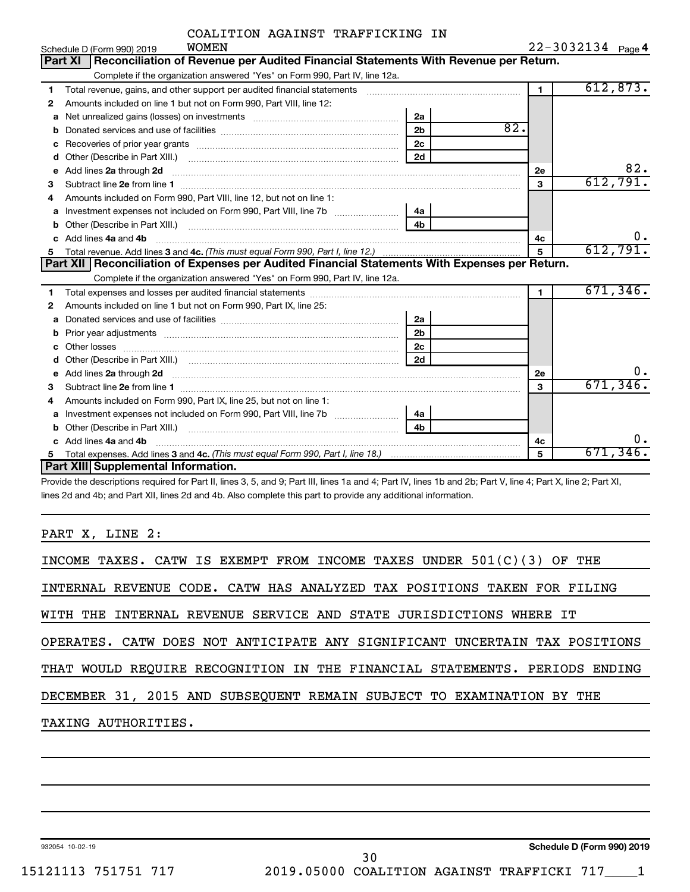|  | COALITION AGAINST TRAFFICKING IN |  |
|--|----------------------------------|--|
|  |                                  |  |

|  |  |  |  | $22 - 3032134$ Page 4 |
|--|--|--|--|-----------------------|
|  |  |  |  |                       |

|    | <b>WOMEN</b><br>Schedule D (Form 990) 2019                                                                                                                                                                                          |                |                | $22 - 3032134$ Page 4 |
|----|-------------------------------------------------------------------------------------------------------------------------------------------------------------------------------------------------------------------------------------|----------------|----------------|-----------------------|
|    | Reconciliation of Revenue per Audited Financial Statements With Revenue per Return.<br>Part XI                                                                                                                                      |                |                |                       |
|    | Complete if the organization answered "Yes" on Form 990, Part IV, line 12a.                                                                                                                                                         |                |                |                       |
| 1  | Total revenue, gains, and other support per audited financial statements [111] [11] Total revenue, gains, and other support per audited financial statements                                                                        |                | $\blacksquare$ | 612,873.              |
| 2  | Amounts included on line 1 but not on Form 990, Part VIII, line 12:                                                                                                                                                                 |                |                |                       |
| a  | Net unrealized gains (losses) on investments [111] Net unrealized mains (losses) on investments [11] Metamanian                                                                                                                     | 2a             |                |                       |
| b  |                                                                                                                                                                                                                                     | 2 <sub>b</sub> | 82.            |                       |
| с  |                                                                                                                                                                                                                                     | 2 <sub>c</sub> |                |                       |
| d  |                                                                                                                                                                                                                                     | 2d             |                |                       |
| е  | Add lines 2a through 2d                                                                                                                                                                                                             |                | 2e             | 82.                   |
| 3  |                                                                                                                                                                                                                                     |                | 3              | 612,791.              |
| 4  | Amounts included on Form 990. Part VIII, line 12, but not on line 1:                                                                                                                                                                |                |                |                       |
| a  |                                                                                                                                                                                                                                     | 4a l           |                |                       |
| b  |                                                                                                                                                                                                                                     | 4 <sub>h</sub> |                |                       |
| c. | Add lines 4a and 4b                                                                                                                                                                                                                 |                | 4c             | ο.                    |
| 5. |                                                                                                                                                                                                                                     |                | 5              | 612,791.              |
|    | Part XII   Reconciliation of Expenses per Audited Financial Statements With Expenses per Return.                                                                                                                                    |                |                |                       |
|    | Complete if the organization answered "Yes" on Form 990, Part IV, line 12a.                                                                                                                                                         |                |                |                       |
| 1  |                                                                                                                                                                                                                                     |                | $\mathbf{1}$   | 671, 346.             |
| 2  | Amounts included on line 1 but not on Form 990, Part IX, line 25:                                                                                                                                                                   |                |                |                       |
| a  |                                                                                                                                                                                                                                     | 2a             |                |                       |
| b  |                                                                                                                                                                                                                                     | 2 <sub>b</sub> |                |                       |
| c  |                                                                                                                                                                                                                                     | 2 <sub>c</sub> |                |                       |
| d  |                                                                                                                                                                                                                                     | 2d             |                |                       |
| e  | Add lines 2a through 2d <b>contained a contained a contained a</b> contained a contact the state of the contained and contained a contact the contact of the contact of the contact of the contact of the contact of the contact of |                | 2e             | О.                    |
| 3  |                                                                                                                                                                                                                                     |                | 3              | 671, 346.             |
| 4  | Amounts included on Form 990, Part IX, line 25, but not on line 1:                                                                                                                                                                  |                |                |                       |
| а  |                                                                                                                                                                                                                                     | 4a             |                |                       |
| b  |                                                                                                                                                                                                                                     | 4 <b>h</b>     |                |                       |
| c. | Add lines 4a and 4b                                                                                                                                                                                                                 |                | 4c             | О.                    |
|    |                                                                                                                                                                                                                                     |                |                |                       |
|    | Part XIII Supplemental Information.                                                                                                                                                                                                 |                | 5              | 671,346.              |

Provide the descriptions required for Part II, lines 3, 5, and 9; Part III, lines 1a and 4; Part IV, lines 1b and 2b; Part V, line 4; Part X, line 2; Part XI, lines 2d and 4b; and Part XII, lines 2d and 4b. Also complete this part to provide any additional information.

PART X, LINE 2:

| INCOME TAXES. CATW IS EXEMPT FROM INCOME TAXES UNDER $501(C)(3)$ OF THE    |
|----------------------------------------------------------------------------|
| INTERNAL REVENUE CODE. CATW HAS ANALYZED TAX POSITIONS TAKEN FOR FILING    |
| WITH THE INTERNAL REVENUE SERVICE AND STATE JURISDICTIONS WHERE IT         |
| OPERATES. CATW DOES NOT ANTICIPATE ANY SIGNIFICANT UNCERTAIN TAX POSITIONS |
| THAT WOULD REQUIRE RECOGNITION IN THE FINANCIAL STATEMENTS. PERIODS ENDING |
| DECEMBER 31, 2015 AND SUBSEQUENT REMAIN SUBJECT TO EXAMINATION BY THE      |
| TAXING AUTHORITIES.                                                        |
|                                                                            |

932054 10-02-19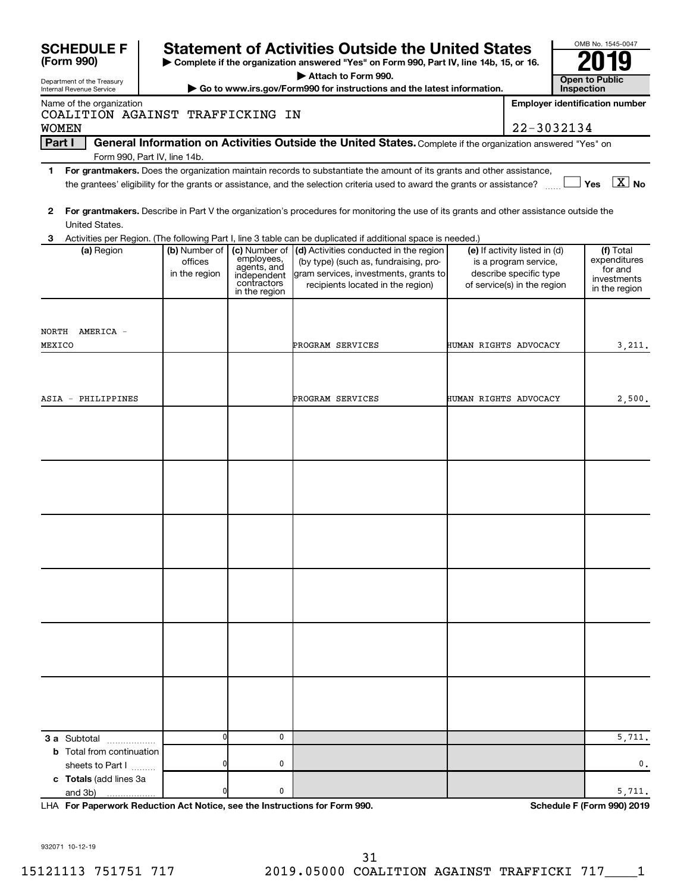| <b>SCHEDULE F</b>                                            |               |                            | <b>Statement of Activities Outside the United States</b>                                                                                |                       |                                                       | OMB No. 1545-0047                     |                         |
|--------------------------------------------------------------|---------------|----------------------------|-----------------------------------------------------------------------------------------------------------------------------------------|-----------------------|-------------------------------------------------------|---------------------------------------|-------------------------|
| (Form 990)                                                   |               |                            | Complete if the organization answered "Yes" on Form 990, Part IV, line 14b, 15, or 16.                                                  |                       |                                                       |                                       |                         |
| Department of the Treasury                                   |               |                            | Attach to Form 990.                                                                                                                     |                       |                                                       | <b>Open to Public</b>                 |                         |
| Internal Revenue Service                                     |               |                            | Go to www.irs.gov/Form990 for instructions and the latest information.                                                                  |                       |                                                       | Inspection                            |                         |
| Name of the organization<br>COALITION AGAINST TRAFFICKING IN |               |                            |                                                                                                                                         |                       |                                                       | <b>Employer identification number</b> |                         |
| <b>WOMEN</b>                                                 |               |                            |                                                                                                                                         |                       | 22-3032134                                            |                                       |                         |
| Part I<br>Form 990, Part IV, line 14b.                       |               |                            | General Information on Activities Outside the United States. Complete if the organization answered "Yes" on                             |                       |                                                       |                                       |                         |
| 1.                                                           |               |                            | For grantmakers. Does the organization maintain records to substantiate the amount of its grants and other assistance,                  |                       |                                                       |                                       |                         |
|                                                              |               |                            | the grantees' eligibility for the grants or assistance, and the selection criteria used to award the grants or assistance?              |                       |                                                       | Yes                                   | $\boxed{\text{X}}$ No   |
| 2<br>United States.                                          |               |                            | For grantmakers. Describe in Part V the organization's procedures for monitoring the use of its grants and other assistance outside the |                       |                                                       |                                       |                         |
| з                                                            |               |                            | Activities per Region. (The following Part I, line 3 table can be duplicated if additional space is needed.)                            |                       |                                                       |                                       |                         |
| (a) Region                                                   | (b) Number of | (c) Number of              | (d) Activities conducted in the region                                                                                                  |                       | (e) If activity listed in (d)                         |                                       | (f) Total               |
|                                                              | offices       | employees,<br>agents, and  | (by type) (such as, fundraising, pro-                                                                                                   |                       | is a program service,                                 |                                       | expenditures<br>for and |
|                                                              | in the region | independent<br>contractors | gram services, investments, grants to<br>recipients located in the region)                                                              |                       | describe specific type<br>of service(s) in the region |                                       | investments             |
|                                                              |               | in the region              |                                                                                                                                         |                       |                                                       |                                       | in the region           |
|                                                              |               |                            |                                                                                                                                         |                       |                                                       |                                       |                         |
| NORTH AMERICA -                                              |               |                            |                                                                                                                                         |                       |                                                       |                                       |                         |
| MEXICO                                                       |               |                            | PROGRAM SERVICES                                                                                                                        | HUMAN RIGHTS ADVOCACY |                                                       |                                       | 3,211.                  |
|                                                              |               |                            |                                                                                                                                         |                       |                                                       |                                       |                         |
|                                                              |               |                            |                                                                                                                                         |                       |                                                       |                                       |                         |
|                                                              |               |                            |                                                                                                                                         |                       |                                                       |                                       |                         |
| ASIA - PHILIPPINES                                           |               |                            | PROGRAM SERVICES                                                                                                                        | HUMAN RIGHTS ADVOCACY |                                                       |                                       | 2,500.                  |
|                                                              |               |                            |                                                                                                                                         |                       |                                                       |                                       |                         |
|                                                              |               |                            |                                                                                                                                         |                       |                                                       |                                       |                         |
|                                                              |               |                            |                                                                                                                                         |                       |                                                       |                                       |                         |
|                                                              |               |                            |                                                                                                                                         |                       |                                                       |                                       |                         |
|                                                              |               |                            |                                                                                                                                         |                       |                                                       |                                       |                         |
|                                                              |               |                            |                                                                                                                                         |                       |                                                       |                                       |                         |
|                                                              |               |                            |                                                                                                                                         |                       |                                                       |                                       |                         |
|                                                              |               |                            |                                                                                                                                         |                       |                                                       |                                       |                         |
|                                                              |               |                            |                                                                                                                                         |                       |                                                       |                                       |                         |
|                                                              |               |                            |                                                                                                                                         |                       |                                                       |                                       |                         |
|                                                              |               |                            |                                                                                                                                         |                       |                                                       |                                       |                         |
|                                                              |               |                            |                                                                                                                                         |                       |                                                       |                                       |                         |
|                                                              |               |                            |                                                                                                                                         |                       |                                                       |                                       |                         |
|                                                              |               |                            |                                                                                                                                         |                       |                                                       |                                       |                         |
|                                                              |               |                            |                                                                                                                                         |                       |                                                       |                                       |                         |
|                                                              |               |                            |                                                                                                                                         |                       |                                                       |                                       |                         |
|                                                              |               |                            |                                                                                                                                         |                       |                                                       |                                       |                         |
|                                                              |               |                            |                                                                                                                                         |                       |                                                       |                                       |                         |
|                                                              |               |                            |                                                                                                                                         |                       |                                                       |                                       |                         |
|                                                              |               |                            |                                                                                                                                         |                       |                                                       |                                       |                         |
|                                                              |               |                            |                                                                                                                                         |                       |                                                       |                                       |                         |
|                                                              |               |                            |                                                                                                                                         |                       |                                                       |                                       |                         |
|                                                              | n             | 0                          |                                                                                                                                         |                       |                                                       |                                       | 5,711.                  |
| 3 a Subtotal<br><b>b</b> Total from continuation             |               |                            |                                                                                                                                         |                       |                                                       |                                       |                         |
| sheets to Part I                                             |               | 0                          |                                                                                                                                         |                       |                                                       |                                       | 0.                      |
| c Totals (add lines 3a                                       |               |                            |                                                                                                                                         |                       |                                                       |                                       |                         |
| and 3b)<br>.                                                 |               | 0                          |                                                                                                                                         |                       |                                                       |                                       | 5,711.                  |

**For Paperwork Reduction Act Notice, see the Instructions for Form 990. Schedule F (Form 990) 2019** LHA

932071 10-12-19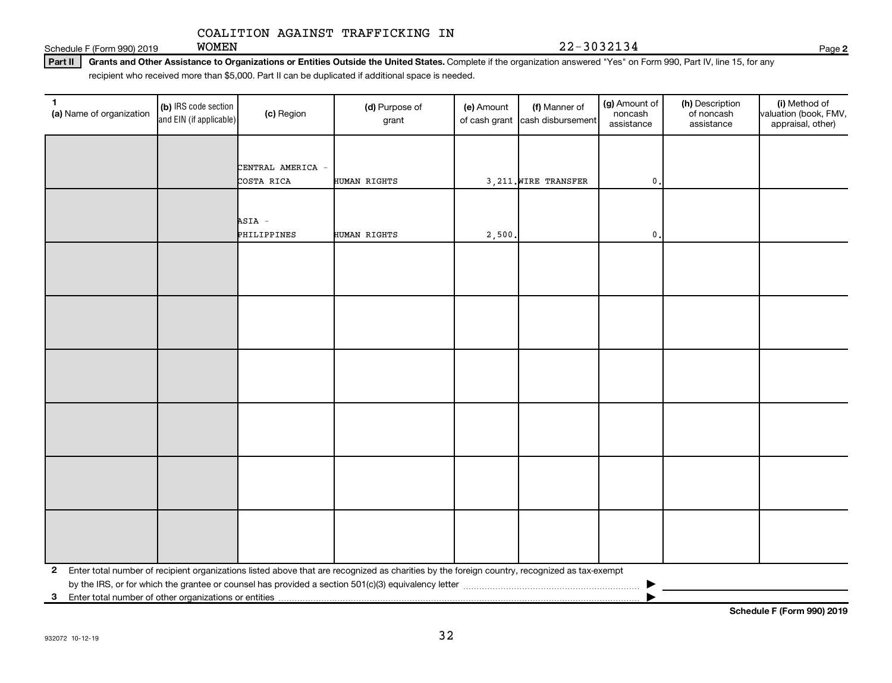WOMEN 22-3032134

Schedule F (Form 990) 2019  $WOMEN$ 

#### Part II | Grants and Other Assistance to Organizations or Entities Outside the United States. Complete if the organization answered "Yes" on Form 990, Part IV, line 15, for any recipient who received more than \$5,000. Part II can be duplicated if additional space is needed.

| $\mathbf{1}$<br>(a) Name of organization                                | (b) IRS code section<br>and EIN (if applicable) | (c) Region            | (d) Purpose of<br>grant                                                                                                                      | (e) Amount | (f) Manner of<br>of cash grant cash disbursement | (g) Amount of<br>noncash<br>assistance | (h) Description<br>of noncash<br>assistance | (i) Method of<br>valuation (book, FMV,<br>appraisal, other) |
|-------------------------------------------------------------------------|-------------------------------------------------|-----------------------|----------------------------------------------------------------------------------------------------------------------------------------------|------------|--------------------------------------------------|----------------------------------------|---------------------------------------------|-------------------------------------------------------------|
|                                                                         |                                                 | CENTRAL AMERICA -     |                                                                                                                                              |            |                                                  |                                        |                                             |                                                             |
|                                                                         |                                                 | COSTA RICA            | <b>HUMAN RIGHTS</b>                                                                                                                          |            | 3, 211. WIRE TRANSFER                            | $^{\rm 0}$ .                           |                                             |                                                             |
|                                                                         |                                                 | ASIA -<br>PHILIPPINES | <b>HUMAN RIGHTS</b>                                                                                                                          | 2,500.     |                                                  | $\mathbf 0$ .                          |                                             |                                                             |
|                                                                         |                                                 |                       |                                                                                                                                              |            |                                                  |                                        |                                             |                                                             |
|                                                                         |                                                 |                       |                                                                                                                                              |            |                                                  |                                        |                                             |                                                             |
|                                                                         |                                                 |                       |                                                                                                                                              |            |                                                  |                                        |                                             |                                                             |
|                                                                         |                                                 |                       |                                                                                                                                              |            |                                                  |                                        |                                             |                                                             |
|                                                                         |                                                 |                       |                                                                                                                                              |            |                                                  |                                        |                                             |                                                             |
|                                                                         |                                                 |                       |                                                                                                                                              |            |                                                  |                                        |                                             |                                                             |
| $\mathbf{2}$<br>3 Enter total number of other organizations or entities |                                                 |                       | Enter total number of recipient organizations listed above that are recognized as charities by the foreign country, recognized as tax-exempt |            |                                                  |                                        |                                             |                                                             |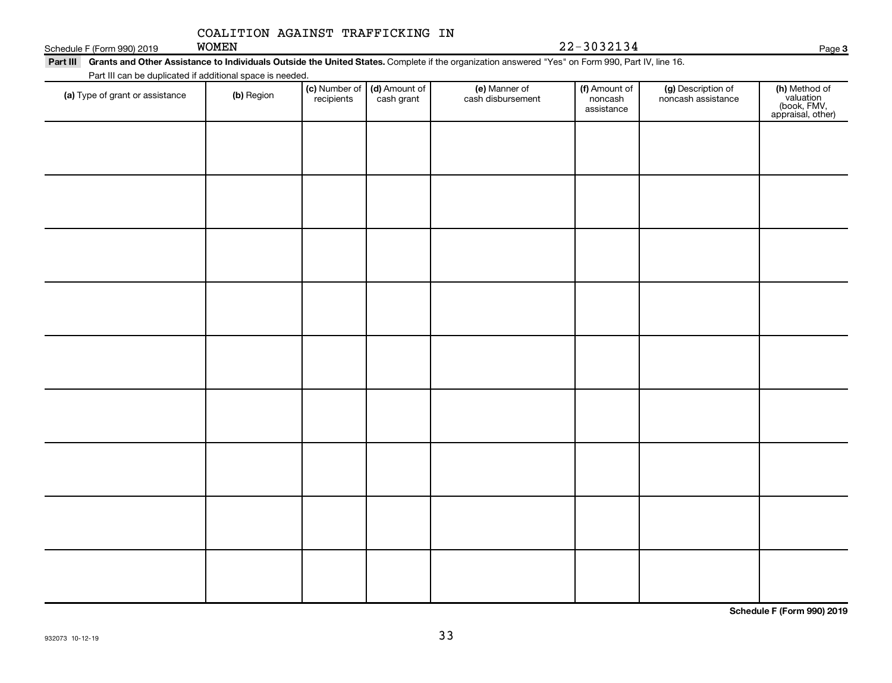WOMEN 22-3032134

## Part III Grants and Other Assistance to Individuals Outside the United States. Complete if the organization answered "Yes" on Form 990, Part IV, line 16. Schedule F (Form 990) 2019 WOMEN

Part III can be duplicated if additional space is needed.

| T art in carl be deplicated if additional space is riceded.<br>(a) Type of grant or assistance | (b) Region | (c) Number of (d) Amount of<br>recipients cash grant | (e) Manner of<br>cash disbursement | (f) Amount of<br>noncash<br>assistance | (g) Description of<br>noncash assistance | (h) Method of<br>valuation<br>(book, FMV,<br>appraisal, other) |
|------------------------------------------------------------------------------------------------|------------|------------------------------------------------------|------------------------------------|----------------------------------------|------------------------------------------|----------------------------------------------------------------|
|                                                                                                |            |                                                      |                                    |                                        |                                          |                                                                |
|                                                                                                |            |                                                      |                                    |                                        |                                          |                                                                |
|                                                                                                |            |                                                      |                                    |                                        |                                          |                                                                |
|                                                                                                |            |                                                      |                                    |                                        |                                          |                                                                |
|                                                                                                |            |                                                      |                                    |                                        |                                          |                                                                |
|                                                                                                |            |                                                      |                                    |                                        |                                          |                                                                |
|                                                                                                |            |                                                      |                                    |                                        |                                          |                                                                |
|                                                                                                |            |                                                      |                                    |                                        |                                          |                                                                |
|                                                                                                |            |                                                      |                                    |                                        |                                          |                                                                |
|                                                                                                |            |                                                      |                                    |                                        |                                          |                                                                |

**Schedule F (Form 990) 2019**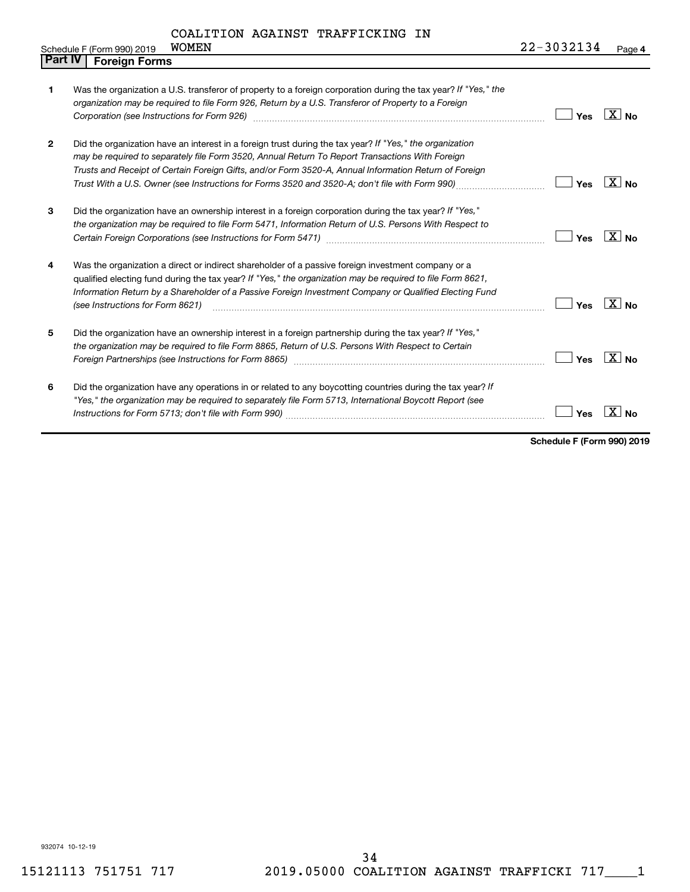|  | Schedule F (Form 990) 2019 | <b>WOMEN</b> | 22-3032134 | Page 4 |
|--|----------------------------|--------------|------------|--------|
|--|----------------------------|--------------|------------|--------|

| <b>Part IV</b> | <b>Foreign Forms</b>                                                                                                                                                                                                                                                                                                                                                                                                                                    |                          |  |
|----------------|---------------------------------------------------------------------------------------------------------------------------------------------------------------------------------------------------------------------------------------------------------------------------------------------------------------------------------------------------------------------------------------------------------------------------------------------------------|--------------------------|--|
| 1              | Was the organization a U.S. transferor of property to a foreign corporation during the tax year? If "Yes," the<br>organization may be required to file Form 926, Return by a U.S. Transferor of Property to a Foreign<br>Corporation (see Instructions for Form 926) [11] Consuming the Corporation (see Instructions of Port of Alexander School and Text of Alexander School and Text of Alexander School and Text of Alexander School and Text of Al | $ X $ No<br>Yes          |  |
| $\overline{2}$ | Did the organization have an interest in a foreign trust during the tax year? If "Yes," the organization<br>may be required to separately file Form 3520, Annual Return To Report Transactions With Foreign<br>Trusts and Receipt of Certain Foreign Gifts, and/or Form 3520-A, Annual Information Return of Foreign<br>Trust With a U.S. Owner (see Instructions for Forms 3520 and 3520-A; don't file with Form 990)                                  | <b>XINo</b><br>Yes       |  |
| 3              | Did the organization have an ownership interest in a foreign corporation during the tax year? If "Yes,"<br>the organization may be required to file Form 5471, Information Return of U.S. Persons With Respect to                                                                                                                                                                                                                                       | $\overline{X}$ No<br>Yes |  |
| 4              | Was the organization a direct or indirect shareholder of a passive foreign investment company or a<br>qualified electing fund during the tax year? If "Yes," the organization may be required to file Form 8621,<br>Information Return by a Shareholder of a Passive Foreign Investment Company or Qualified Electing Fund<br>(see Instructions for Form 8621)                                                                                          | $X_{\text{No}}$<br>Yes   |  |
| 5              | Did the organization have an ownership interest in a foreign partnership during the tax year? If "Yes,"<br>the organization may be required to file Form 8865, Return of U.S. Persons With Respect to Certain<br>Foreign Partnerships (see Instructions for Form 8865) manufactured controller controller controller controller                                                                                                                         | $X _{N0}$<br>Yes         |  |
| 6              | Did the organization have any operations in or related to any boycotting countries during the tax year? If<br>"Yes," the organization may be required to separately file Form 5713, International Boycott Report (see                                                                                                                                                                                                                                   | Yes                      |  |

**Schedule F (Form 990) 2019**

932074 10-12-19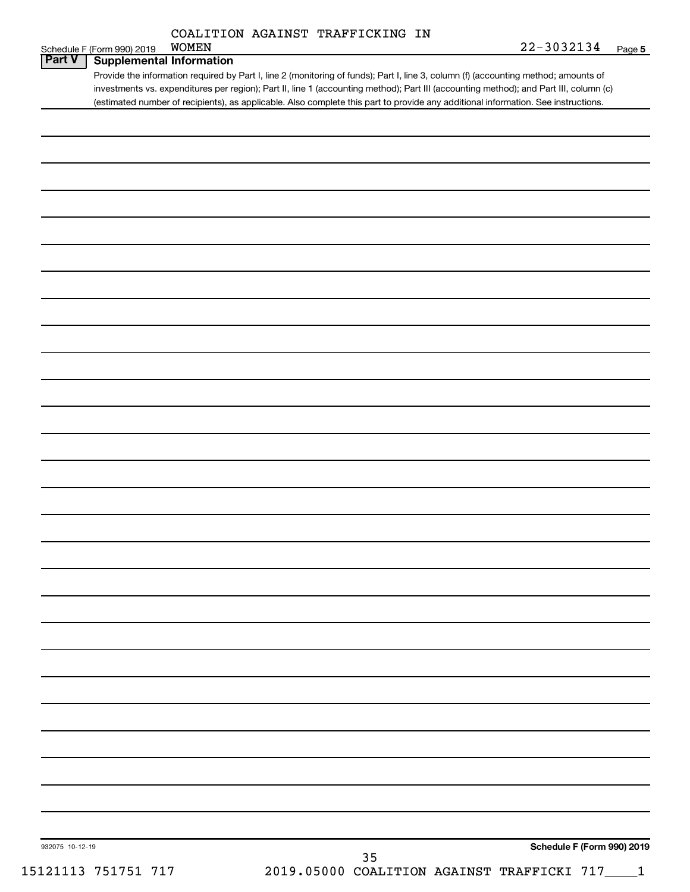|  | COALITION AGAINST TRAFFICKING IN |  |
|--|----------------------------------|--|
|  |                                  |  |

| WOMEN<br>Schedule F (Form 990) 2019                                                                                                 | 22-3032134 | Page |
|-------------------------------------------------------------------------------------------------------------------------------------|------------|------|
| <b>Part V</b>   Supplemental Information                                                                                            |            |      |
| Provide the information required by Part I, line 2 (monitoring of funds); Part I, line 3, column (f) (accounting method; amounts of |            |      |
| investments vs. expenditures per region); Dart II line 1 (accounting method); Dart III (accounting method); and Dart III column (c) |            |      |

nonitoring of funds); Part I, line 3, column (f) (accounting method; amounts of investments vs. expenditures per region); Part II, line 1 (accounting method); Part III (accounting method); and Part III, column (c) (estimated number of recipients), as applicable. Also complete this part to provide any additional information. See instructions.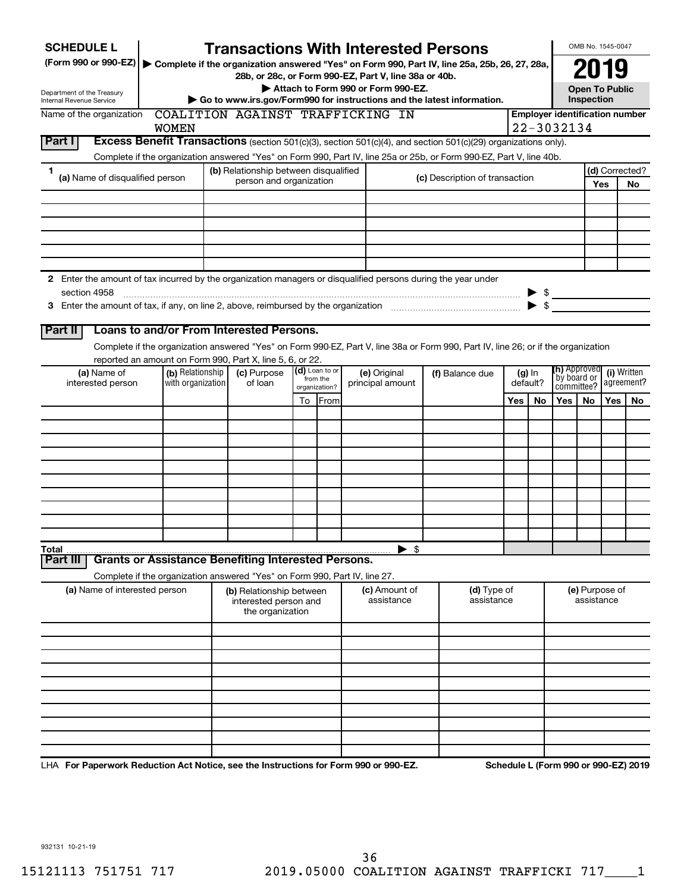| <b>SCHEDULE L</b>                                                                                                    |                               |                   | <b>Transactions With Interested Persons</b>                                |    |               |  |                                    |  |                                                                                                                                    |     |                          |                                     | OMB No. 1545-0047            |             |                                       |
|----------------------------------------------------------------------------------------------------------------------|-------------------------------|-------------------|----------------------------------------------------------------------------|----|---------------|--|------------------------------------|--|------------------------------------------------------------------------------------------------------------------------------------|-----|--------------------------|-------------------------------------|------------------------------|-------------|---------------------------------------|
| (Form 990 or 990-EZ)   Complete if the organization answered "Yes" on Form 990, Part IV, line 25a, 25b, 26, 27, 28a, |                               |                   |                                                                            |    |               |  |                                    |  |                                                                                                                                    |     |                          |                                     | 2019                         |             |                                       |
|                                                                                                                      |                               |                   | 28b, or 28c, or Form 990-EZ, Part V, line 38a or 40b.                      |    |               |  | Attach to Form 990 or Form 990-EZ. |  |                                                                                                                                    |     |                          |                                     | <b>Open To Public</b>        |             |                                       |
| Department of the Treasury<br>Internal Revenue Service                                                               |                               |                   |                                                                            |    |               |  |                                    |  | Go to www.irs.gov/Form990 for instructions and the latest information.                                                             |     |                          |                                     | <b>Inspection</b>            |             |                                       |
| Name of the organization                                                                                             |                               |                   | COALITION AGAINST TRAFFICKING IN                                           |    |               |  |                                    |  |                                                                                                                                    |     |                          |                                     |                              |             | <b>Employer identification number</b> |
|                                                                                                                      |                               | <b>WOMEN</b>      |                                                                            |    |               |  |                                    |  |                                                                                                                                    |     |                          | 22-3032134                          |                              |             |                                       |
| Part I                                                                                                               |                               |                   |                                                                            |    |               |  |                                    |  | Excess Benefit Transactions (section 501(c)(3), section 501(c)(4), and section 501(c)(29) organizations only).                     |     |                          |                                     |                              |             |                                       |
|                                                                                                                      |                               |                   |                                                                            |    |               |  |                                    |  | Complete if the organization answered "Yes" on Form 990, Part IV, line 25a or 25b, or Form 990-EZ, Part V, line 40b.               |     |                          |                                     |                              |             |                                       |
| 1<br>(a) Name of disqualified person                                                                                 |                               |                   | (b) Relationship between disqualified<br>person and organization           |    |               |  |                                    |  | (c) Description of transaction                                                                                                     |     |                          |                                     |                              | Yes         | (d) Corrected?<br><b>No</b>           |
|                                                                                                                      |                               |                   |                                                                            |    |               |  |                                    |  |                                                                                                                                    |     |                          |                                     |                              |             |                                       |
|                                                                                                                      |                               |                   |                                                                            |    |               |  |                                    |  |                                                                                                                                    |     |                          |                                     |                              |             |                                       |
|                                                                                                                      |                               |                   |                                                                            |    |               |  |                                    |  |                                                                                                                                    |     |                          |                                     |                              |             |                                       |
|                                                                                                                      |                               |                   |                                                                            |    |               |  |                                    |  |                                                                                                                                    |     |                          |                                     |                              |             |                                       |
|                                                                                                                      |                               |                   |                                                                            |    |               |  |                                    |  |                                                                                                                                    |     |                          |                                     |                              |             |                                       |
| 2 Enter the amount of tax incurred by the organization managers or disqualified persons during the year under        |                               |                   |                                                                            |    |               |  |                                    |  |                                                                                                                                    |     |                          |                                     |                              |             |                                       |
| section 4958                                                                                                         |                               |                   |                                                                            |    |               |  |                                    |  |                                                                                                                                    |     |                          | $\triangleright$ \$                 |                              |             |                                       |
|                                                                                                                      |                               |                   |                                                                            |    |               |  |                                    |  |                                                                                                                                    |     | $\blacktriangleright$ \$ |                                     |                              |             |                                       |
| Part II                                                                                                              |                               |                   | Loans to and/or From Interested Persons.                                   |    |               |  |                                    |  |                                                                                                                                    |     |                          |                                     |                              |             |                                       |
|                                                                                                                      |                               |                   |                                                                            |    |               |  |                                    |  | Complete if the organization answered "Yes" on Form 990-EZ, Part V, line 38a or Form 990, Part IV, line 26; or if the organization |     |                          |                                     |                              |             |                                       |
|                                                                                                                      |                               |                   | reported an amount on Form 990, Part X, line 5, 6, or 22.                  |    |               |  |                                    |  |                                                                                                                                    |     |                          |                                     |                              |             |                                       |
| (a) Name of                                                                                                          |                               | (b) Relationship  | $(d)$ Loan to or<br>(c) Purpose<br>(e) Original<br>(f) Balance due         |    |               |  | from the                           |  | $(g)$ In                                                                                                                           |     |                          | <b>(h)</b> Approved<br>`by board or |                              | (i) Written |                                       |
| interested person                                                                                                    |                               | with organization | of loan                                                                    |    | organization? |  | principal amount                   |  |                                                                                                                                    |     | default?                 | committee?                          |                              |             | agreement?                            |
|                                                                                                                      |                               |                   |                                                                            | To | From          |  |                                    |  |                                                                                                                                    | Yes | No                       | Yes                                 | No.                          | <b>Yes</b>  | No                                    |
|                                                                                                                      |                               |                   |                                                                            |    |               |  |                                    |  |                                                                                                                                    |     |                          |                                     |                              |             |                                       |
|                                                                                                                      |                               |                   |                                                                            |    |               |  |                                    |  |                                                                                                                                    |     |                          |                                     |                              |             |                                       |
|                                                                                                                      |                               |                   |                                                                            |    |               |  |                                    |  |                                                                                                                                    |     |                          |                                     |                              |             |                                       |
|                                                                                                                      |                               |                   |                                                                            |    |               |  |                                    |  |                                                                                                                                    |     |                          |                                     |                              |             |                                       |
|                                                                                                                      |                               |                   |                                                                            |    |               |  |                                    |  |                                                                                                                                    |     |                          |                                     |                              |             |                                       |
|                                                                                                                      |                               |                   |                                                                            |    |               |  |                                    |  |                                                                                                                                    |     |                          |                                     |                              |             |                                       |
|                                                                                                                      |                               |                   |                                                                            |    |               |  |                                    |  |                                                                                                                                    |     |                          |                                     |                              |             |                                       |
|                                                                                                                      |                               |                   |                                                                            |    |               |  |                                    |  |                                                                                                                                    |     |                          |                                     |                              |             |                                       |
| Total                                                                                                                |                               |                   |                                                                            |    |               |  | $\blacktriangleright$ \$           |  |                                                                                                                                    |     |                          |                                     |                              |             |                                       |
| Part II                                                                                                              |                               |                   | <b>Grants or Assistance Benefiting Interested Persons.</b>                 |    |               |  |                                    |  |                                                                                                                                    |     |                          |                                     |                              |             |                                       |
|                                                                                                                      |                               |                   | Complete if the organization answered "Yes" on Form 990, Part IV, line 27. |    |               |  |                                    |  |                                                                                                                                    |     |                          |                                     |                              |             |                                       |
|                                                                                                                      | (a) Name of interested person |                   | (b) Relationship between<br>interested person and                          |    |               |  | (c) Amount of<br>assistance        |  | (d) Type of<br>assistance                                                                                                          |     |                          |                                     | (e) Purpose of<br>assistance |             |                                       |
|                                                                                                                      |                               |                   | the organization                                                           |    |               |  |                                    |  |                                                                                                                                    |     |                          |                                     |                              |             |                                       |
|                                                                                                                      |                               |                   |                                                                            |    |               |  |                                    |  |                                                                                                                                    |     |                          |                                     |                              |             |                                       |
|                                                                                                                      |                               |                   |                                                                            |    |               |  |                                    |  |                                                                                                                                    |     |                          |                                     |                              |             |                                       |
|                                                                                                                      |                               |                   |                                                                            |    |               |  |                                    |  |                                                                                                                                    |     |                          |                                     |                              |             |                                       |
|                                                                                                                      |                               |                   |                                                                            |    |               |  |                                    |  |                                                                                                                                    |     |                          |                                     |                              |             |                                       |
|                                                                                                                      |                               |                   |                                                                            |    |               |  |                                    |  |                                                                                                                                    |     |                          |                                     |                              |             |                                       |
|                                                                                                                      |                               |                   |                                                                            |    |               |  |                                    |  |                                                                                                                                    |     |                          |                                     |                              |             |                                       |
|                                                                                                                      |                               |                   |                                                                            |    |               |  |                                    |  |                                                                                                                                    |     |                          |                                     |                              |             |                                       |
|                                                                                                                      |                               |                   |                                                                            |    |               |  |                                    |  |                                                                                                                                    |     |                          |                                     |                              |             |                                       |
| LHA For Paperwork Reduction Act Notice, see the Instructions for Form 990 or 990-EZ.                                 |                               |                   |                                                                            |    |               |  |                                    |  |                                                                                                                                    |     |                          |                                     |                              |             | Schedule L (Form 990 or 990-EZ) 2019  |

932131 10-21-19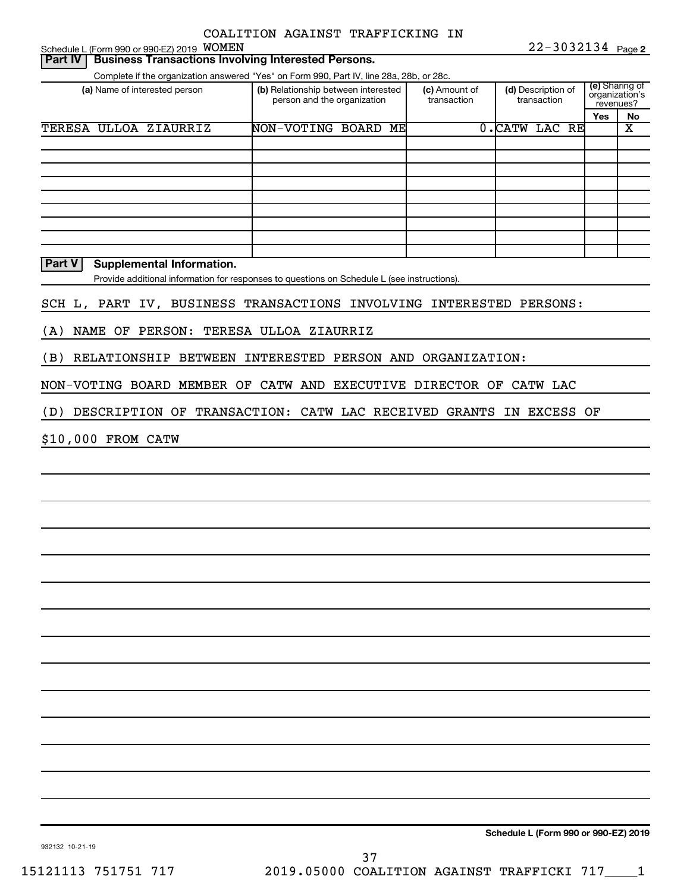|                | Schedule L (Form 990 or 990-EZ) 2019 WOMEN                                               |  |                                                                    |  | COALITION AGAINST TRAFFICKING IN                                                            |  | $22 - 3032134$ Page 2             |                             |                         |
|----------------|------------------------------------------------------------------------------------------|--|--------------------------------------------------------------------|--|---------------------------------------------------------------------------------------------|--|-----------------------------------|-----------------------------|-------------------------|
| <b>Part IV</b> | <b>Business Transactions Involving Interested Persons.</b>                               |  |                                                                    |  |                                                                                             |  |                                   |                             |                         |
|                | Complete if the organization answered "Yes" on Form 990, Part IV, line 28a, 28b, or 28c. |  |                                                                    |  |                                                                                             |  |                                   |                             |                         |
|                | (a) Name of interested person                                                            |  | (b) Relationship between interested<br>person and the organization |  | (c) Amount of<br>transaction                                                                |  | (d) Description of<br>transaction | organization's<br>revenues? | (e) Sharing of          |
|                |                                                                                          |  |                                                                    |  |                                                                                             |  |                                   | Yes                         | No                      |
|                | TERESA ULLOA ZIAURRIZ                                                                    |  | NON-VOTING BOARD ME                                                |  |                                                                                             |  | 0. CATW LAC RE                    |                             | $\overline{\textbf{X}}$ |
|                |                                                                                          |  |                                                                    |  |                                                                                             |  |                                   |                             |                         |
|                |                                                                                          |  |                                                                    |  |                                                                                             |  |                                   |                             |                         |
|                |                                                                                          |  |                                                                    |  |                                                                                             |  |                                   |                             |                         |
|                |                                                                                          |  |                                                                    |  |                                                                                             |  |                                   |                             |                         |
|                |                                                                                          |  |                                                                    |  |                                                                                             |  |                                   |                             |                         |
|                |                                                                                          |  |                                                                    |  |                                                                                             |  |                                   |                             |                         |
|                |                                                                                          |  |                                                                    |  |                                                                                             |  |                                   |                             |                         |
| <b>Part V</b>  | <b>Supplemental Information.</b>                                                         |  |                                                                    |  |                                                                                             |  |                                   |                             |                         |
|                |                                                                                          |  |                                                                    |  | Provide additional information for responses to questions on Schedule L (see instructions). |  |                                   |                             |                         |
|                |                                                                                          |  |                                                                    |  | SCH L, PART IV, BUSINESS TRANSACTIONS INVOLVING INTERESTED PERSONS:                         |  |                                   |                             |                         |
| (A)            | NAME OF PERSON: TERESA ULLOA ZIAURRIZ                                                    |  |                                                                    |  |                                                                                             |  |                                   |                             |                         |
| (B)            |                                                                                          |  |                                                                    |  | RELATIONSHIP BETWEEN INTERESTED PERSON AND ORGANIZATION:                                    |  |                                   |                             |                         |
|                |                                                                                          |  |                                                                    |  | NON-VOTING BOARD MEMBER OF CATW AND EXECUTIVE DIRECTOR OF CATW LAC                          |  |                                   |                             |                         |
| (D)            |                                                                                          |  |                                                                    |  | DESCRIPTION OF TRANSACTION: CATW LAC RECEIVED GRANTS IN EXCESS OF                           |  |                                   |                             |                         |
|                |                                                                                          |  |                                                                    |  |                                                                                             |  |                                   |                             |                         |
|                | \$10,000 FROM CATW                                                                       |  |                                                                    |  |                                                                                             |  |                                   |                             |                         |
|                |                                                                                          |  |                                                                    |  |                                                                                             |  |                                   |                             |                         |
|                |                                                                                          |  |                                                                    |  |                                                                                             |  |                                   |                             |                         |
|                |                                                                                          |  |                                                                    |  |                                                                                             |  |                                   |                             |                         |
|                |                                                                                          |  |                                                                    |  |                                                                                             |  |                                   |                             |                         |
|                |                                                                                          |  |                                                                    |  |                                                                                             |  |                                   |                             |                         |
|                |                                                                                          |  |                                                                    |  |                                                                                             |  |                                   |                             |                         |
|                |                                                                                          |  |                                                                    |  |                                                                                             |  |                                   |                             |                         |
|                |                                                                                          |  |                                                                    |  |                                                                                             |  |                                   |                             |                         |
|                |                                                                                          |  |                                                                    |  |                                                                                             |  |                                   |                             |                         |
|                |                                                                                          |  |                                                                    |  |                                                                                             |  |                                   |                             |                         |
|                |                                                                                          |  |                                                                    |  |                                                                                             |  |                                   |                             |                         |
|                |                                                                                          |  |                                                                    |  |                                                                                             |  |                                   |                             |                         |
|                |                                                                                          |  |                                                                    |  |                                                                                             |  |                                   |                             |                         |
|                |                                                                                          |  |                                                                    |  |                                                                                             |  |                                   |                             |                         |

**Schedule L (Form 990 or 990-EZ) 2019**

932132 10-21-19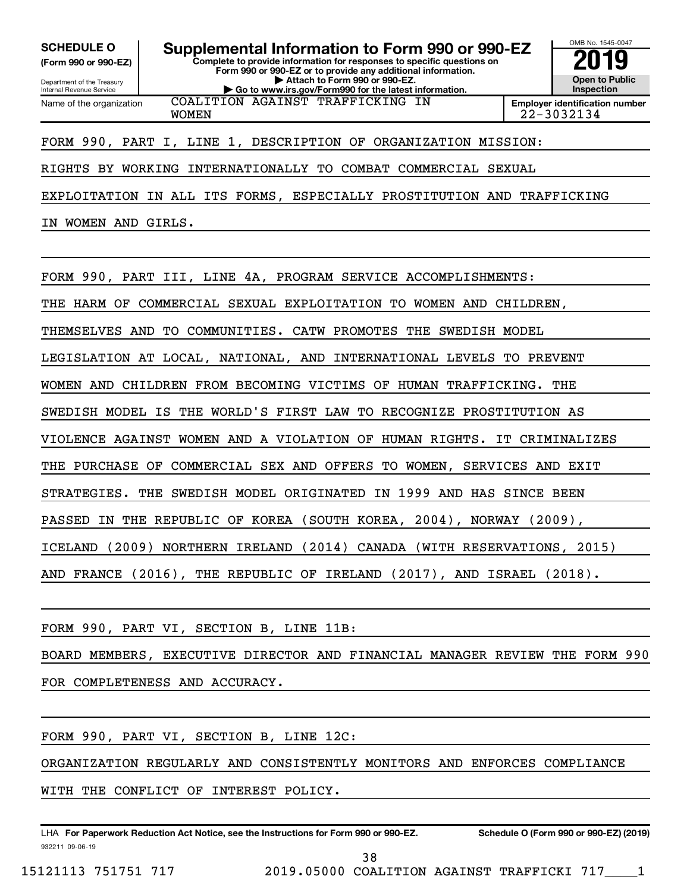**(Form 990 or 990-EZ)**

Department of the Treasury Internal Revenue Service Name of the organization

**SCHEDULE O Supplemental Information to Form 990 or 990-EZ 2019** 

**Complete to provide information for responses to specific questions on Form 990 or 990-EZ or to provide any additional information. | Attach to Form 990 or 990-EZ. | Go to www.irs.gov/Form990 for the latest information.**



OMB No. 1545-0047

COALITION AGAINST TRAFFICKING IN

WOMEN 22-3032134

## FORM 990, PART I, LINE 1, DESCRIPTION OF ORGANIZATION MISSION:

## RIGHTS BY WORKING INTERNATIONALLY TO COMBAT COMMERCIAL SEXUAL

EXPLOITATION IN ALL ITS FORMS, ESPECIALLY PROSTITUTION AND TRAFFICKING

IN WOMEN AND GIRLS.

FORM 990, PART III, LINE 4A, PROGRAM SERVICE ACCOMPLISHMENTS:

THE HARM OF COMMERCIAL SEXUAL EXPLOITATION TO WOMEN AND CHILDREN,

THEMSELVES AND TO COMMUNITIES. CATW PROMOTES THE SWEDISH MODEL

LEGISLATION AT LOCAL, NATIONAL, AND INTERNATIONAL LEVELS TO PREVENT

WOMEN AND CHILDREN FROM BECOMING VICTIMS OF HUMAN TRAFFICKING. THE

SWEDISH MODEL IS THE WORLD'S FIRST LAW TO RECOGNIZE PROSTITUTION AS

VIOLENCE AGAINST WOMEN AND A VIOLATION OF HUMAN RIGHTS. IT CRIMINALIZES

THE PURCHASE OF COMMERCIAL SEX AND OFFERS TO WOMEN, SERVICES AND EXIT

STRATEGIES. THE SWEDISH MODEL ORIGINATED IN 1999 AND HAS SINCE BEEN

PASSED IN THE REPUBLIC OF KOREA (SOUTH KOREA, 2004), NORWAY (2009),

ICELAND (2009) NORTHERN IRELAND (2014) CANADA (WITH RESERVATIONS, 2015)

AND FRANCE (2016), THE REPUBLIC OF IRELAND (2017), AND ISRAEL (2018).

FORM 990, PART VI, SECTION B, LINE 11B:

BOARD MEMBERS, EXECUTIVE DIRECTOR AND FINANCIAL MANAGER REVIEW THE FORM 990 FOR COMPLETENESS AND ACCURACY.

FORM 990, PART VI, SECTION B, LINE 12C:

ORGANIZATION REGULARLY AND CONSISTENTLY MONITORS AND ENFORCES COMPLIANCE

WITH THE CONFLICT OF INTEREST POLICY.

932211 09-06-19 LHA For Paperwork Reduction Act Notice, see the Instructions for Form 990 or 990-EZ. Schedule O (Form 990 or 990-EZ) (2019)

38

15121113 751751 717 2019.05000 COALITION AGAINST TRAFFICKI 717\_\_\_\_1